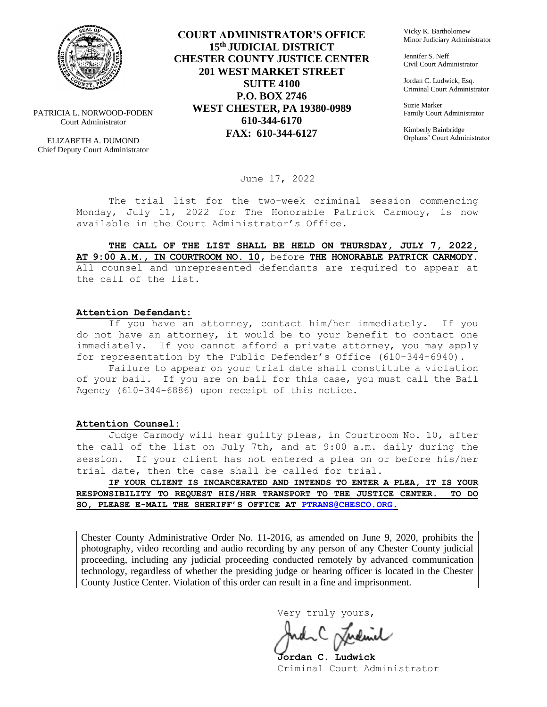

PATRICIA L. NORWOOD-FODEN Court Administrator

ELIZABETH A. DUMOND Chief Deputy Court Administrator

**COURT ADMINISTRATOR'S OFFICE 15th JUDICIAL DISTRICT CHESTER COUNTY JUSTICE CENTER 201 WEST MARKET STREET SUITE 4100 P.O. BOX 2746 WEST CHESTER, PA 19380-0989 610-344-6170 FAX: 610-344-6127**

Vicky K. Bartholomew Minor Judiciary Administrator

Jennifer S. Neff Civil Court Administrator

Jordan C. Ludwick, Esq. Criminal Court Administrator

Suzie Marker Family Court Administrator

Kimberly Bainbridge Orphans' Court Administrator

June 17, 2022

The trial list for the two-week criminal session commencing Monday, July 11, 2022 for The Honorable Patrick Carmody, is now available in the Court Administrator's Office.

**THE CALL OF THE LIST SHALL BE HELD ON THURSDAY, JULY 7, 2022, AT 9:00 A.M., IN COURTROOM NO. 10,** before **THE HONORABLE PATRICK CARMODY.**  All counsel and unrepresented defendants are required to appear at the call of the list.

#### **Attention Defendant:**

If you have an attorney, contact him/her immediately. If you do not have an attorney, it would be to your benefit to contact one immediately. If you cannot afford a private attorney, you may apply for representation by the Public Defender's Office (610-344-6940).

Failure to appear on your trial date shall constitute a violation of your bail. If you are on bail for this case, you must call the Bail Agency (610-344-6886) upon receipt of this notice.

#### **Attention Counsel:**

Judge Carmody will hear guilty pleas, in Courtroom No. 10, after the call of the list on July 7th, and at 9:00 a.m. daily during the session. If your client has not entered a plea on or before his/her trial date, then the case shall be called for trial.

**IF YOUR CLIENT IS INCARCERATED AND INTENDS TO ENTER A PLEA, IT IS YOUR RESPONSIBILITY TO REQUEST HIS/HER TRANSPORT TO THE JUSTICE CENTER. TO DO SO, PLEASE E-MAIL THE SHERIFF'S OFFICE AT [PTRANS@CHESCO.ORG.](mailto:PTRANS@CHESCO.ORG)**

Chester County Administrative Order No. 11-2016, as amended on June 9, 2020, prohibits the photography, video recording and audio recording by any person of any Chester County judicial proceeding, including any judicial proceeding conducted remotely by advanced communication technology, regardless of whether the presiding judge or hearing officer is located in the Chester County Justice Center. Violation of this order can result in a fine and imprisonment.

Very truly yours,

**Jordan C. Ludwick** Criminal Court Administrator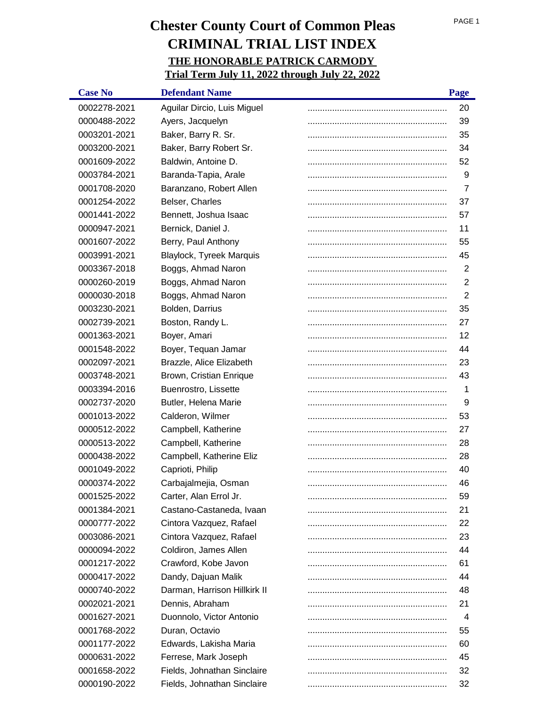| <b>Case No</b> | <b>Defendant Name</b>        | Page |
|----------------|------------------------------|------|
| 0002278-2021   | Aguilar Dircio, Luis Miguel  | 20   |
| 0000488-2022   | Ayers, Jacquelyn             | 39   |
| 0003201-2021   | Baker, Barry R. Sr.          | 35   |
| 0003200-2021   | Baker, Barry Robert Sr.      | 34   |
| 0001609-2022   | Baldwin, Antoine D.          | 52   |
| 0003784-2021   | Baranda-Tapia, Arale         | 9    |
| 0001708-2020   | Baranzano, Robert Allen      | 7    |
| 0001254-2022   | Belser, Charles              | 37   |
| 0001441-2022   | Bennett, Joshua Isaac        | 57   |
| 0000947-2021   | Bernick, Daniel J.           | 11   |
| 0001607-2022   | Berry, Paul Anthony          | 55   |
| 0003991-2021   | Blaylock, Tyreek Marquis     | 45   |
| 0003367-2018   | Boggs, Ahmad Naron           | 2    |
| 0000260-2019   | Boggs, Ahmad Naron           | 2    |
| 0000030-2018   | Boggs, Ahmad Naron           | 2    |
| 0003230-2021   | Bolden, Darrius              | 35   |
| 0002739-2021   | Boston, Randy L.             | 27   |
| 0001363-2021   | Boyer, Amari                 | 12   |
| 0001548-2022   | Boyer, Tequan Jamar          | 44   |
| 0002097-2021   | Brazzle, Alice Elizabeth     | 23   |
| 0003748-2021   | Brown, Cristian Enrique      | 43   |
| 0003394-2016   | Buenrostro, Lissette         | 1    |
| 0002737-2020   | Butler, Helena Marie         | 9    |
| 0001013-2022   | Calderon, Wilmer             | 53   |
| 0000512-2022   | Campbell, Katherine          | 27   |
| 0000513-2022   | Campbell, Katherine          | 28   |
| 0000438-2022   | Campbell, Katherine Eliz     | 28   |
| 0001049-2022   | Caprioti, Philip             | 40   |
| 0000374-2022   | Carbajalmejia, Osman         | 46   |
| 0001525-2022   | Carter, Alan Errol Jr.       | 59   |
| 0001384-2021   | Castano-Castaneda, Ivaan     | 21   |
| 0000777-2022   | Cintora Vazquez, Rafael      | 22   |
| 0003086-2021   | Cintora Vazquez, Rafael      | 23   |
| 0000094-2022   | Coldiron, James Allen        | 44   |
| 0001217-2022   | Crawford, Kobe Javon         | 61   |
| 0000417-2022   | Dandy, Dajuan Malik          | 44   |
| 0000740-2022   | Darman, Harrison Hillkirk II | 48   |
| 0002021-2021   | Dennis, Abraham              | 21   |
| 0001627-2021   | Duonnolo, Victor Antonio     | 4    |
| 0001768-2022   | Duran, Octavio               | 55   |
| 0001177-2022   | Edwards, Lakisha Maria       | 60   |
| 0000631-2022   | Ferrese, Mark Joseph         | 45   |
| 0001658-2022   | Fields, Johnathan Sinclaire  | 32   |
| 0000190-2022   | Fields, Johnathan Sinclaire  | 32   |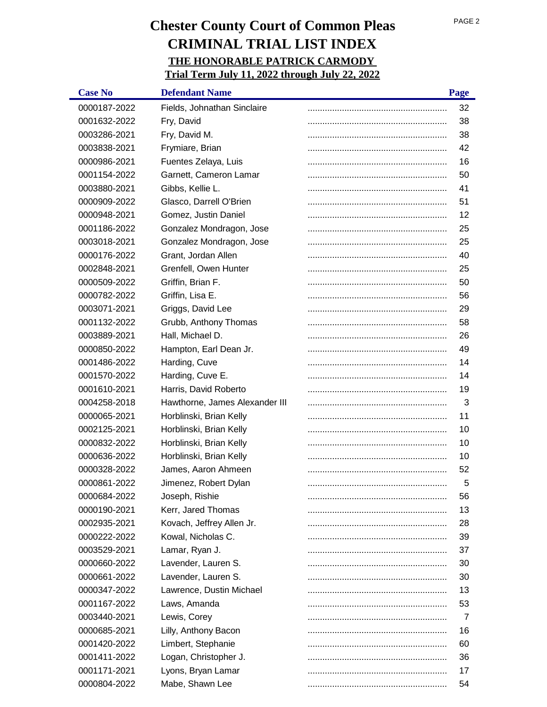| <b>Case No</b> | <b>Defendant Name</b>          | Page |
|----------------|--------------------------------|------|
| 0000187-2022   | Fields, Johnathan Sinclaire    | 32   |
| 0001632-2022   | Fry, David                     | 38   |
| 0003286-2021   | Fry, David M.                  | 38   |
| 0003838-2021   | Frymiare, Brian                | 42   |
| 0000986-2021   | Fuentes Zelaya, Luis           | 16   |
| 0001154-2022   | Garnett, Cameron Lamar         | 50   |
| 0003880-2021   | Gibbs, Kellie L.               | 41   |
| 0000909-2022   | Glasco, Darrell O'Brien        | 51   |
| 0000948-2021   | Gomez, Justin Daniel           | 12   |
| 0001186-2022   | Gonzalez Mondragon, Jose       | 25   |
| 0003018-2021   | Gonzalez Mondragon, Jose       | 25   |
| 0000176-2022   | Grant, Jordan Allen            | 40   |
| 0002848-2021   | Grenfell, Owen Hunter          | 25   |
| 0000509-2022   | Griffin, Brian F.              | 50   |
| 0000782-2022   | Griffin, Lisa E.               | 56   |
| 0003071-2021   | Griggs, David Lee              | 29   |
| 0001132-2022   | Grubb, Anthony Thomas          | 58   |
| 0003889-2021   | Hall, Michael D.               | 26   |
| 0000850-2022   | Hampton, Earl Dean Jr.         | 49   |
| 0001486-2022   | Harding, Cuve                  | 14   |
| 0001570-2022   | Harding, Cuve E.               | 14   |
| 0001610-2021   | Harris, David Roberto          | 19   |
| 0004258-2018   | Hawthorne, James Alexander III | 3    |
| 0000065-2021   | Horblinski, Brian Kelly        | 11   |
| 0002125-2021   | Horblinski, Brian Kelly        | 10   |
| 0000832-2022   | Horblinski, Brian Kelly        | 10   |
| 0000636-2022   | Horblinski, Brian Kelly        | 10   |
| 0000328-2022   | James, Aaron Ahmeen            | 52   |
| 0000861-2022   | Jimenez, Robert Dylan          | 5    |
| 0000684-2022   | Joseph, Rishie                 | 56   |
| 0000190-2021   | Kerr, Jared Thomas             | 13   |
| 0002935-2021   | Kovach, Jeffrey Allen Jr.      | 28   |
| 0000222-2022   | Kowal, Nicholas C.             | 39   |
| 0003529-2021   | Lamar, Ryan J.                 | 37   |
| 0000660-2022   | Lavender, Lauren S.            | 30   |
| 0000661-2022   | Lavender, Lauren S.            | 30   |
| 0000347-2022   | Lawrence, Dustin Michael       | 13   |
| 0001167-2022   | Laws, Amanda                   | 53   |
| 0003440-2021   | Lewis, Corey                   | 7    |
| 0000685-2021   | Lilly, Anthony Bacon           | 16   |
| 0001420-2022   | Limbert, Stephanie             | 60   |
| 0001411-2022   | Logan, Christopher J.          | 36   |
| 0001171-2021   | Lyons, Bryan Lamar             | 17   |
| 0000804-2022   | Mabe, Shawn Lee                | 54   |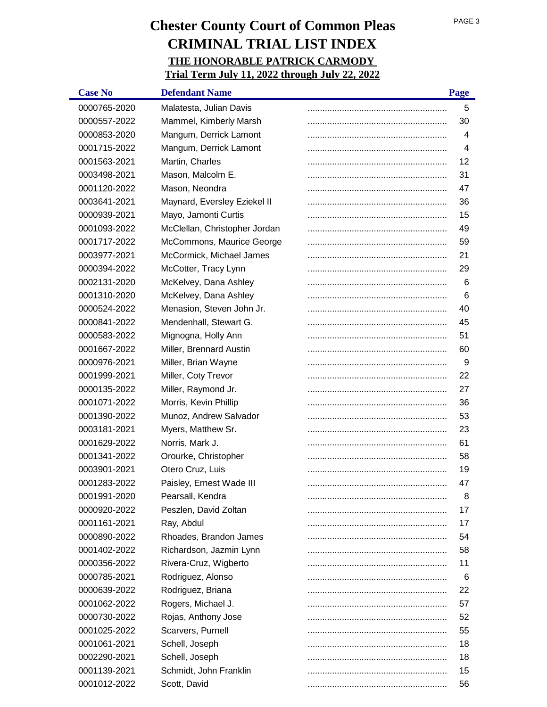| <b>Case No</b> | <b>Defendant Name</b>         | Page |
|----------------|-------------------------------|------|
| 0000765-2020   | Malatesta, Julian Davis       | 5    |
| 0000557-2022   | Mammel, Kimberly Marsh        | 30   |
| 0000853-2020   | Mangum, Derrick Lamont        | 4    |
| 0001715-2022   | Mangum, Derrick Lamont        | 4    |
| 0001563-2021   | Martin, Charles               | 12   |
| 0003498-2021   | Mason, Malcolm E.             | 31   |
| 0001120-2022   | Mason, Neondra                | 47   |
| 0003641-2021   | Maynard, Eversley Eziekel II  | 36   |
| 0000939-2021   | Mayo, Jamonti Curtis          | 15   |
| 0001093-2022   | McClellan, Christopher Jordan | 49   |
| 0001717-2022   | McCommons, Maurice George     | 59   |
| 0003977-2021   | McCormick, Michael James      | 21   |
| 0000394-2022   | McCotter, Tracy Lynn          | 29   |
| 0002131-2020   | McKelvey, Dana Ashley         | 6    |
| 0001310-2020   | McKelvey, Dana Ashley         | 6    |
| 0000524-2022   | Menasion, Steven John Jr.     | 40   |
| 0000841-2022   | Mendenhall, Stewart G.        | 45   |
| 0000583-2022   | Mignogna, Holly Ann           | 51   |
| 0001667-2022   | Miller, Brennard Austin       | 60   |
| 0000976-2021   | Miller, Brian Wayne           | 9    |
| 0001999-2021   | Miller, Coty Trevor           | 22   |
| 0000135-2022   | Miller, Raymond Jr.           | 27   |
| 0001071-2022   | Morris, Kevin Phillip         | 36   |
| 0001390-2022   | Munoz, Andrew Salvador        | 53   |
| 0003181-2021   | Myers, Matthew Sr.            | 23   |
| 0001629-2022   | Norris, Mark J.               | 61   |
| 0001341-2022   | Orourke, Christopher          | 58   |
| 0003901-2021   | Otero Cruz, Luis              | 19   |
| 0001283-2022   | Paisley, Ernest Wade III      | 47   |
| 0001991-2020   | Pearsall, Kendra              | 8    |
| 0000920-2022   | Peszlen, David Zoltan         | 17   |
| 0001161-2021   | Ray, Abdul                    | 17   |
| 0000890-2022   | Rhoades, Brandon James        | 54   |
| 0001402-2022   | Richardson, Jazmin Lynn       | 58   |
| 0000356-2022   | Rivera-Cruz, Wigberto         | 11   |
| 0000785-2021   | Rodriguez, Alonso             | 6    |
| 0000639-2022   | Rodriguez, Briana             | 22   |
| 0001062-2022   | Rogers, Michael J.            | 57   |
| 0000730-2022   | Rojas, Anthony Jose           | 52   |
| 0001025-2022   | Scarvers, Purnell             | 55   |
| 0001061-2021   | Schell, Joseph                | 18   |
| 0002290-2021   | Schell, Joseph                | 18   |
| 0001139-2021   | Schmidt, John Franklin        | 15   |
| 0001012-2022   | Scott, David                  | 56   |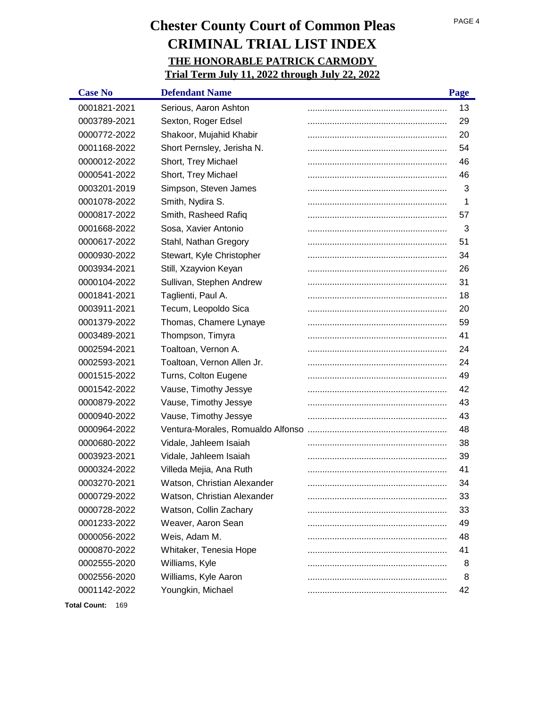| <b>Case No</b>   | <b>Defendant Name</b>       | Page |
|------------------|-----------------------------|------|
| 0001821-2021     | Serious, Aaron Ashton       | 13   |
| 0003789-2021     | Sexton, Roger Edsel         | 29   |
| 0000772-2022     | Shakoor, Mujahid Khabir     | 20   |
| 0001168-2022     | Short Pernsley, Jerisha N.  | 54   |
| 0000012-2022     | Short, Trey Michael         | 46   |
| 0000541-2022     | Short, Trey Michael         | 46   |
| 0003201-2019     | Simpson, Steven James       | 3    |
| 0001078-2022     | Smith, Nydira S.            | 1    |
| 0000817-2022     | Smith, Rasheed Rafiq        | 57   |
| 0001668-2022     | Sosa, Xavier Antonio        | 3    |
| 0000617-2022     | Stahl, Nathan Gregory       | 51   |
| 0000930-2022     | Stewart, Kyle Christopher   | 34   |
| 0003934-2021     | Still, Xzayvion Keyan       | 26   |
| 0000104-2022     | Sullivan, Stephen Andrew    | 31   |
| 0001841-2021     | Taglienti, Paul A.          | 18   |
| 0003911-2021     | Tecum, Leopoldo Sica        | 20   |
| 0001379-2022     | Thomas, Chamere Lynaye      | 59   |
| 0003489-2021     | Thompson, Timyra            | 41   |
| 0002594-2021     | Toaltoan, Vernon A.         | 24   |
| 0002593-2021     | Toaltoan, Vernon Allen Jr.  | 24   |
| 0001515-2022     | Turns, Colton Eugene        | 49   |
| 0001542-2022     | Vause, Timothy Jessye       | 42   |
| 0000879-2022     | Vause, Timothy Jessye       | 43   |
| 0000940-2022     | Vause, Timothy Jessye       | 43   |
| 0000964-2022     |                             | 48   |
| 0000680-2022     | Vidale, Jahleem Isaiah      | 38   |
| 0003923-2021     | Vidale, Jahleem Isaiah      | 39   |
| 0000324-2022     | Villeda Mejia, Ana Ruth     | 41   |
| 0003270-2021     | Watson, Christian Alexander | 34   |
| 0000729-2022     | Watson, Christian Alexander | 33   |
| 0000728-2022     | Watson, Collin Zachary      | 33   |
| 0001233-2022     | Weaver, Aaron Sean          | 49   |
| 0000056-2022     | Weis, Adam M.               | 48   |
| 0000870-2022     | Whitaker, Tenesia Hope      | 41   |
| 0002555-2020     | Williams, Kyle              | 8    |
| 0002556-2020     | Williams, Kyle Aaron        | 8    |
| 0001142-2022     | Youngkin, Michael           | 42   |
| Total Count: 169 |                             |      |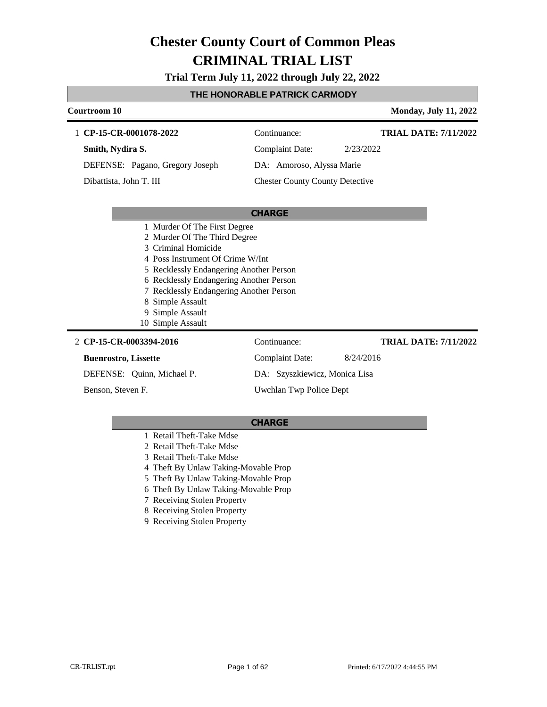**Trial Term July 11, 2022 through July 22, 2022**

#### **THE HONORABLE PATRICK CARMODY**

| Courtroom 10                            |                                        | <b>Monday, July 11, 2022</b> |
|-----------------------------------------|----------------------------------------|------------------------------|
| 1 CP-15-CR-0001078-2022                 | Continuance:                           | <b>TRIAL DATE: 7/11/2022</b> |
| Smith, Nydira S.                        | <b>Complaint Date:</b>                 | 2/23/2022                    |
| DEFENSE: Pagano, Gregory Joseph         | DA: Amoroso, Alyssa Marie              |                              |
| Dibattista, John T. III                 | <b>Chester County County Detective</b> |                              |
|                                         |                                        |                              |
|                                         | <b>CHARGE</b>                          |                              |
| 1 Murder Of The First Degree            |                                        |                              |
| 2 Murder Of The Third Degree            |                                        |                              |
| 3 Criminal Homicide                     |                                        |                              |
| 4 Poss Instrument Of Crime W/Int        |                                        |                              |
| 5 Recklessly Endangering Another Person |                                        |                              |
| 6 Recklessly Endangering Another Person |                                        |                              |
| 7 Recklessly Endangering Another Person |                                        |                              |
| 8 Simple Assault                        |                                        |                              |
| Simple Assault<br>9                     |                                        |                              |
| 10 Simple Assault                       |                                        |                              |
| 2 CP-15-CR-0003394-2016                 | Continuance:                           | <b>TRIAL DATE: 7/11/2022</b> |
| <b>Buenrostro, Lissette</b>             | Complaint Date:                        | 8/24/2016                    |
| DEFENSE: Quinn, Michael P.              | DA: Szyszkiewicz, Monica Lisa          |                              |
| Benson, Steven F.                       | Uwchlan Twp Police Dept                |                              |

- 1 Retail Theft-Take Mdse
- 2 Retail Theft-Take Mdse
- 3 Retail Theft-Take Mdse
- 4 Theft By Unlaw Taking-Movable Prop
- 5 Theft By Unlaw Taking-Movable Prop
- 6 Theft By Unlaw Taking-Movable Prop
- 7 Receiving Stolen Property
- 8 Receiving Stolen Property
- 9 Receiving Stolen Property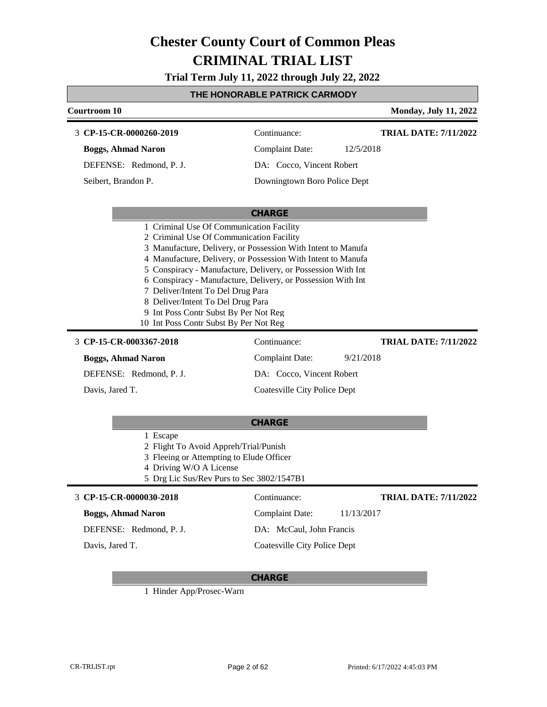**Trial Term July 11, 2022 through July 22, 2022**

### **THE HONORABLE PATRICK CARMODY**

| Courtroom 10                                                                                                                                                                                                                                                                                                                                                                                                                                                                                                                                                                                                            |                                                                                                     | <b>Monday, July 11, 2022</b>              |
|-------------------------------------------------------------------------------------------------------------------------------------------------------------------------------------------------------------------------------------------------------------------------------------------------------------------------------------------------------------------------------------------------------------------------------------------------------------------------------------------------------------------------------------------------------------------------------------------------------------------------|-----------------------------------------------------------------------------------------------------|-------------------------------------------|
| 3 CP-15-CR-0000260-2019                                                                                                                                                                                                                                                                                                                                                                                                                                                                                                                                                                                                 | Continuance:                                                                                        | <b>TRIAL DATE: 7/11/2022</b>              |
| <b>Boggs, Ahmad Naron</b>                                                                                                                                                                                                                                                                                                                                                                                                                                                                                                                                                                                               | <b>Complaint Date:</b>                                                                              | 12/5/2018                                 |
| DEFENSE: Redmond, P. J.                                                                                                                                                                                                                                                                                                                                                                                                                                                                                                                                                                                                 | DA: Cocco, Vincent Robert                                                                           |                                           |
| Seibert, Brandon P.                                                                                                                                                                                                                                                                                                                                                                                                                                                                                                                                                                                                     | Downingtown Boro Police Dept                                                                        |                                           |
|                                                                                                                                                                                                                                                                                                                                                                                                                                                                                                                                                                                                                         | <b>CHARGE</b>                                                                                       |                                           |
| 1 Criminal Use Of Communication Facility<br>2 Criminal Use Of Communication Facility<br>3 Manufacture, Delivery, or Possession With Intent to Manufa<br>4 Manufacture, Delivery, or Possession With Intent to Manufa<br>5 Conspiracy - Manufacture, Delivery, or Possession With Int<br>6 Conspiracy - Manufacture, Delivery, or Possession With Int<br>7 Deliver/Intent To Del Drug Para<br>8 Deliver/Intent To Del Drug Para<br>9 Int Poss Contr Subst By Per Not Reg<br>10 Int Poss Contr Subst By Per Not Reg<br>3 CP-15-CR-0003367-2018<br><b>Boggs, Ahmad Naron</b><br>DEFENSE: Redmond, P. J.<br>Davis, Jared T. | Continuance:<br><b>Complaint Date:</b><br>DA: Cocco, Vincent Robert<br>Coatesville City Police Dept | <b>TRIAL DATE: 7/11/2022</b><br>9/21/2018 |
|                                                                                                                                                                                                                                                                                                                                                                                                                                                                                                                                                                                                                         | <b>CHARGE</b>                                                                                       |                                           |
| 1 Escape<br>2 Flight To Avoid Appreh/Trial/Punish<br>3 Fleeing or Attempting to Elude Officer<br>4 Driving W/O A License<br>5 Drg Lic Sus/Rev Purs to Sec 3802/1547B1                                                                                                                                                                                                                                                                                                                                                                                                                                                   |                                                                                                     |                                           |
| 3 CP-15-CR-0000030-2018                                                                                                                                                                                                                                                                                                                                                                                                                                                                                                                                                                                                 | Continuance:                                                                                        | <b>TRIAL DATE: 7/11/2022</b>              |
| <b>Boggs, Ahmad Naron</b>                                                                                                                                                                                                                                                                                                                                                                                                                                                                                                                                                                                               | <b>Complaint Date:</b>                                                                              | 11/13/2017                                |
| DEFENSE: Redmond, P. J.                                                                                                                                                                                                                                                                                                                                                                                                                                                                                                                                                                                                 | DA: McCaul, John Francis                                                                            |                                           |
| Davis, Jared T.                                                                                                                                                                                                                                                                                                                                                                                                                                                                                                                                                                                                         | <b>Coatesville City Police Dept</b>                                                                 |                                           |

### **CHARGE**

1 Hinder App/Prosec-Warn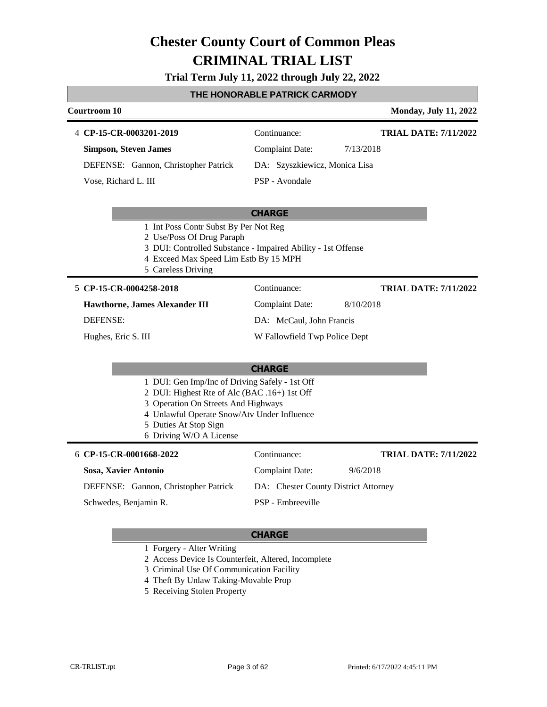### **Trial Term July 11, 2022 through July 22, 2022**

| THE HONORABLE PATRICK CARMODY                                                                                                         |                                                              |                              |  |  |
|---------------------------------------------------------------------------------------------------------------------------------------|--------------------------------------------------------------|------------------------------|--|--|
| <b>Courtroom 10</b>                                                                                                                   |                                                              | <b>Monday, July 11, 2022</b> |  |  |
| 4 CP-15-CR-0003201-2019                                                                                                               | Continuance:                                                 | <b>TRIAL DATE: 7/11/2022</b> |  |  |
| <b>Simpson, Steven James</b>                                                                                                          | <b>Complaint Date:</b><br>7/13/2018                          |                              |  |  |
| DEFENSE: Gannon, Christopher Patrick                                                                                                  | DA: Szyszkiewicz, Monica Lisa                                |                              |  |  |
| Vose, Richard L. III                                                                                                                  | PSP - Avondale                                               |                              |  |  |
|                                                                                                                                       |                                                              |                              |  |  |
|                                                                                                                                       | <b>CHARGE</b>                                                |                              |  |  |
| 1 Int Poss Contr Subst By Per Not Reg                                                                                                 |                                                              |                              |  |  |
| 2 Use/Poss Of Drug Paraph                                                                                                             | 3 DUI: Controlled Substance - Impaired Ability - 1st Offense |                              |  |  |
| 4 Exceed Max Speed Lim Estb By 15 MPH                                                                                                 |                                                              |                              |  |  |
| 5 Careless Driving                                                                                                                    |                                                              |                              |  |  |
| 5 CP-15-CR-0004258-2018                                                                                                               | Continuance:                                                 | <b>TRIAL DATE: 7/11/2022</b> |  |  |
| Hawthorne, James Alexander III                                                                                                        | <b>Complaint Date:</b><br>8/10/2018                          |                              |  |  |
| DEFENSE:                                                                                                                              | DA: McCaul, John Francis                                     |                              |  |  |
| Hughes, Eric S. III                                                                                                                   | W Fallowfield Twp Police Dept                                |                              |  |  |
|                                                                                                                                       |                                                              |                              |  |  |
|                                                                                                                                       | <b>CHARGE</b>                                                |                              |  |  |
| 1 DUI: Gen Imp/Inc of Driving Safely - 1st Off<br>2 DUI: Highest Rte of Alc (BAC .16+) 1st Off<br>3 Operation On Streets And Highways |                                                              |                              |  |  |
| 4 Unlawful Operate Snow/Atv Under Influence<br>5 Duties At Stop Sign                                                                  |                                                              |                              |  |  |
| 6 Driving W/O A License                                                                                                               |                                                              |                              |  |  |
| 6 CP-15-CR-0001668-2022                                                                                                               | Continuance:                                                 | <b>TRIAL DATE: 7/11/2022</b> |  |  |
| Sosa, Xavier Antonio                                                                                                                  | <b>Complaint Date:</b><br>9/6/2018                           |                              |  |  |
| DEFENSE: Gannon, Christopher Patrick                                                                                                  | DA: Chester County District Attorney                         |                              |  |  |
| Schwedes, Benjamin R.                                                                                                                 | PSP - Embreeville                                            |                              |  |  |
|                                                                                                                                       |                                                              |                              |  |  |

- 1 Forgery Alter Writing
- 2 Access Device Is Counterfeit, Altered, Incomplete
- 3 Criminal Use Of Communication Facility
- 4 Theft By Unlaw Taking-Movable Prop
- 5 Receiving Stolen Property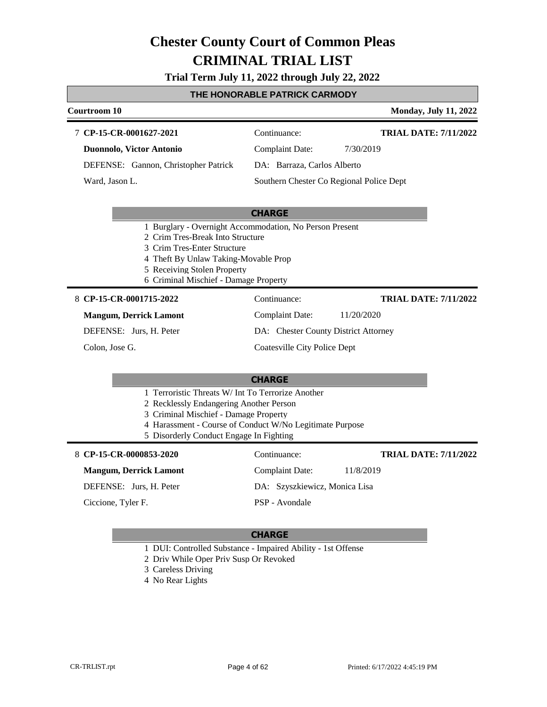**Trial Term July 11, 2022 through July 22, 2022**

### **THE HONORABLE PATRICK CARMODY**

| Courtroom 10                                                                                                                                                                                                                                 |                                          | <b>Monday, July 11, 2022</b> |
|----------------------------------------------------------------------------------------------------------------------------------------------------------------------------------------------------------------------------------------------|------------------------------------------|------------------------------|
|                                                                                                                                                                                                                                              |                                          |                              |
| 7 CP-15-CR-0001627-2021                                                                                                                                                                                                                      | Continuance:                             | <b>TRIAL DATE: 7/11/2022</b> |
| Duonnolo, Victor Antonio                                                                                                                                                                                                                     | <b>Complaint Date:</b>                   | 7/30/2019                    |
| DEFENSE: Gannon, Christopher Patrick                                                                                                                                                                                                         | DA: Barraza, Carlos Alberto              |                              |
| Ward, Jason L.                                                                                                                                                                                                                               | Southern Chester Co Regional Police Dept |                              |
|                                                                                                                                                                                                                                              | <b>CHARGE</b>                            |                              |
| 1 Burglary - Overnight Accommodation, No Person Present<br>2 Crim Tres-Break Into Structure<br>3 Crim Tres-Enter Structure<br>4 Theft By Unlaw Taking-Movable Prop<br>5 Receiving Stolen Property<br>6 Criminal Mischief - Damage Property   |                                          |                              |
| 8 CP-15-CR-0001715-2022                                                                                                                                                                                                                      | Continuance:                             | <b>TRIAL DATE: 7/11/2022</b> |
| <b>Mangum, Derrick Lamont</b>                                                                                                                                                                                                                | <b>Complaint Date:</b>                   | 11/20/2020                   |
| DEFENSE: Jurs, H. Peter                                                                                                                                                                                                                      | DA: Chester County District Attorney     |                              |
| Colon, Jose G.                                                                                                                                                                                                                               | <b>Coatesville City Police Dept</b>      |                              |
|                                                                                                                                                                                                                                              | <b>CHARGE</b>                            |                              |
| 1 Terroristic Threats W/ Int To Terrorize Another<br>2 Recklessly Endangering Another Person<br>3 Criminal Mischief - Damage Property<br>4 Harassment - Course of Conduct W/No Legitimate Purpose<br>5 Disorderly Conduct Engage In Fighting |                                          |                              |
| 8 CP-15-CR-0000853-2020                                                                                                                                                                                                                      | Continuance:                             | <b>TRIAL DATE: 7/11/2022</b> |
| <b>Mangum, Derrick Lamont</b>                                                                                                                                                                                                                | <b>Complaint Date:</b>                   | 11/8/2019                    |
| DEFENSE: Jurs, H. Peter                                                                                                                                                                                                                      | DA: Szyszkiewicz, Monica Lisa            |                              |
| Ciccione, Tyler F.                                                                                                                                                                                                                           | PSP - Avondale                           |                              |
|                                                                                                                                                                                                                                              |                                          |                              |

- 1 DUI: Controlled Substance Impaired Ability 1st Offense
- 2 Driv While Oper Priv Susp Or Revoked
- 3 Careless Driving
- 4 No Rear Lights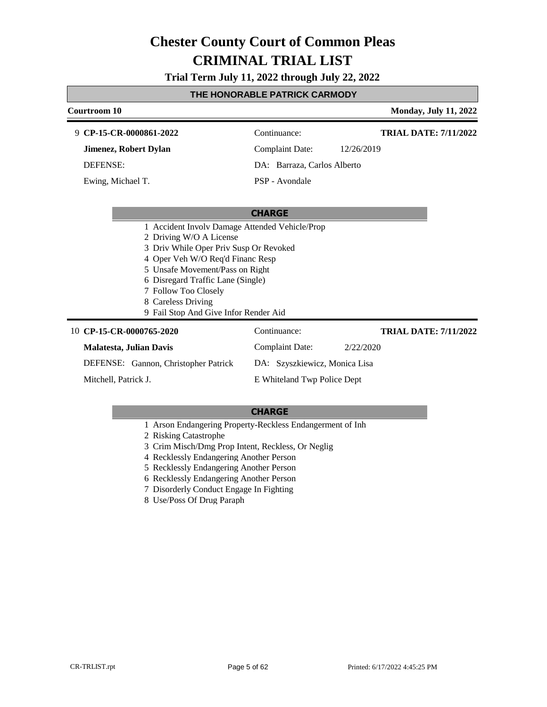### **Trial Term July 11, 2022 through July 22, 2022**

### **THE HONORABLE PATRICK CARMODY**

| Courtroom 10                                                                                                                                                                                                                                                                                                           |                               | <b>Monday, July 11, 2022</b> |
|------------------------------------------------------------------------------------------------------------------------------------------------------------------------------------------------------------------------------------------------------------------------------------------------------------------------|-------------------------------|------------------------------|
| 9 CP-15-CR-0000861-2022                                                                                                                                                                                                                                                                                                | Continuance:                  | <b>TRIAL DATE: 7/11/2022</b> |
| <b>Jimenez, Robert Dylan</b>                                                                                                                                                                                                                                                                                           | <b>Complaint Date:</b>        | 12/26/2019                   |
| <b>DEFENSE:</b>                                                                                                                                                                                                                                                                                                        | DA: Barraza, Carlos Alberto   |                              |
| Ewing, Michael T.                                                                                                                                                                                                                                                                                                      | PSP - Avondale                |                              |
|                                                                                                                                                                                                                                                                                                                        | <b>CHARGE</b>                 |                              |
| 1 Accident Involv Damage Attended Vehicle/Prop<br>2 Driving W/O A License<br>3 Driv While Oper Priv Susp Or Revoked<br>4 Oper Veh W/O Req'd Financ Resp<br>5 Unsafe Movement/Pass on Right<br>6 Disregard Traffic Lane (Single)<br>7 Follow Too Closely<br>8 Careless Driving<br>9 Fail Stop And Give Infor Render Aid |                               |                              |
| 10 CP-15-CR-0000765-2020                                                                                                                                                                                                                                                                                               | Continuance:                  | <b>TRIAL DATE: 7/11/2022</b> |
| <b>Malatesta, Julian Davis</b>                                                                                                                                                                                                                                                                                         | <b>Complaint Date:</b>        | 2/22/2020                    |
| DEFENSE: Gannon, Christopher Patrick                                                                                                                                                                                                                                                                                   | DA: Szyszkiewicz, Monica Lisa |                              |
| Mitchell, Patrick J.                                                                                                                                                                                                                                                                                                   | E Whiteland Twp Police Dept   |                              |

- 1 Arson Endangering Property-Reckless Endangerment of Inh
- 2 Risking Catastrophe
- 3 Crim Misch/Dmg Prop Intent, Reckless, Or Neglig
- 4 Recklessly Endangering Another Person
- 5 Recklessly Endangering Another Person
- 6 Recklessly Endangering Another Person
- 7 Disorderly Conduct Engage In Fighting
- 8 Use/Poss Of Drug Paraph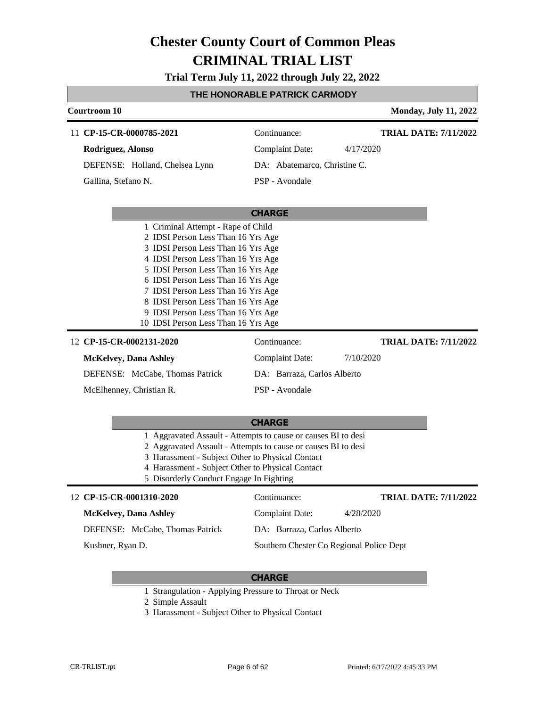**Trial Term July 11, 2022 through July 22, 2022**

#### **THE HONORABLE PATRICK CARMODY**

| Courtroom 10                                                                                                                                                                                                                                                                                                                                                                                                                                                                                                          |                                                                                         | <b>Monday, July 11, 2022</b>              |
|-----------------------------------------------------------------------------------------------------------------------------------------------------------------------------------------------------------------------------------------------------------------------------------------------------------------------------------------------------------------------------------------------------------------------------------------------------------------------------------------------------------------------|-----------------------------------------------------------------------------------------|-------------------------------------------|
| 11 CP-15-CR-0000785-2021                                                                                                                                                                                                                                                                                                                                                                                                                                                                                              | Continuance:                                                                            | <b>TRIAL DATE: 7/11/2022</b>              |
| Rodriguez, Alonso                                                                                                                                                                                                                                                                                                                                                                                                                                                                                                     | <b>Complaint Date:</b>                                                                  | 4/17/2020                                 |
| DEFENSE: Holland, Chelsea Lynn                                                                                                                                                                                                                                                                                                                                                                                                                                                                                        | DA: Abatemarco, Christine C.                                                            |                                           |
| Gallina, Stefano N.                                                                                                                                                                                                                                                                                                                                                                                                                                                                                                   | PSP - Avondale                                                                          |                                           |
|                                                                                                                                                                                                                                                                                                                                                                                                                                                                                                                       | <b>CHARGE</b>                                                                           |                                           |
| 1 Criminal Attempt - Rape of Child<br>2 IDSI Person Less Than 16 Yrs Age<br>3 IDSI Person Less Than 16 Yrs Age<br>4 IDSI Person Less Than 16 Yrs Age<br>5 IDSI Person Less Than 16 Yrs Age<br>6 IDSI Person Less Than 16 Yrs Age<br>7 IDSI Person Less Than 16 Yrs Age<br>8 IDSI Person Less Than 16 Yrs Age<br>9 IDSI Person Less Than 16 Yrs Age<br>10 IDSI Person Less Than 16 Yrs Age<br>12 CP-15-CR-0002131-2020<br><b>McKelvey</b> , Dana Ashley<br>DEFENSE: McCabe, Thomas Patrick<br>McElhenney, Christian R. | Continuance:<br><b>Complaint Date:</b><br>DA: Barraza, Carlos Alberto<br>PSP - Avondale | <b>TRIAL DATE: 7/11/2022</b><br>7/10/2020 |
|                                                                                                                                                                                                                                                                                                                                                                                                                                                                                                                       | <b>CHARGE</b>                                                                           |                                           |
| 1 Aggravated Assault - Attempts to cause or causes BI to desi<br>2 Aggravated Assault - Attempts to cause or causes BI to desi<br>3 Harassment - Subject Other to Physical Contact<br>4 Harassment - Subject Other to Physical Contact<br>5 Disorderly Conduct Engage In Fighting                                                                                                                                                                                                                                     |                                                                                         |                                           |
| 12 CP-15-CR-0001310-2020                                                                                                                                                                                                                                                                                                                                                                                                                                                                                              | Continuance:                                                                            | <b>TRIAL DATE: 7/11/2022</b>              |
| <b>McKelvey, Dana Ashley</b>                                                                                                                                                                                                                                                                                                                                                                                                                                                                                          | <b>Complaint Date:</b>                                                                  | 4/28/2020                                 |
| DEFENSE: McCabe, Thomas Patrick                                                                                                                                                                                                                                                                                                                                                                                                                                                                                       | DA: Barraza, Carlos Alberto                                                             |                                           |
| Kushner, Ryan D.                                                                                                                                                                                                                                                                                                                                                                                                                                                                                                      | Southern Chester Co Regional Police Dept                                                |                                           |

#### **CHARGE**

1 Strangulation - Applying Pressure to Throat or Neck

2 Simple Assault

3 Harassment - Subject Other to Physical Contact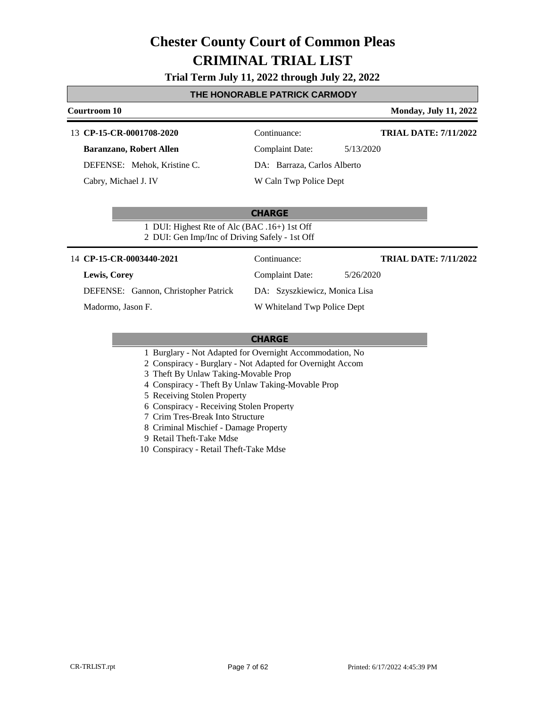#### **Trial Term July 11, 2022 through July 22, 2022**

#### **THE HONORABLE PATRICK CARMODY**

# **Courtroom 10 Monday, July 11, 2022**

# **TRIAL DATE: 7/11/2022**

#### 13 **CP-15-CR-0001708-2020** Continuance:

#### **Baranzano, Robert Allen**

DEFENSE: Mehok, Kristine C.

Cabry, Michael J. IV

Complaint Date: 5/13/2020

### W Caln Twp Police Dept

DA: Barraza, Carlos Alberto

#### **CHARGE**

1 DUI: Highest Rte of Alc (BAC .16+) 1st Off 2 DUI: Gen Imp/Inc of Driving Safely - 1st Off

#### 14 **CP-15-CR-0003440-2021** Continuance:

#### **TRIAL DATE: 7/11/2022**

DEFENSE: Gannon, Christopher Patrick

Madormo, Jason F.

**Lewis, Corey**

DA: Szyszkiewicz, Monica Lisa W Whiteland Twp Police Dept

Complaint Date: 5/26/2020

- 1 Burglary Not Adapted for Overnight Accommodation, No
- 2 Conspiracy Burglary Not Adapted for Overnight Accom
- 3 Theft By Unlaw Taking-Movable Prop
- 4 Conspiracy Theft By Unlaw Taking-Movable Prop
- 5 Receiving Stolen Property
- 6 Conspiracy Receiving Stolen Property
- 7 Crim Tres-Break Into Structure
- 8 Criminal Mischief Damage Property
- 9 Retail Theft-Take Mdse
- 10 Conspiracy Retail Theft-Take Mdse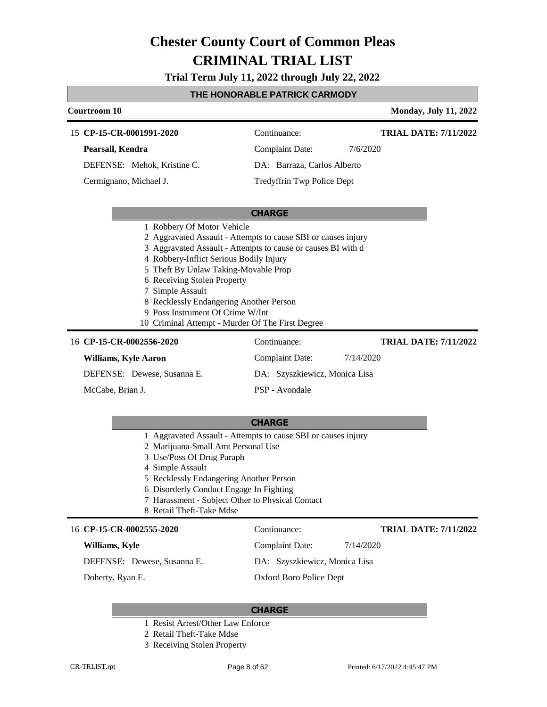**Trial Term July 11, 2022 through July 22, 2022**

#### **THE HONORABLE PATRICK CARMODY**

| <b>Courtroom 10</b>                                                                                                                                                                                                                                                   |                                                                                                                               | <b>Monday, July 11, 2022</b> |
|-----------------------------------------------------------------------------------------------------------------------------------------------------------------------------------------------------------------------------------------------------------------------|-------------------------------------------------------------------------------------------------------------------------------|------------------------------|
| 15 CP-15-CR-0001991-2020                                                                                                                                                                                                                                              | Continuance:                                                                                                                  | <b>TRIAL DATE: 7/11/2022</b> |
| Pearsall, Kendra                                                                                                                                                                                                                                                      | <b>Complaint Date:</b>                                                                                                        | 7/6/2020                     |
| DEFENSE: Mehok, Kristine C.                                                                                                                                                                                                                                           | DA: Barraza, Carlos Alberto                                                                                                   |                              |
| Cermignano, Michael J.                                                                                                                                                                                                                                                | Tredyffrin Twp Police Dept                                                                                                    |                              |
|                                                                                                                                                                                                                                                                       |                                                                                                                               |                              |
| 1 Robbery Of Motor Vehicle                                                                                                                                                                                                                                            | <b>CHARGE</b>                                                                                                                 |                              |
| 4 Robbery-Inflict Serious Bodily Injury<br>5 Theft By Unlaw Taking-Movable Prop<br>6 Receiving Stolen Property<br>7 Simple Assault<br>8 Recklessly Endangering Another Person<br>9 Poss Instrument Of Crime W/Int<br>10 Criminal Attempt - Murder Of The First Degree | 2 Aggravated Assault - Attempts to cause SBI or causes injury<br>3 Aggravated Assault - Attempts to cause or causes BI with d |                              |
| 16 CP-15-CR-0002556-2020                                                                                                                                                                                                                                              | Continuance:                                                                                                                  | <b>TRIAL DATE: 7/11/2022</b> |
| <b>Williams, Kyle Aaron</b>                                                                                                                                                                                                                                           | <b>Complaint Date:</b>                                                                                                        | 7/14/2020                    |
| DEFENSE: Dewese, Susanna E.                                                                                                                                                                                                                                           | DA: Szyszkiewicz, Monica Lisa                                                                                                 |                              |
| McCabe, Brian J.                                                                                                                                                                                                                                                      | PSP - Avondale                                                                                                                |                              |
|                                                                                                                                                                                                                                                                       |                                                                                                                               |                              |
|                                                                                                                                                                                                                                                                       | <b>CHARGE</b>                                                                                                                 |                              |
| 1 Aggravated Assault - Attempts to cause SBI or causes injury                                                                                                                                                                                                         |                                                                                                                               |                              |
| 2 Marijuana-Small Amt Personal Use<br>3 Use/Poss Of Drug Paraph                                                                                                                                                                                                       |                                                                                                                               |                              |
| 4 Simple Assault                                                                                                                                                                                                                                                      |                                                                                                                               |                              |
| 5 Recklessly Endangering Another Person                                                                                                                                                                                                                               |                                                                                                                               |                              |

- 6 Disorderly Conduct Engage In Fighting
- 7 Harassment Subject Other to Physical Contact
- 8 Retail Theft-Take Mdse

#### 16 **CP-15-CR-0002555-2020** Continuance:

#### **Williams, Kyle**

DEFENSE: Dewese, Susanna E.

Doherty, Ryan E.

**TRIAL DATE: 7/11/2022**

Complaint Date: 7/14/2020

DA: Szyszkiewicz, Monica Lisa

Oxford Boro Police Dept

- 1 Resist Arrest/Other Law Enforce
- 2 Retail Theft-Take Mdse
- 3 Receiving Stolen Property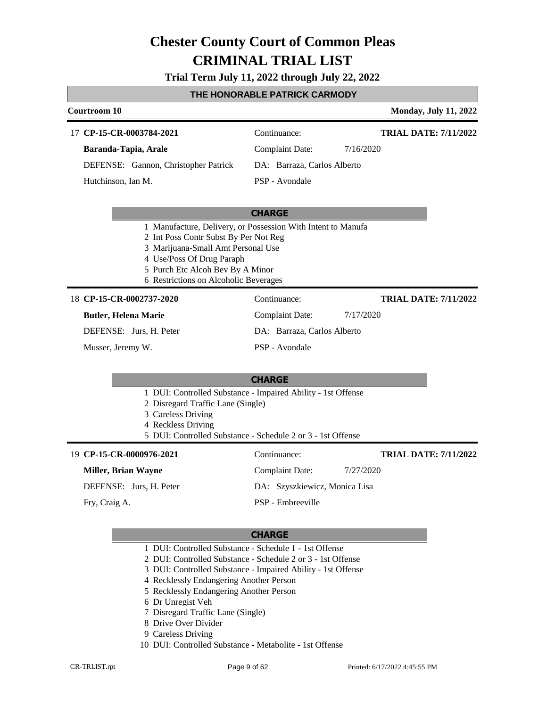### **Trial Term July 11, 2022 through July 22, 2022**

### **THE HONORABLE PATRICK CARMODY**

| Courtroom 10                                                                                                                                                                                                                                          |                               | <b>Monday, July 11, 2022</b> |
|-------------------------------------------------------------------------------------------------------------------------------------------------------------------------------------------------------------------------------------------------------|-------------------------------|------------------------------|
| 17 CP-15-CR-0003784-2021                                                                                                                                                                                                                              | Continuance:                  | <b>TRIAL DATE: 7/11/2022</b> |
| Baranda-Tapia, Arale                                                                                                                                                                                                                                  | <b>Complaint Date:</b>        | 7/16/2020                    |
| DEFENSE: Gannon, Christopher Patrick                                                                                                                                                                                                                  | DA: Barraza, Carlos Alberto   |                              |
| Hutchinson, Ian M.                                                                                                                                                                                                                                    | PSP - Avondale                |                              |
|                                                                                                                                                                                                                                                       | <b>CHARGE</b>                 |                              |
| 1 Manufacture, Delivery, or Possession With Intent to Manufa<br>2 Int Poss Contr Subst By Per Not Reg<br>3 Marijuana-Small Amt Personal Use<br>4 Use/Poss Of Drug Paraph<br>5 Purch Etc Alcoh Bev By A Minor<br>6 Restrictions on Alcoholic Beverages |                               |                              |
| 18 CP-15-CR-0002737-2020                                                                                                                                                                                                                              | Continuance:                  | <b>TRIAL DATE: 7/11/2022</b> |
| <b>Butler, Helena Marie</b>                                                                                                                                                                                                                           | <b>Complaint Date:</b>        | 7/17/2020                    |
| DEFENSE: Jurs, H. Peter                                                                                                                                                                                                                               | DA: Barraza, Carlos Alberto   |                              |
| Musser, Jeremy W.                                                                                                                                                                                                                                     | PSP - Avondale                |                              |
|                                                                                                                                                                                                                                                       | <b>CHARGE</b>                 |                              |
| 1 DUI: Controlled Substance - Impaired Ability - 1st Offense<br>2 Disregard Traffic Lane (Single)<br>3 Careless Driving<br>4 Reckless Driving<br>5 DUI: Controlled Substance - Schedule 2 or 3 - 1st Offense                                          |                               |                              |
| 19 CP-15-CR-0000976-2021                                                                                                                                                                                                                              | Continuance:                  | <b>TRIAL DATE: 7/11/2022</b> |
| <b>Miller, Brian Wayne</b>                                                                                                                                                                                                                            | Complaint Date:               | 7/27/2020                    |
| DEFENSE: Jurs, H. Peter                                                                                                                                                                                                                               | DA: Szyszkiewicz, Monica Lisa |                              |
| Fry, Craig A.                                                                                                                                                                                                                                         | PSP - Embreeville             |                              |
|                                                                                                                                                                                                                                                       |                               |                              |

- 1 DUI: Controlled Substance Schedule 1 1st Offense
- 2 DUI: Controlled Substance Schedule 2 or 3 1st Offense
- 3 DUI: Controlled Substance Impaired Ability 1st Offense
- 4 Recklessly Endangering Another Person
- 5 Recklessly Endangering Another Person
- 6 Dr Unregist Veh
- 7 Disregard Traffic Lane (Single)
- 8 Drive Over Divider
- 9 Careless Driving
- 10 DUI: Controlled Substance Metabolite 1st Offense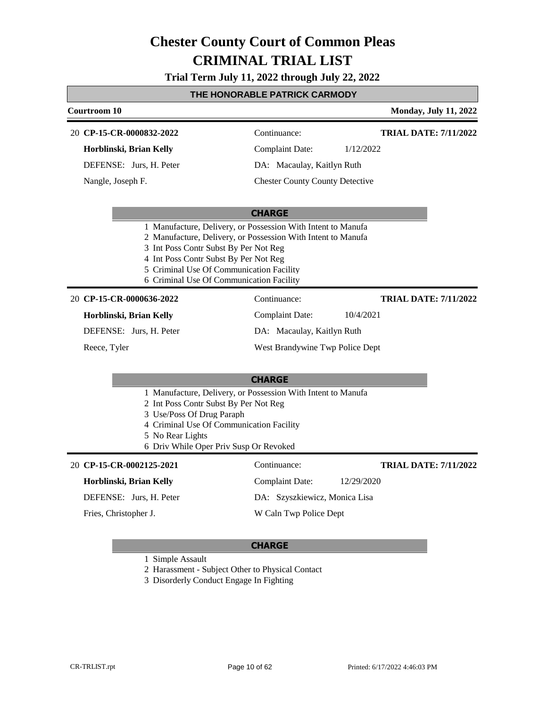**Trial Term July 11, 2022 through July 22, 2022**

### **THE HONORABLE PATRICK CARMODY**

| <b>Courtroom 10</b>                                                                                                                                                                                                                                                                                    |                                        | <b>Monday, July 11, 2022</b> |
|--------------------------------------------------------------------------------------------------------------------------------------------------------------------------------------------------------------------------------------------------------------------------------------------------------|----------------------------------------|------------------------------|
| 20 CP-15-CR-0000832-2022                                                                                                                                                                                                                                                                               | Continuance:                           | <b>TRIAL DATE: 7/11/2022</b> |
| Horblinski, Brian Kelly                                                                                                                                                                                                                                                                                | <b>Complaint Date:</b>                 | 1/12/2022                    |
| DEFENSE: Jurs, H. Peter                                                                                                                                                                                                                                                                                | DA: Macaulay, Kaitlyn Ruth             |                              |
| Nangle, Joseph F.                                                                                                                                                                                                                                                                                      | <b>Chester County County Detective</b> |                              |
|                                                                                                                                                                                                                                                                                                        | <b>CHARGE</b>                          |                              |
| 1 Manufacture, Delivery, or Possession With Intent to Manufa<br>2 Manufacture, Delivery, or Possession With Intent to Manufa<br>3 Int Poss Contr Subst By Per Not Reg<br>4 Int Poss Contr Subst By Per Not Reg<br>5 Criminal Use Of Communication Facility<br>6 Criminal Use Of Communication Facility |                                        |                              |
| 20 CP-15-CR-0000636-2022                                                                                                                                                                                                                                                                               | Continuance:                           | <b>TRIAL DATE: 7/11/2022</b> |
| Horblinski, Brian Kelly                                                                                                                                                                                                                                                                                | <b>Complaint Date:</b>                 | 10/4/2021                    |
| DEFENSE: Jurs, H. Peter                                                                                                                                                                                                                                                                                | DA: Macaulay, Kaitlyn Ruth             |                              |
| Reece, Tyler                                                                                                                                                                                                                                                                                           | West Brandywine Twp Police Dept        |                              |
|                                                                                                                                                                                                                                                                                                        | <b>CHARGE</b>                          |                              |
| 1 Manufacture, Delivery, or Possession With Intent to Manufa<br>2 Int Poss Contr Subst By Per Not Reg<br>3 Use/Poss Of Drug Paraph<br>4 Criminal Use Of Communication Facility<br>5 No Rear Lights<br>6 Driv While Oper Priv Susp Or Revoked                                                           |                                        |                              |
| 20 CP-15-CR-0002125-2021                                                                                                                                                                                                                                                                               | Continuance:                           | <b>TRIAL DATE: 7/11/2022</b> |
| Horblinski, Brian Kelly                                                                                                                                                                                                                                                                                | <b>Complaint Date:</b>                 | 12/29/2020                   |
| DEFENSE: Jurs, H. Peter                                                                                                                                                                                                                                                                                | DA: Szyszkiewicz, Monica Lisa          |                              |
| Fries, Christopher J.                                                                                                                                                                                                                                                                                  | W Caln Twp Police Dept                 |                              |
|                                                                                                                                                                                                                                                                                                        |                                        |                              |

#### **CHARGE**

1 Simple Assault

2 Harassment - Subject Other to Physical Contact

3 Disorderly Conduct Engage In Fighting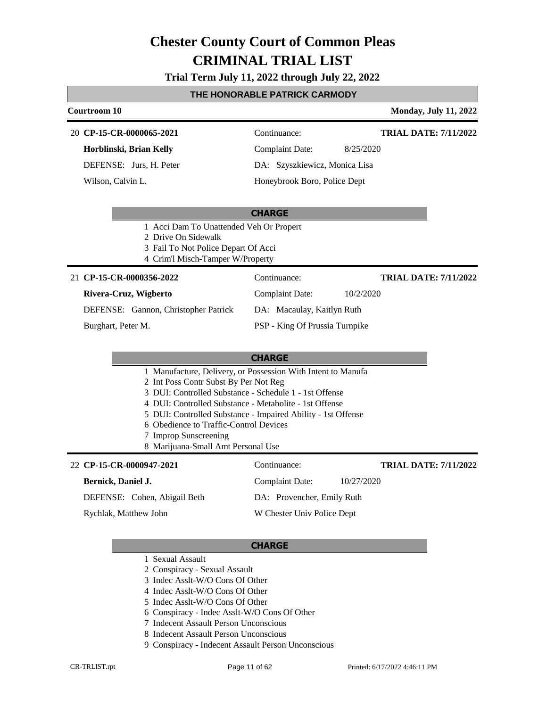#### **Trial Term July 11, 2022 through July 22, 2022**

#### **THE HONORABLE PATRICK CARMODY**

| Courtroom 10             |                               | <b>Monday, July 11, 2022</b> |
|--------------------------|-------------------------------|------------------------------|
| 20 CP-15-CR-0000065-2021 | Continuance:                  | <b>TRIAL DATE: 7/11/2022</b> |
| Horblinski, Brian Kelly  | Complaint Date:               | 8/25/2020                    |
| DEFENSE: Jurs, H. Peter  | DA: Szyszkiewicz, Monica Lisa |                              |
| Wilson, Calvin L.        | Honeybrook Boro, Police Dept  |                              |

#### **CHARGE**

- 1 Acci Dam To Unattended Veh Or Propert
- 2 Drive On Sidewalk
- 3 Fail To Not Police Depart Of Acci
- 4 Crim'l Misch-Tamper W/Property

| 21 CP-15-CR-0000356-2022             | Continuance:                   | <b>TRIAL DATE: 7/11/2022</b> |
|--------------------------------------|--------------------------------|------------------------------|
| Rivera-Cruz, Wigberto                | <b>Complaint Date:</b>         | 10/2/2020                    |
| DEFENSE: Gannon, Christopher Patrick | DA: Macaulay, Kaitlyn Ruth     |                              |
| Burghart, Peter M.                   | PSP - King Of Prussia Turnpike |                              |

#### **CHARGE**

- 1 Manufacture, Delivery, or Possession With Intent to Manufa
- 2 Int Poss Contr Subst By Per Not Reg
- 3 DUI: Controlled Substance Schedule 1 1st Offense
- 4 DUI: Controlled Substance Metabolite 1st Offense
- 5 DUI: Controlled Substance Impaired Ability 1st Offense
- 6 Obedience to Traffic-Control Devices
- 7 Improp Sunscreening
- 8 Marijuana-Small Amt Personal Use

#### **CP-15-CR-0000947-2021** 22 Continuance:

#### **Bernick, Daniel J.**

DEFENSE: Cohen, Abigail Beth

Rychlak, Matthew John

#### **CHARGE**

- 1 Sexual Assault
- 2 Conspiracy Sexual Assault
- 3 Indec Asslt-W/O Cons Of Other
- 4 Indec Asslt-W/O Cons Of Other
- 5 Indec Asslt-W/O Cons Of Other
- 6 Conspiracy Indec Asslt-W/O Cons Of Other
- 7 Indecent Assault Person Unconscious
- 8 Indecent Assault Person Unconscious
- 9 Conspiracy Indecent Assault Person Unconscious

Complaint Date: 10/27/2020 DA: Provencher, Emily Ruth W Chester Univ Police Dept **TRIAL DATE: 7/11/2022**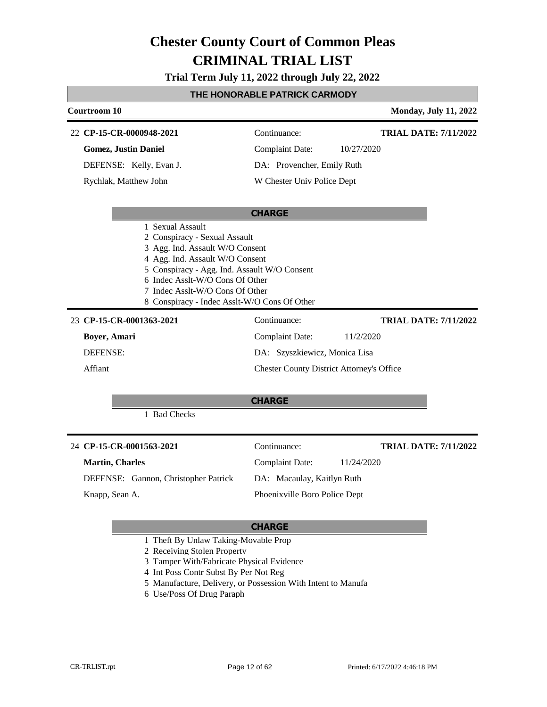**Trial Term July 11, 2022 through July 22, 2022**

### **THE HONORABLE PATRICK CARMODY**

| <b>Courtroom 10</b>                                                                                                                                                                                                                                                       |                                                  | <b>Monday, July 11, 2022</b> |
|---------------------------------------------------------------------------------------------------------------------------------------------------------------------------------------------------------------------------------------------------------------------------|--------------------------------------------------|------------------------------|
| 22 CP-15-CR-0000948-2021                                                                                                                                                                                                                                                  | Continuance:                                     | <b>TRIAL DATE: 7/11/2022</b> |
| <b>Gomez, Justin Daniel</b>                                                                                                                                                                                                                                               | <b>Complaint Date:</b>                           | 10/27/2020                   |
| DEFENSE: Kelly, Evan J.                                                                                                                                                                                                                                                   | DA: Provencher, Emily Ruth                       |                              |
| Rychlak, Matthew John                                                                                                                                                                                                                                                     | W Chester Univ Police Dept                       |                              |
|                                                                                                                                                                                                                                                                           |                                                  |                              |
|                                                                                                                                                                                                                                                                           | <b>CHARGE</b>                                    |                              |
| 2 Conspiracy - Sexual Assault<br>3 Agg. Ind. Assault W/O Consent<br>4 Agg. Ind. Assault W/O Consent<br>5 Conspiracy - Agg. Ind. Assault W/O Consent<br>6 Indec Asslt-W/O Cons Of Other<br>7 Indec Asslt-W/O Cons Of Other<br>8 Conspiracy - Indec Asslt-W/O Cons Of Other |                                                  |                              |
| 23 CP-15-CR-0001363-2021                                                                                                                                                                                                                                                  | Continuance:                                     | <b>TRIAL DATE: 7/11/2022</b> |
| Boyer, Amari                                                                                                                                                                                                                                                              | <b>Complaint Date:</b>                           | 11/2/2020                    |
| <b>DEFENSE:</b>                                                                                                                                                                                                                                                           | DA: Szyszkiewicz, Monica Lisa                    |                              |
| Affiant                                                                                                                                                                                                                                                                   | <b>Chester County District Attorney's Office</b> |                              |
|                                                                                                                                                                                                                                                                           |                                                  |                              |
|                                                                                                                                                                                                                                                                           | <b>CHARGE</b>                                    |                              |
| 1 Bad Checks                                                                                                                                                                                                                                                              |                                                  |                              |
| 24 CP-15-CR-0001563-2021                                                                                                                                                                                                                                                  | Continuance:                                     | <b>TRIAL DATE: 7/11/2022</b> |
| <b>Martin, Charles</b>                                                                                                                                                                                                                                                    | <b>Complaint Date:</b>                           | 11/24/2020                   |
| DEFENSE: Gannon, Christopher Patrick                                                                                                                                                                                                                                      | DA: Macaulay, Kaitlyn Ruth                       |                              |
| Knapp, Sean A.                                                                                                                                                                                                                                                            | Phoenixville Boro Police Dept                    |                              |

- 1 Theft By Unlaw Taking-Movable Prop
- 2 Receiving Stolen Property
- 3 Tamper With/Fabricate Physical Evidence
- 4 Int Poss Contr Subst By Per Not Reg
- 5 Manufacture, Delivery, or Possession With Intent to Manufa
- 6 Use/Poss Of Drug Paraph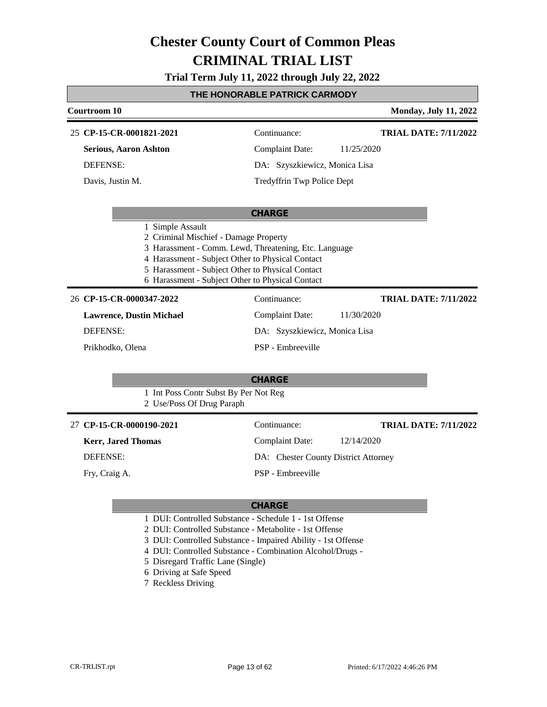**Trial Term July 11, 2022 through July 22, 2022**

### **THE HONORABLE PATRICK CARMODY**

| Courtroom 10                                                       |                                                                                                                                                                                                                   | <b>Monday, July 11, 2022</b> |
|--------------------------------------------------------------------|-------------------------------------------------------------------------------------------------------------------------------------------------------------------------------------------------------------------|------------------------------|
| 25 CP-15-CR-0001821-2021                                           | Continuance:                                                                                                                                                                                                      | <b>TRIAL DATE: 7/11/2022</b> |
| <b>Serious, Aaron Ashton</b>                                       | <b>Complaint Date:</b>                                                                                                                                                                                            | 11/25/2020                   |
| DEFENSE:                                                           | DA: Szyszkiewicz, Monica Lisa                                                                                                                                                                                     |                              |
| Davis, Justin M.                                                   | Tredyffrin Twp Police Dept                                                                                                                                                                                        |                              |
|                                                                    | <b>CHARGE</b>                                                                                                                                                                                                     |                              |
| 1 Simple Assault<br>2 Criminal Mischief - Damage Property          | 3 Harassment - Comm. Lewd, Threatening, Etc. Language<br>4 Harassment - Subject Other to Physical Contact<br>5 Harassment - Subject Other to Physical Contact<br>6 Harassment - Subject Other to Physical Contact |                              |
| 26 CP-15-CR-0000347-2022                                           | Continuance:                                                                                                                                                                                                      | <b>TRIAL DATE: 7/11/2022</b> |
| <b>Lawrence, Dustin Michael</b>                                    | <b>Complaint Date:</b>                                                                                                                                                                                            | 11/30/2020                   |
| <b>DEFENSE:</b>                                                    | DA: Szyszkiewicz, Monica Lisa                                                                                                                                                                                     |                              |
| Prikhodko, Olena                                                   | PSP - Embreeville                                                                                                                                                                                                 |                              |
|                                                                    | <b>CHARGE</b>                                                                                                                                                                                                     |                              |
| 1 Int Poss Contr Subst By Per Not Reg<br>2 Use/Poss Of Drug Paraph |                                                                                                                                                                                                                   |                              |
| 27 CP-15-CR-0000190-2021                                           | Continuance:                                                                                                                                                                                                      | <b>TRIAL DATE: 7/11/2022</b> |
| <b>Kerr, Jared Thomas</b>                                          | <b>Complaint Date:</b>                                                                                                                                                                                            | 12/14/2020                   |
| <b>DEFENSE:</b>                                                    | DA: Chester County District Attorney                                                                                                                                                                              |                              |
| Fry, Craig A.                                                      | PSP - Embreeville                                                                                                                                                                                                 |                              |
|                                                                    | <b>CHARGE</b>                                                                                                                                                                                                     |                              |
|                                                                    | 1 DUI: Controlled Substance - Schedule 1 - 1st Offense                                                                                                                                                            |                              |

2 DUI: Controlled Substance - Metabolite - 1st Offense

3 DUI: Controlled Substance - Impaired Ability - 1st Offense

4 DUI: Controlled Substance - Combination Alcohol/Drugs -

5 Disregard Traffic Lane (Single)

- 6 Driving at Safe Speed
- 7 Reckless Driving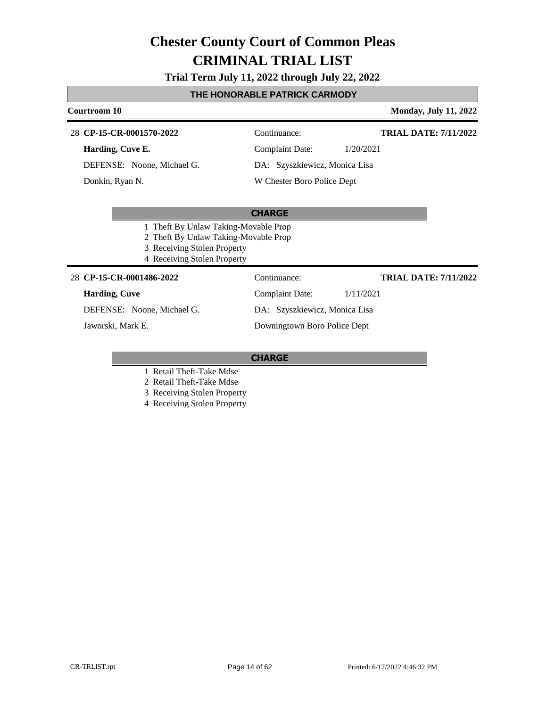### **Trial Term July 11, 2022 through July 22, 2022**

### **THE HONORABLE PATRICK CARMODY**

| Courtroom 10                         |                               |           | <b>Monday, July 11, 2022</b> |
|--------------------------------------|-------------------------------|-----------|------------------------------|
| 28 CP-15-CR-0001570-2022             | Continuance:                  |           | <b>TRIAL DATE: 7/11/2022</b> |
| Harding, Cuve E.                     | Complaint Date:               | 1/20/2021 |                              |
| DEFENSE: Noone, Michael G.           | DA: Szyszkiewicz, Monica Lisa |           |                              |
| Donkin, Ryan N.                      | W Chester Boro Police Dept    |           |                              |
|                                      |                               |           |                              |
|                                      | <b>CHARGE</b>                 |           |                              |
| 1 Theft By Unlaw Taking-Movable Prop |                               |           |                              |
| 2 Theft By Unlaw Taking-Movable Prop |                               |           |                              |
| 3 Receiving Stolen Property          |                               |           |                              |
| 4 Receiving Stolen Property          |                               |           |                              |
| 28 CP-15-CR-0001486-2022             | Continuance:                  |           | <b>TRIAL DATE: 7/11/2022</b> |
| <b>Harding, Cuve</b>                 | Complaint Date:               | 1/11/2021 |                              |

DEFENSE: Noone, Michael G. Jaworski, Mark E.

DA: Szyszkiewicz, Monica Lisa Downingtown Boro Police Dept

- 1 Retail Theft-Take Mdse
- 2 Retail Theft-Take Mdse
- 3 Receiving Stolen Property
- 4 Receiving Stolen Property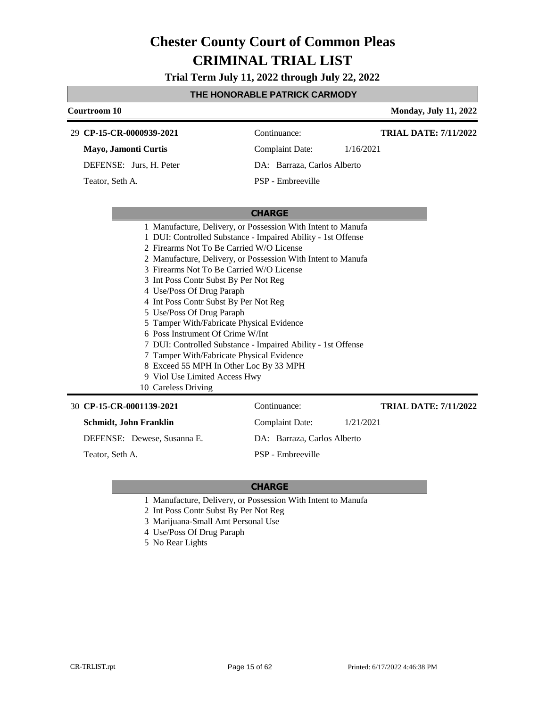**Trial Term July 11, 2022 through July 22, 2022**

#### **THE HONORABLE PATRICK CARMODY**

| Courtroom 10                |                                                              |                             |           | <b>Monday, July 11, 2022</b> |
|-----------------------------|--------------------------------------------------------------|-----------------------------|-----------|------------------------------|
| 29 CP-15-CR-0000939-2021    |                                                              | Continuance:                |           | <b>TRIAL DATE: 7/11/2022</b> |
| <b>Mayo, Jamonti Curtis</b> |                                                              | Complaint Date:             | 1/16/2021 |                              |
| DEFENSE: Jurs, H. Peter     |                                                              | DA: Barraza, Carlos Alberto |           |                              |
| Teator, Seth A.             |                                                              | PSP - Embreeville           |           |                              |
|                             |                                                              |                             |           |                              |
|                             |                                                              | <b>CHARGE</b>               |           |                              |
|                             | 1 Manufacture, Delivery, or Possession With Intent to Manufa |                             |           |                              |
|                             | 1 DUI: Controlled Substance - Impaired Ability - 1st Offense |                             |           |                              |
|                             | 2 Firearms Not To Be Carried W/O License                     |                             |           |                              |
|                             | 2 Manufacture, Delivery, or Possession With Intent to Manufa |                             |           |                              |
|                             | 3 Firearms Not To Be Carried W/O License                     |                             |           |                              |
|                             | 3 Int Poss Contr Subst By Per Not Reg                        |                             |           |                              |
|                             | 4 Use/Poss Of Drug Paraph                                    |                             |           |                              |
|                             | 4 Int Poss Contr Subst By Per Not Reg                        |                             |           |                              |
|                             | 5 Use/Poss Of Drug Paraph                                    |                             |           |                              |
|                             |                                                              |                             |           |                              |

- 5 Tamper With/Fabricate Physical Evidence
- 6 Poss Instrument Of Crime W/Int
- 7 DUI: Controlled Substance Impaired Ability 1st Offense
- 7 Tamper With/Fabricate Physical Evidence
- 8 Exceed 55 MPH In Other Loc By 33 MPH
- 9 Viol Use Limited Access Hwy
- 10 Careless Driving

#### **CP-15-CR-0001139-2021** 30 Continuance:

**Schmidt, John Franklin**

DEFENSE: Dewese, Susanna E.

Teator, Seth A.

DA: Barraza, Carlos Alberto

Complaint Date: 1/21/2021

PSP - Embreeville

#### **CHARGE**

- 1 Manufacture, Delivery, or Possession With Intent to Manufa
- 2 Int Poss Contr Subst By Per Not Reg
- 3 Marijuana-Small Amt Personal Use
- 4 Use/Poss Of Drug Paraph
- 5 No Rear Lights

**TRIAL DATE: 7/11/2022**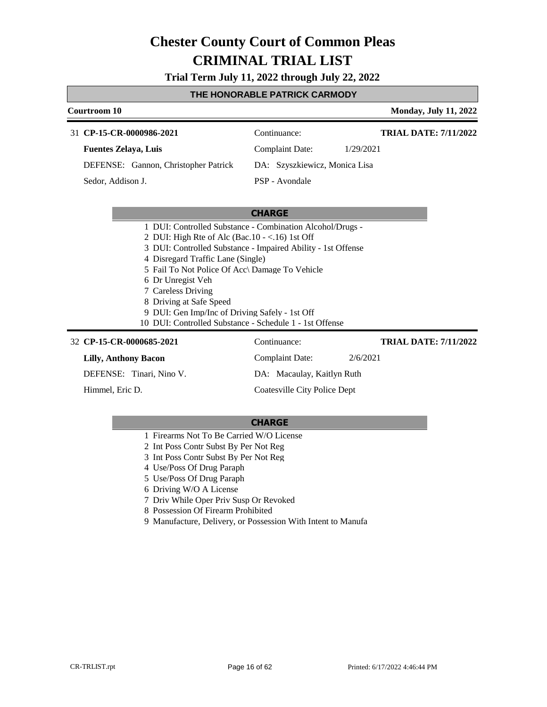**Trial Term July 11, 2022 through July 22, 2022**

#### **THE HONORABLE PATRICK CARMODY**

| Courtroom 10                         |                               | <b>Monday, July 11, 2022</b> |
|--------------------------------------|-------------------------------|------------------------------|
| 31 CP-15-CR-0000986-2021             | Continuance:                  | <b>TRIAL DATE: 7/11/2022</b> |
| <b>Fuentes Zelaya, Luis</b>          | Complaint Date:               | 1/29/2021                    |
| DEFENSE: Gannon, Christopher Patrick | DA: Szyszkiewicz, Monica Lisa |                              |
| Sedor, Addison J.                    | PSP - Avondale                |                              |

#### **CHARGE**

- 1 DUI: Controlled Substance Combination Alcohol/Drugs -
- 2 DUI: High Rte of Alc (Bac.10 <.16) 1st Off
- 3 DUI: Controlled Substance Impaired Ability 1st Offense
- 4 Disregard Traffic Lane (Single)
- 5 Fail To Not Police Of Acc\ Damage To Vehicle
- 6 Dr Unregist Veh
- 7 Careless Driving
- 8 Driving at Safe Speed
- 9 DUI: Gen Imp/Inc of Driving Safely 1st Off
- 10 DUI: Controlled Substance Schedule 1 1st Offense

| 32 CP-15-CR-0000685-2021    | Continuance:                 | <b>TRIAL DATE: 7/11/2022</b> |
|-----------------------------|------------------------------|------------------------------|
| <b>Lilly, Anthony Bacon</b> | Complaint Date:              | 2/6/2021                     |
| DEFENSE: Tinari, Nino V.    | DA: Macaulay, Kaitlyn Ruth   |                              |
| Himmel, Eric D.             | Coatesville City Police Dept |                              |

- 1 Firearms Not To Be Carried W/O License
- 2 Int Poss Contr Subst By Per Not Reg
- 3 Int Poss Contr Subst By Per Not Reg
- 4 Use/Poss Of Drug Paraph
- 5 Use/Poss Of Drug Paraph
- 6 Driving W/O A License
- 7 Driv While Oper Priv Susp Or Revoked
- 8 Possession Of Firearm Prohibited
- 9 Manufacture, Delivery, or Possession With Intent to Manufa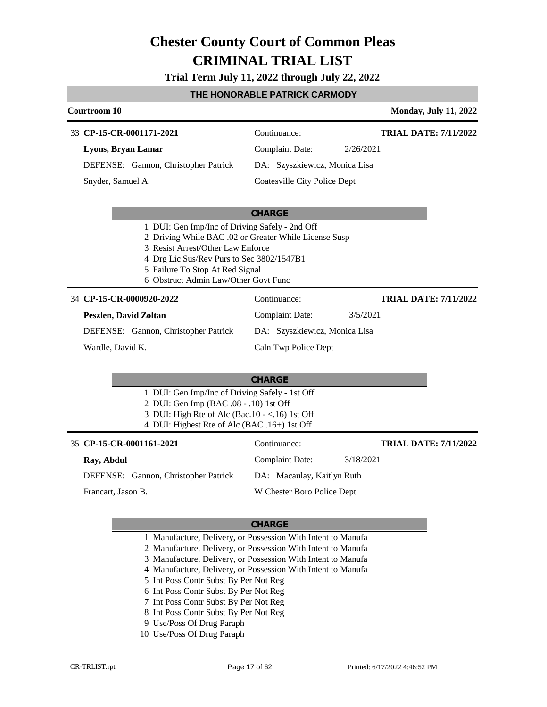**Trial Term July 11, 2022 through July 22, 2022**

#### **THE HONORABLE PATRICK CARMODY**

| <b>Courtroom 10</b>                                                                                                                                                                                                                                                  |                               | <b>Monday, July 11, 2022</b> |
|----------------------------------------------------------------------------------------------------------------------------------------------------------------------------------------------------------------------------------------------------------------------|-------------------------------|------------------------------|
| 33 CP-15-CR-0001171-2021                                                                                                                                                                                                                                             | Continuance:                  | <b>TRIAL DATE: 7/11/2022</b> |
| Lyons, Bryan Lamar                                                                                                                                                                                                                                                   | <b>Complaint Date:</b>        | 2/26/2021                    |
| DEFENSE: Gannon, Christopher Patrick                                                                                                                                                                                                                                 | DA: Szyszkiewicz, Monica Lisa |                              |
| Snyder, Samuel A.                                                                                                                                                                                                                                                    | Coatesville City Police Dept  |                              |
|                                                                                                                                                                                                                                                                      | <b>CHARGE</b>                 |                              |
| 1 DUI: Gen Imp/Inc of Driving Safely - 2nd Off<br>2 Driving While BAC .02 or Greater While License Susp<br>3 Resist Arrest/Other Law Enforce<br>4 Drg Lic Sus/Rev Purs to Sec 3802/1547B1<br>5 Failure To Stop At Red Signal<br>6 Obstruct Admin Law/Other Govt Func |                               |                              |
| 34 CP-15-CR-0000920-2022                                                                                                                                                                                                                                             | Continuance:                  | <b>TRIAL DATE: 7/11/2022</b> |
| <b>Peszlen, David Zoltan</b>                                                                                                                                                                                                                                         | <b>Complaint Date:</b>        | 3/5/2021                     |
| DEFENSE: Gannon, Christopher Patrick                                                                                                                                                                                                                                 | DA: Szyszkiewicz, Monica Lisa |                              |
| Wardle, David K.                                                                                                                                                                                                                                                     | Caln Twp Police Dept          |                              |
|                                                                                                                                                                                                                                                                      | <b>CHARGE</b>                 |                              |
| 1 DUI: Gen Imp/Inc of Driving Safely - 1st Off<br>2 DUI: Gen Imp (BAC .08 - .10) 1st Off<br>3 DUI: High Rte of Alc (Bac.10 - <.16) 1st Off<br>4 DUI: Highest Rte of Alc (BAC .16+) 1st Off                                                                           |                               |                              |
| 35 CP-15-CR-0001161-2021                                                                                                                                                                                                                                             | Continuance:                  | <b>TRIAL DATE: 7/11/2022</b> |
| Ray, Abdul                                                                                                                                                                                                                                                           | <b>Complaint Date:</b>        | 3/18/2021                    |
| DEFENSE: Gannon, Christopher Patrick                                                                                                                                                                                                                                 | DA: Macaulay, Kaitlyn Ruth    |                              |
| Francart, Jason B.                                                                                                                                                                                                                                                   | W Chester Boro Police Dept    |                              |

### **CHARGE**

1 Manufacture, Delivery, or Possession With Intent to Manufa

2 Manufacture, Delivery, or Possession With Intent to Manufa

- 3 Manufacture, Delivery, or Possession With Intent to Manufa
- 4 Manufacture, Delivery, or Possession With Intent to Manufa
- 5 Int Poss Contr Subst By Per Not Reg
- 6 Int Poss Contr Subst By Per Not Reg
- 7 Int Poss Contr Subst By Per Not Reg
- 8 Int Poss Contr Subst By Per Not Reg
- 9 Use/Poss Of Drug Paraph
- 10 Use/Poss Of Drug Paraph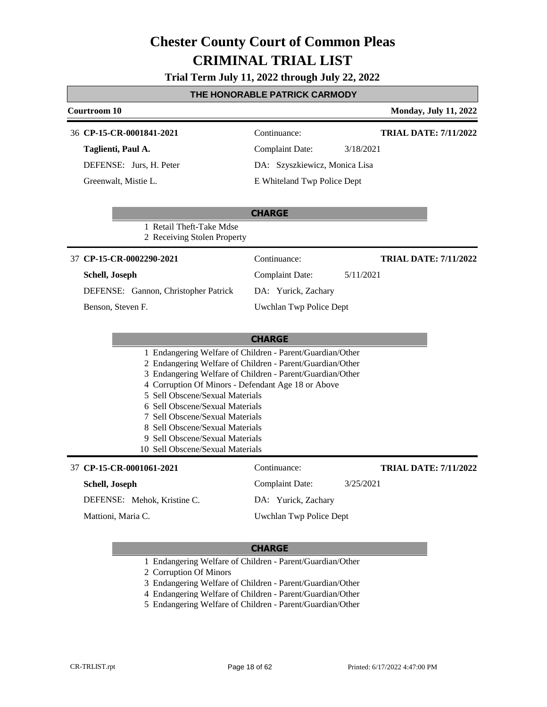### **Trial Term July 11, 2022 through July 22, 2022**

#### **THE HONORABLE PATRICK CARMODY**

| Courtroom 10                                                                                                           |                               | <b>Monday, July 11, 2022</b> |
|------------------------------------------------------------------------------------------------------------------------|-------------------------------|------------------------------|
| 36 CP-15-CR-0001841-2021                                                                                               | Continuance:                  | <b>TRIAL DATE: 7/11/2022</b> |
| Taglienti, Paul A.                                                                                                     | <b>Complaint Date:</b>        | 3/18/2021                    |
| DEFENSE: Jurs, H. Peter                                                                                                | DA: Szyszkiewicz, Monica Lisa |                              |
| Greenwalt, Mistie L.                                                                                                   | E Whiteland Twp Police Dept   |                              |
|                                                                                                                        | <b>CHARGE</b>                 |                              |
| 1 Retail Theft-Take Mdse<br>2 Receiving Stolen Property                                                                |                               |                              |
| 37 CP-15-CR-0002290-2021                                                                                               | Continuance:                  | <b>TRIAL DATE: 7/11/2022</b> |
| Schell, Joseph                                                                                                         | <b>Complaint Date:</b>        | 5/11/2021                    |
| DEFENSE: Gannon, Christopher Patrick                                                                                   | DA: Yurick, Zachary           |                              |
| Benson, Steven F.                                                                                                      | Uwchlan Twp Police Dept       |                              |
|                                                                                                                        |                               |                              |
|                                                                                                                        | <b>CHARGE</b>                 |                              |
| 1 Endangering Welfare of Children - Parent/Guardian/Other                                                              |                               |                              |
| 2 Endangering Welfare of Children - Parent/Guardian/Other<br>3 Endangering Welfare of Children - Parent/Guardian/Other |                               |                              |
| 4 Corruption Of Minors - Defendant Age 18 or Above                                                                     |                               |                              |
| 5 Sell Obscene/Sexual Materials                                                                                        |                               |                              |
| 6 Sell Obscene/Sexual Materials<br>7 Sell Obscene/Sexual Materials                                                     |                               |                              |
| 8 Sell Obscene/Sexual Materials                                                                                        |                               |                              |
| 9 Sell Obscene/Sexual Materials                                                                                        |                               |                              |
| 10 Sell Obscene/Sexual Materials                                                                                       |                               |                              |
| 37 CP-15-CR-0001061-2021                                                                                               | Continuance:                  | <b>TRIAL DATE: 7/11/2022</b> |
| Schell, Joseph                                                                                                         | <b>Complaint Date:</b>        | 3/25/2021                    |
| DEFENSE: Mehok, Kristine C.                                                                                            | DA: Yurick, Zachary           |                              |
| Mattioni, Maria C.                                                                                                     | Uwchlan Twp Police Dept       |                              |
|                                                                                                                        |                               |                              |

- 1 Endangering Welfare of Children Parent/Guardian/Other
- 2 Corruption Of Minors
- 3 Endangering Welfare of Children Parent/Guardian/Other
- 4 Endangering Welfare of Children Parent/Guardian/Other
- 5 Endangering Welfare of Children Parent/Guardian/Other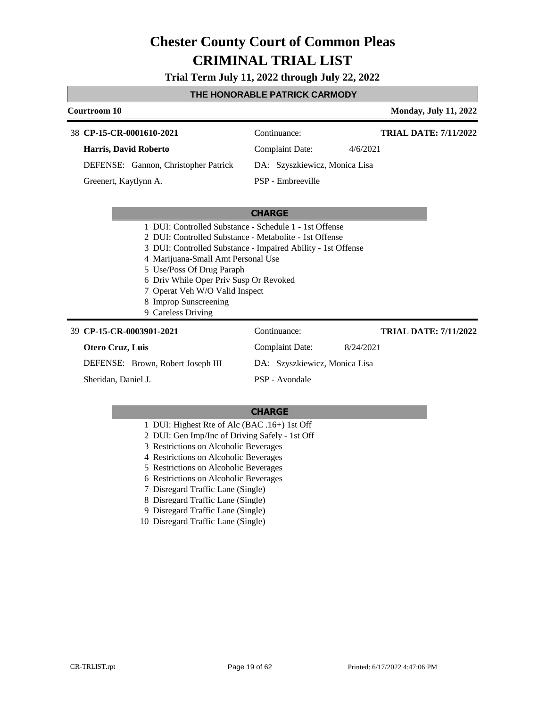**Trial Term July 11, 2022 through July 22, 2022**

#### **THE HONORABLE PATRICK CARMODY**

| Courtroom 10                                                                                                           |                               | <b>Monday, July 11, 2022</b> |
|------------------------------------------------------------------------------------------------------------------------|-------------------------------|------------------------------|
| 38 CP-15-CR-0001610-2021                                                                                               | Continuance:                  | <b>TRIAL DATE: 7/11/2022</b> |
| Harris, David Roberto                                                                                                  | Complaint Date:               | 4/6/2021                     |
| DEFENSE: Gannon, Christopher Patrick                                                                                   | DA: Szyszkiewicz, Monica Lisa |                              |
| Greenert, Kaytlynn A.                                                                                                  | PSP - Embreeville             |                              |
|                                                                                                                        |                               |                              |
|                                                                                                                        | <b>CHARGE</b>                 |                              |
| 1 DUI: Controlled Substance - Schedule 1 - 1st Offense                                                                 |                               |                              |
| 2. DUI: Controlled Substance - Metabolite - 1st Offense                                                                |                               |                              |
| $2.11$ MHz, $\alpha$ , $\ldots$ in $1.10$ , $1.1$ and $\ldots$ . The set of $1.11$ is $\ldots$ in $\alpha$ if $\ldots$ |                               |                              |

- 3 DUI: Controlled Substance Impaired Ability 1st Offense
- 4 Marijuana-Small Amt Personal Use
- 5 Use/Poss Of Drug Paraph
- 6 Driv While Oper Priv Susp Or Revoked
- 7 Operat Veh W/O Valid Inspect
- 8 Improp Sunscreening
- 9 Careless Driving

#### **CP-15-CR-0003901-2021** 39 Continuance: **Otero Cruz, Luis** DEFENSE: Brown, Robert Joseph III Complaint Date: 8/24/2021 DA: Szyszkiewicz, Monica Lisa PSP - Avondale **TRIAL DATE: 7/11/2022** Sheridan, Daniel J.

- 1 DUI: Highest Rte of Alc (BAC .16+) 1st Off
- 2 DUI: Gen Imp/Inc of Driving Safely 1st Off
- 3 Restrictions on Alcoholic Beverages
- 4 Restrictions on Alcoholic Beverages
- 5 Restrictions on Alcoholic Beverages
- 6 Restrictions on Alcoholic Beverages
- 7 Disregard Traffic Lane (Single)
- 8 Disregard Traffic Lane (Single)
- 9 Disregard Traffic Lane (Single)
- 10 Disregard Traffic Lane (Single)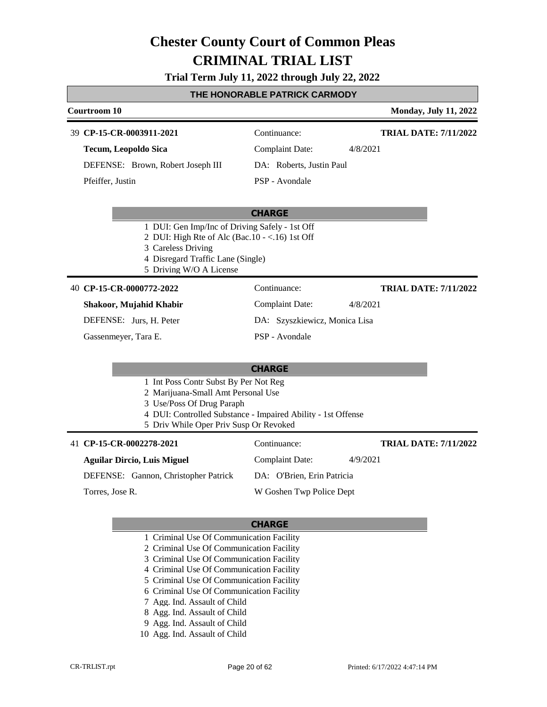#### **Trial Term July 11, 2022 through July 22, 2022**

#### **THE HONORABLE PATRICK CARMODY**

| Courtroom 10                                      |                                                | <b>Monday, July 11, 2022</b>  |
|---------------------------------------------------|------------------------------------------------|-------------------------------|
| 39 CP-15-CR-0003911-2021                          | Continuance:                                   | <b>TRIAL DATE: 7/11/2022</b>  |
| Tecum, Leopoldo Sica                              | Complaint Date:                                | 4/8/2021                      |
| DEFENSE: Brown, Robert Joseph III                 | DA: Roberts, Justin Paul                       |                               |
| Pfeiffer, Justin                                  | PSP - Avondale                                 |                               |
|                                                   |                                                |                               |
|                                                   | <b>CHARGE</b>                                  |                               |
| 1 DUI: Gen Imp/Inc of Driving Safely - 1st Off    |                                                |                               |
| 2 DUI: High Rte of Alc (Bac. $10 - <16$ ) 1st Off |                                                |                               |
| 3 Careless Driving                                |                                                |                               |
| 4 Disregard Traffic Lane (Single)                 |                                                |                               |
| 5 Driving W/O A License                           |                                                |                               |
| 40 CP-15-CR-0000772-2022                          | Continuance:                                   | <b>TRIAL DATE: 7/11/2022</b>  |
| Chalean Mutabid Vhabin                            | $C_{\alpha}$ $\alpha$ $\beta$ $\alpha$ $\beta$ | $(1)$ $(0)$ $(0)$ $(0)$ $(1)$ |

| Shakoor, Mujahid Khabir |  |
|-------------------------|--|
| DEFENSE: Jurs. H. Peter |  |
| Gassenmeyer, Tara E.    |  |

### Complaint Date: 4/8/2021 DA: Szyszkiewicz, Monica Lisa PSP - Avondale

#### **CHARGE**

- 1 Int Poss Contr Subst By Per Not Reg
- 2 Marijuana-Small Amt Personal Use
- 3 Use/Poss Of Drug Paraph
- 4 DUI: Controlled Substance Impaired Ability 1st Offense
- 5 Driv While Oper Priv Susp Or Revoked

#### 41 **CP-15-CR-0002278-2021** Continuance: **Aguilar Dircio, Luis Miguel** DEFENSE: Gannon, Christopher Patrick Complaint Date: 4/9/2021 DA: O'Brien, Erin Patricia W Goshen Twp Police Dept **TRIAL DATE: 7/11/2022** Torres, Jose R.

- 1 Criminal Use Of Communication Facility
- 2 Criminal Use Of Communication Facility
- 3 Criminal Use Of Communication Facility
- 4 Criminal Use Of Communication Facility
- 5 Criminal Use Of Communication Facility
- 6 Criminal Use Of Communication Facility
- 7 Agg. Ind. Assault of Child
- 8 Agg. Ind. Assault of Child
- 9 Agg. Ind. Assault of Child
- 10 Agg. Ind. Assault of Child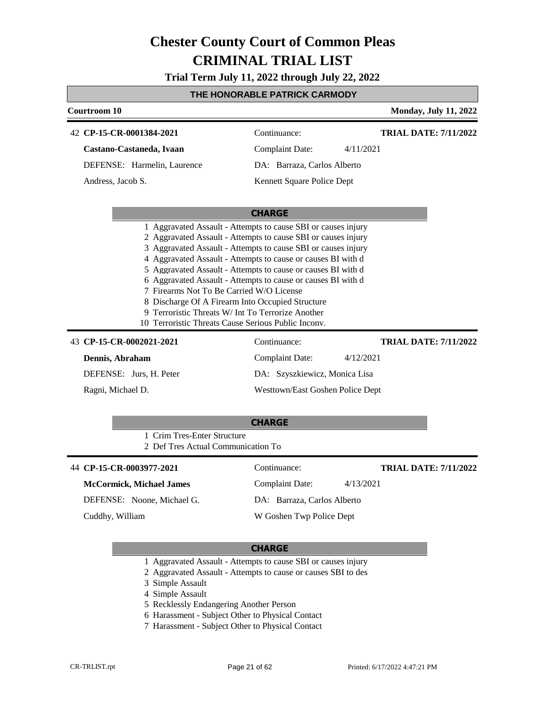**Trial Term July 11, 2022 through July 22, 2022**

#### **THE HONORABLE PATRICK CARMODY**

| <b>Courtroom 10</b>             |                                                                                                                                                                                                                                                                                                                                                                                                                                                                                                                                            |                                  |           | <b>Monday, July 11, 2022</b> |
|---------------------------------|--------------------------------------------------------------------------------------------------------------------------------------------------------------------------------------------------------------------------------------------------------------------------------------------------------------------------------------------------------------------------------------------------------------------------------------------------------------------------------------------------------------------------------------------|----------------------------------|-----------|------------------------------|
| 42 CP-15-CR-0001384-2021        |                                                                                                                                                                                                                                                                                                                                                                                                                                                                                                                                            | Continuance:                     |           | <b>TRIAL DATE: 7/11/2022</b> |
| Castano-Castaneda, Ivaan        |                                                                                                                                                                                                                                                                                                                                                                                                                                                                                                                                            | <b>Complaint Date:</b>           | 4/11/2021 |                              |
|                                 | DEFENSE: Harmelin, Laurence                                                                                                                                                                                                                                                                                                                                                                                                                                                                                                                | DA: Barraza, Carlos Alberto      |           |                              |
| Andress, Jacob S.               |                                                                                                                                                                                                                                                                                                                                                                                                                                                                                                                                            | Kennett Square Police Dept       |           |                              |
|                                 |                                                                                                                                                                                                                                                                                                                                                                                                                                                                                                                                            | <b>CHARGE</b>                    |           |                              |
|                                 | 2 Aggravated Assault - Attempts to cause SBI or causes injury<br>3 Aggravated Assault - Attempts to cause SBI or causes injury<br>4 Aggravated Assault - Attempts to cause or causes BI with d<br>5 Aggravated Assault - Attempts to cause or causes BI with d<br>6 Aggravated Assault - Attempts to cause or causes BI with d<br>7 Firearms Not To Be Carried W/O License<br>8 Discharge Of A Firearm Into Occupied Structure<br>9 Terroristic Threats W/ Int To Terrorize Another<br>10 Terroristic Threats Cause Serious Public Inconv. |                                  |           |                              |
| 43 CP-15-CR-0002021-2021        |                                                                                                                                                                                                                                                                                                                                                                                                                                                                                                                                            | Continuance:                     |           | <b>TRIAL DATE: 7/11/2022</b> |
| Dennis, Abraham                 |                                                                                                                                                                                                                                                                                                                                                                                                                                                                                                                                            | <b>Complaint Date:</b>           | 4/12/2021 |                              |
| DEFENSE: Jurs, H. Peter         |                                                                                                                                                                                                                                                                                                                                                                                                                                                                                                                                            | DA: Szyszkiewicz, Monica Lisa    |           |                              |
| Ragni, Michael D.               |                                                                                                                                                                                                                                                                                                                                                                                                                                                                                                                                            | Westtown/East Goshen Police Dept |           |                              |
|                                 | 1 Crim Tres-Enter Structure<br>2 Def Tres Actual Communication To                                                                                                                                                                                                                                                                                                                                                                                                                                                                          | <b>CHARGE</b>                    |           |                              |
| 44 CP-15-CR-0003977-2021        |                                                                                                                                                                                                                                                                                                                                                                                                                                                                                                                                            | Continuance:                     |           | <b>TRIAL DATE: 7/11/2022</b> |
| <b>McCormick, Michael James</b> |                                                                                                                                                                                                                                                                                                                                                                                                                                                                                                                                            | <b>Complaint Date:</b>           | 4/13/2021 |                              |
| DEFENSE: Noone, Michael G.      |                                                                                                                                                                                                                                                                                                                                                                                                                                                                                                                                            | DA: Barraza, Carlos Alberto      |           |                              |
| Cuddhy, William                 |                                                                                                                                                                                                                                                                                                                                                                                                                                                                                                                                            | W Goshen Twp Police Dept         |           |                              |
|                                 |                                                                                                                                                                                                                                                                                                                                                                                                                                                                                                                                            |                                  |           |                              |

- 1 Aggravated Assault Attempts to cause SBI or causes injury
- 2 Aggravated Assault Attempts to cause or causes SBI to des
- 3 Simple Assault
- 4 Simple Assault
- 5 Recklessly Endangering Another Person
- 6 Harassment Subject Other to Physical Contact
- 7 Harassment Subject Other to Physical Contact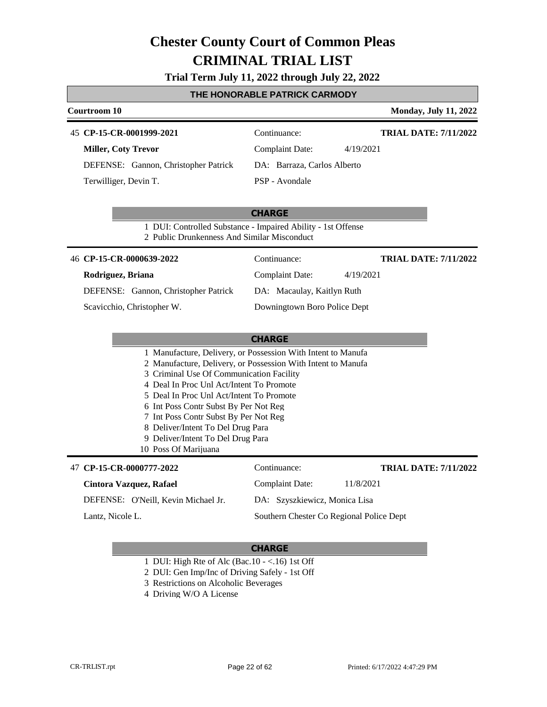### **Trial Term July 11, 2022 through July 22, 2022**

#### **THE HONORABLE PATRICK CARMODY**

| Courtroom 10                                                                                                                                                             |                                          | <b>Monday, July 11, 2022</b> |
|--------------------------------------------------------------------------------------------------------------------------------------------------------------------------|------------------------------------------|------------------------------|
| 45 CP-15-CR-0001999-2021                                                                                                                                                 | Continuance:                             | <b>TRIAL DATE: 7/11/2022</b> |
| <b>Miller, Coty Trevor</b>                                                                                                                                               | <b>Complaint Date:</b>                   | 4/19/2021                    |
| DEFENSE: Gannon, Christopher Patrick                                                                                                                                     | DA: Barraza, Carlos Alberto              |                              |
| Terwilliger, Devin T.                                                                                                                                                    | PSP - Avondale                           |                              |
| 1 DUI: Controlled Substance - Impaired Ability - 1st Offense                                                                                                             | <b>CHARGE</b>                            |                              |
| 2 Public Drunkenness And Similar Misconduct                                                                                                                              |                                          |                              |
| 46 CP-15-CR-0000639-2022                                                                                                                                                 | Continuance:                             | <b>TRIAL DATE: 7/11/2022</b> |
| Rodriguez, Briana                                                                                                                                                        | <b>Complaint Date:</b>                   | 4/19/2021                    |
| DEFENSE: Gannon, Christopher Patrick                                                                                                                                     | DA: Macaulay, Kaitlyn Ruth               |                              |
| Scavicchio, Christopher W.                                                                                                                                               | Downingtown Boro Police Dept             |                              |
|                                                                                                                                                                          |                                          |                              |
|                                                                                                                                                                          | <b>CHARGE</b>                            |                              |
| 1 Manufacture, Delivery, or Possession With Intent to Manufa<br>2 Manufacture, Delivery, or Possession With Intent to Manufa<br>3 Criminal Use Of Communication Facility |                                          |                              |
| 4 Deal In Proc Unl Act/Intent To Promote                                                                                                                                 |                                          |                              |
| 5 Deal In Proc Unl Act/Intent To Promote                                                                                                                                 |                                          |                              |
| 6 Int Poss Contr Subst By Per Not Reg<br>7 Int Poss Contr Subst By Per Not Reg                                                                                           |                                          |                              |
| 8 Deliver/Intent To Del Drug Para                                                                                                                                        |                                          |                              |
| 9 Deliver/Intent To Del Drug Para<br>10 Poss Of Marijuana                                                                                                                |                                          |                              |
|                                                                                                                                                                          |                                          |                              |
| 47 CP-15-CR-0000777-2022                                                                                                                                                 | Continuance:                             | <b>TRIAL DATE: 7/11/2022</b> |
| Cintora Vazquez, Rafael                                                                                                                                                  | <b>Complaint Date:</b>                   | 11/8/2021                    |
| DEFENSE: O'Neill, Kevin Michael Jr.                                                                                                                                      | DA: Szyszkiewicz, Monica Lisa            |                              |
| Lantz. Nicole L.                                                                                                                                                         | Southern Chester Co Regional Police Dept |                              |

#### **CHARGE**

1 DUI: High Rte of Alc (Bac.10 - <.16) 1st Off

2 DUI: Gen Imp/Inc of Driving Safely - 1st Off

- 3 Restrictions on Alcoholic Beverages
- 4 Driving W/O A License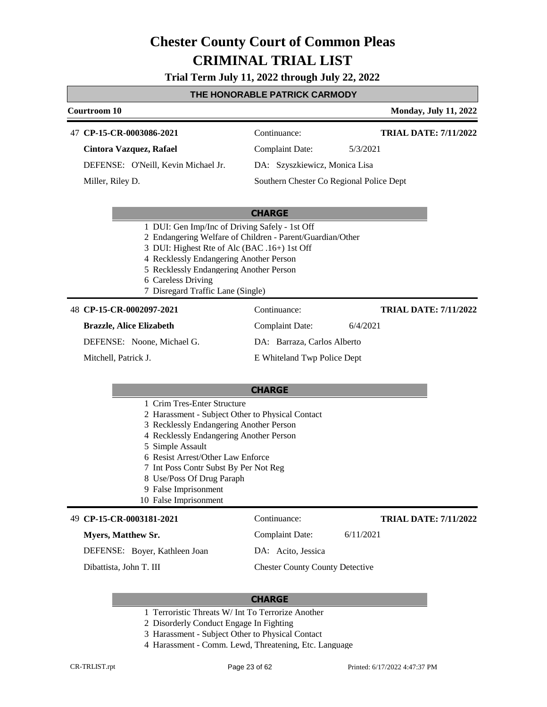**Trial Term July 11, 2022 through July 22, 2022**

### **THE HONORABLE PATRICK CARMODY**

| <u>I HE HUNUKABLE PATKIUK UAKMUDI</u>                                                                                                                                                                                                                                                                                                                 |                                          |           |                              |
|-------------------------------------------------------------------------------------------------------------------------------------------------------------------------------------------------------------------------------------------------------------------------------------------------------------------------------------------------------|------------------------------------------|-----------|------------------------------|
| Courtroom 10                                                                                                                                                                                                                                                                                                                                          |                                          |           | <b>Monday, July 11, 2022</b> |
| 47 CP-15-CR-0003086-2021                                                                                                                                                                                                                                                                                                                              | Continuance:                             |           | <b>TRIAL DATE: 7/11/2022</b> |
| Cintora Vazquez, Rafael                                                                                                                                                                                                                                                                                                                               | <b>Complaint Date:</b>                   | 5/3/2021  |                              |
| DEFENSE: O'Neill, Kevin Michael Jr.                                                                                                                                                                                                                                                                                                                   | DA: Szyszkiewicz, Monica Lisa            |           |                              |
| Miller, Riley D.                                                                                                                                                                                                                                                                                                                                      | Southern Chester Co Regional Police Dept |           |                              |
|                                                                                                                                                                                                                                                                                                                                                       |                                          |           |                              |
|                                                                                                                                                                                                                                                                                                                                                       | <b>CHARGE</b>                            |           |                              |
| 1 DUI: Gen Imp/Inc of Driving Safely - 1st Off<br>2 Endangering Welfare of Children - Parent/Guardian/Other<br>3 DUI: Highest Rte of Alc (BAC .16+) 1st Off<br>4 Recklessly Endangering Another Person<br>5 Recklessly Endangering Another Person<br>6 Careless Driving<br>7 Disregard Traffic Lane (Single)                                          |                                          |           |                              |
| 48 CP-15-CR-0002097-2021                                                                                                                                                                                                                                                                                                                              | Continuance:                             |           | <b>TRIAL DATE: 7/11/2022</b> |
| <b>Brazzle, Alice Elizabeth</b>                                                                                                                                                                                                                                                                                                                       | <b>Complaint Date:</b>                   | 6/4/2021  |                              |
| DEFENSE: Noone, Michael G.                                                                                                                                                                                                                                                                                                                            | DA: Barraza, Carlos Alberto              |           |                              |
| Mitchell, Patrick J.                                                                                                                                                                                                                                                                                                                                  | E Whiteland Twp Police Dept              |           |                              |
|                                                                                                                                                                                                                                                                                                                                                       |                                          |           |                              |
|                                                                                                                                                                                                                                                                                                                                                       | <b>CHARGE</b>                            |           |                              |
| 1 Crim Tres-Enter Structure<br>2 Harassment - Subject Other to Physical Contact<br>3 Recklessly Endangering Another Person<br>4 Recklessly Endangering Another Person<br>5 Simple Assault<br>6 Resist Arrest/Other Law Enforce<br>7 Int Poss Contr Subst By Per Not Reg<br>8 Use/Poss Of Drug Paraph<br>9 False Imprisonment<br>10 False Imprisonment |                                          |           |                              |
| 49 CP-15-CR-0003181-2021                                                                                                                                                                                                                                                                                                                              | Continuance:                             |           | <b>TRIAL DATE: 7/11/2022</b> |
| <b>Myers, Matthew Sr.</b>                                                                                                                                                                                                                                                                                                                             | Complaint Date:                          | 6/11/2021 |                              |

DEFENSE: Boyer, Kathleen Joan

Dibattista, John T. III

DA: Acito, Jessica

Chester County County Detective

- 1 Terroristic Threats W/ Int To Terrorize Another
- 2 Disorderly Conduct Engage In Fighting
- 3 Harassment Subject Other to Physical Contact
- 4 Harassment Comm. Lewd, Threatening, Etc. Language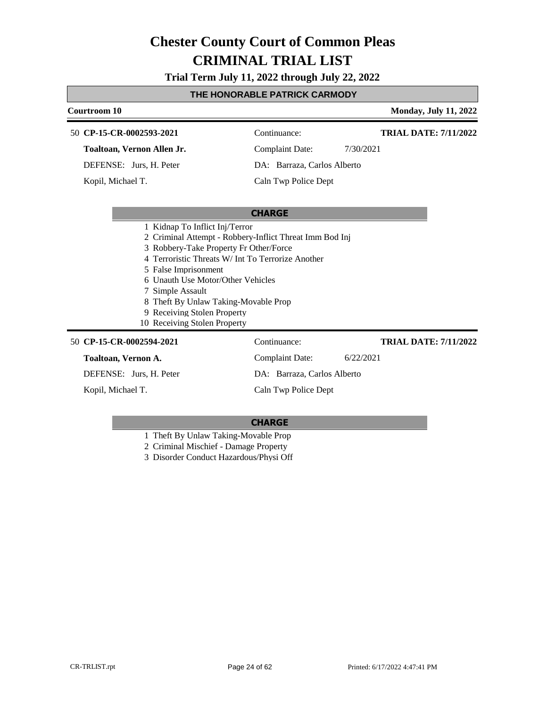**Trial Term July 11, 2022 through July 22, 2022**

### **THE HONORABLE PATRICK CARMODY**

| Courtroom 10                                                                                                                                                                                                                                                                                                                                                                     |                             | <b>Monday, July 11, 2022</b> |
|----------------------------------------------------------------------------------------------------------------------------------------------------------------------------------------------------------------------------------------------------------------------------------------------------------------------------------------------------------------------------------|-----------------------------|------------------------------|
| 50 CP-15-CR-0002593-2021                                                                                                                                                                                                                                                                                                                                                         | Continuance:                | <b>TRIAL DATE: 7/11/2022</b> |
| Toaltoan, Vernon Allen Jr.                                                                                                                                                                                                                                                                                                                                                       | <b>Complaint Date:</b>      | 7/30/2021                    |
| DEFENSE: Jurs, H. Peter                                                                                                                                                                                                                                                                                                                                                          | DA: Barraza, Carlos Alberto |                              |
| Kopil, Michael T.                                                                                                                                                                                                                                                                                                                                                                | Caln Twp Police Dept        |                              |
|                                                                                                                                                                                                                                                                                                                                                                                  |                             |                              |
|                                                                                                                                                                                                                                                                                                                                                                                  | <b>CHARGE</b>               |                              |
| 1 Kidnap To Inflict Inj/Terror<br>2 Criminal Attempt - Robbery-Inflict Threat Imm Bod Inj<br>3 Robbery-Take Property Fr Other/Force<br>4 Terroristic Threats W/ Int To Terrorize Another<br>5 False Imprisonment<br>6 Unauth Use Motor/Other Vehicles<br>7 Simple Assault<br>8 Theft By Unlaw Taking-Movable Prop<br>9 Receiving Stolen Property<br>10 Receiving Stolen Property |                             |                              |
| 50 CP-15-CR-0002594-2021                                                                                                                                                                                                                                                                                                                                                         | Continuance:                | <b>TRIAL DATE: 7/11/2022</b> |
| Toaltoan, Vernon A.                                                                                                                                                                                                                                                                                                                                                              | <b>Complaint Date:</b>      | 6/22/2021                    |
| DEFENSE: Jurs, H. Peter                                                                                                                                                                                                                                                                                                                                                          | DA: Barraza, Carlos Alberto |                              |
| Kopil, Michael T.                                                                                                                                                                                                                                                                                                                                                                | Caln Twp Police Dept        |                              |

#### **CHARGE**

1 Theft By Unlaw Taking-Movable Prop

2 Criminal Mischief - Damage Property

3 Disorder Conduct Hazardous/Physi Off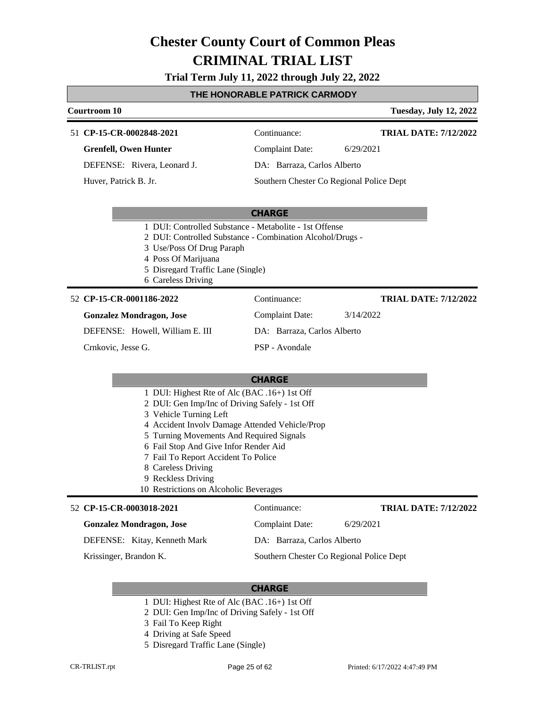**Trial Term July 11, 2022 through July 22, 2022**

### **THE HONORABLE PATRICK CARMODY**

| Courtroom 10<br><b>Tuesday, July 12, 2022</b>                                                                                                                                                                                                                                                                                                                                                |                                          |                              |  |  |
|----------------------------------------------------------------------------------------------------------------------------------------------------------------------------------------------------------------------------------------------------------------------------------------------------------------------------------------------------------------------------------------------|------------------------------------------|------------------------------|--|--|
| 51 CP-15-CR-0002848-2021                                                                                                                                                                                                                                                                                                                                                                     | Continuance:                             | <b>TRIAL DATE: 7/12/2022</b> |  |  |
| <b>Grenfell, Owen Hunter</b>                                                                                                                                                                                                                                                                                                                                                                 | <b>Complaint Date:</b>                   | 6/29/2021                    |  |  |
| DEFENSE: Rivera, Leonard J.                                                                                                                                                                                                                                                                                                                                                                  | DA: Barraza, Carlos Alberto              |                              |  |  |
| Huver, Patrick B. Jr.                                                                                                                                                                                                                                                                                                                                                                        | Southern Chester Co Regional Police Dept |                              |  |  |
|                                                                                                                                                                                                                                                                                                                                                                                              |                                          |                              |  |  |
|                                                                                                                                                                                                                                                                                                                                                                                              | <b>CHARGE</b>                            |                              |  |  |
| 1 DUI: Controlled Substance - Metabolite - 1st Offense<br>2 DUI: Controlled Substance - Combination Alcohol/Drugs -<br>3 Use/Poss Of Drug Paraph<br>4 Poss Of Marijuana<br>5 Disregard Traffic Lane (Single)<br>6 Careless Driving                                                                                                                                                           |                                          |                              |  |  |
| 52 CP-15-CR-0001186-2022                                                                                                                                                                                                                                                                                                                                                                     | Continuance:                             | <b>TRIAL DATE: 7/12/2022</b> |  |  |
| <b>Gonzalez Mondragon, Jose</b>                                                                                                                                                                                                                                                                                                                                                              | <b>Complaint Date:</b>                   | 3/14/2022                    |  |  |
| DEFENSE: Howell, William E. III                                                                                                                                                                                                                                                                                                                                                              | DA: Barraza, Carlos Alberto              |                              |  |  |
| Crnkovic, Jesse G.                                                                                                                                                                                                                                                                                                                                                                           | PSP - Avondale                           |                              |  |  |
|                                                                                                                                                                                                                                                                                                                                                                                              |                                          |                              |  |  |
|                                                                                                                                                                                                                                                                                                                                                                                              | <b>CHARGE</b>                            |                              |  |  |
| 1 DUI: Highest Rte of Alc (BAC .16+) 1st Off<br>2 DUI: Gen Imp/Inc of Driving Safely - 1st Off<br>3 Vehicle Turning Left<br>4 Accident Involv Damage Attended Vehicle/Prop<br>5 Turning Movements And Required Signals<br>6 Fail Stop And Give Infor Render Aid<br>7 Fail To Report Accident To Police<br>8 Careless Driving<br>9 Reckless Driving<br>10 Restrictions on Alcoholic Beverages |                                          |                              |  |  |
| 52 CP-15-CR-0003018-2021                                                                                                                                                                                                                                                                                                                                                                     | Continuance:                             | <b>TRIAL DATE: 7/12/2022</b> |  |  |
| <b>Gonzalez Mondragon, Jose</b>                                                                                                                                                                                                                                                                                                                                                              | <b>Complaint Date:</b>                   | 6/29/2021                    |  |  |
| DEFENSE: Kitay, Kenneth Mark                                                                                                                                                                                                                                                                                                                                                                 | DA: Barraza, Carlos Alberto              |                              |  |  |
| Krissinger, Brandon K.                                                                                                                                                                                                                                                                                                                                                                       | Southern Chester Co Regional Police Dept |                              |  |  |

- 1 DUI: Highest Rte of Alc (BAC .16+) 1st Off
- 2 DUI: Gen Imp/Inc of Driving Safely 1st Off
- 3 Fail To Keep Right
- 4 Driving at Safe Speed
- 5 Disregard Traffic Lane (Single)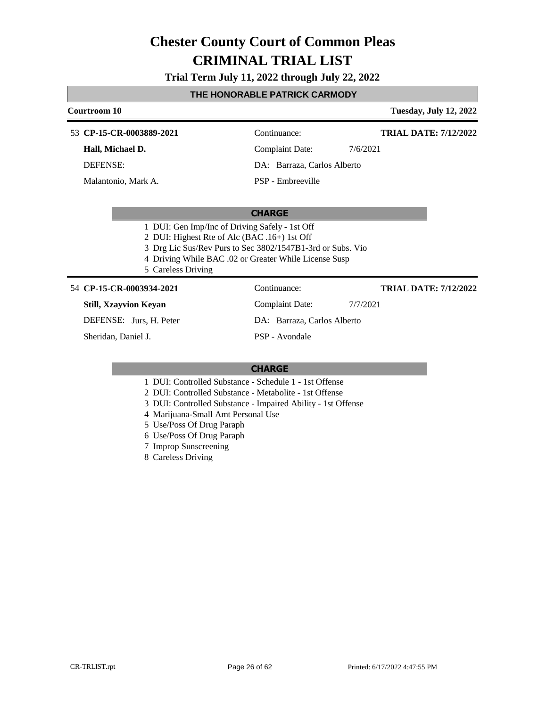### **Trial Term July 11, 2022 through July 22, 2022**

#### **THE HONORABLE PATRICK CARMODY**

| Courtroom 10                                   |                                                            | <b>Tuesday, July 12, 2022</b> |
|------------------------------------------------|------------------------------------------------------------|-------------------------------|
| 53 CP-15-CR-0003889-2021                       | Continuance:                                               | <b>TRIAL DATE: 7/12/2022</b>  |
| Hall, Michael D.                               | Complaint Date:                                            | 7/6/2021                      |
| DEFENSE:                                       | DA: Barraza, Carlos Alberto                                |                               |
| Malantonio, Mark A.                            | PSP - Embreeville                                          |                               |
|                                                | <b>CHARGE</b>                                              |                               |
| 1 DUI: Gen Imp/Inc of Driving Safely - 1st Off |                                                            |                               |
|                                                | 2 DUI: Highest Rte of Alc (BAC .16+) 1st Off               |                               |
|                                                | 3 Drg Lic Sus/Rev Purs to Sec 3802/1547B1-3rd or Subs. Vio |                               |

- 4 Driving While BAC .02 or Greater While License Susp
- 5 Careless Driving

#### **CP-15-CR-0003934-2021** 54 Continuance:

#### **Still, Xzayvion Keyan**

DEFENSE: Jurs, H. Peter

Sheridan, Daniel J.

**TRIAL DATE: 7/12/2022**

Complaint Date: 7/7/2021

DA: Barraza, Carlos Alberto

PSP - Avondale

#### **CHARGE**

- 1 DUI: Controlled Substance Schedule 1 1st Offense
- 2 DUI: Controlled Substance Metabolite 1st Offense
- 3 DUI: Controlled Substance Impaired Ability 1st Offense
- 4 Marijuana-Small Amt Personal Use
- 5 Use/Poss Of Drug Paraph
- 6 Use/Poss Of Drug Paraph
- 7 Improp Sunscreening

8 Careless Driving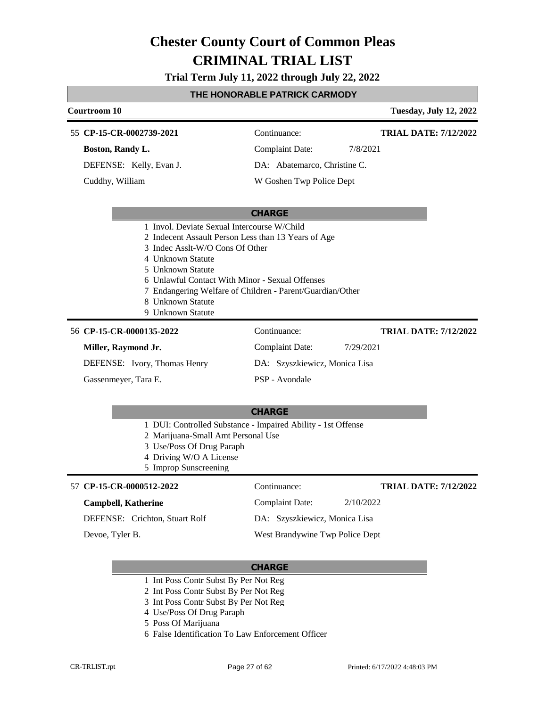**Trial Term July 11, 2022 through July 22, 2022**

### **THE HONORABLE PATRICK CARMODY**

| Courtroom 10                                                                                                                                                                                                                                                                               |                               |           | <b>Tuesday, July 12, 2022</b> |
|--------------------------------------------------------------------------------------------------------------------------------------------------------------------------------------------------------------------------------------------------------------------------------------------|-------------------------------|-----------|-------------------------------|
| 55 CP-15-CR-0002739-2021                                                                                                                                                                                                                                                                   | Continuance:                  |           | <b>TRIAL DATE: 7/12/2022</b>  |
| Boston, Randy L.                                                                                                                                                                                                                                                                           | <b>Complaint Date:</b>        | 7/8/2021  |                               |
| DEFENSE: Kelly, Evan J.                                                                                                                                                                                                                                                                    | DA: Abatemarco, Christine C.  |           |                               |
| Cuddhy, William                                                                                                                                                                                                                                                                            | W Goshen Twp Police Dept      |           |                               |
|                                                                                                                                                                                                                                                                                            |                               |           |                               |
|                                                                                                                                                                                                                                                                                            | <b>CHARGE</b>                 |           |                               |
| 2 Indecent Assault Person Less than 13 Years of Age<br>3 Indec Asslt-W/O Cons Of Other<br>4 Unknown Statute<br>5 Unknown Statute<br>6 Unlawful Contact With Minor - Sexual Offenses<br>7 Endangering Welfare of Children - Parent/Guardian/Other<br>8 Unknown Statute<br>9 Unknown Statute |                               |           |                               |
| 56 CP-15-CR-0000135-2022                                                                                                                                                                                                                                                                   | Continuance:                  |           | <b>TRIAL DATE: 7/12/2022</b>  |
| Miller, Raymond Jr.                                                                                                                                                                                                                                                                        | <b>Complaint Date:</b>        | 7/29/2021 |                               |
| DEFENSE: Ivory, Thomas Henry                                                                                                                                                                                                                                                               | DA: Szyszkiewicz, Monica Lisa |           |                               |
| Gassenmeyer, Tara E.                                                                                                                                                                                                                                                                       | PSP - Avondale                |           |                               |
|                                                                                                                                                                                                                                                                                            | <b>CHARGE</b>                 |           |                               |
| 1 DUI: Controlled Substance - Impaired Ability - 1st Offense<br>2 Marijuana-Small Amt Personal Use<br>3 Use/Poss Of Drug Paraph<br>4 Driving W/O A License                                                                                                                                 |                               |           |                               |

5 Improp Sunscreening

#### **CP-15-CR-0000512-2022** 57 Continuance:

#### **Campbell, Katherine**

DEFENSE: Crichton, Stuart Rolf

Devoe, Tyler B.

Complaint Date: 2/10/2022

**TRIAL DATE: 7/12/2022**

DA: Szyszkiewicz, Monica Lisa

West Brandywine Twp Police Dept

- 1 Int Poss Contr Subst By Per Not Reg
- 2 Int Poss Contr Subst By Per Not Reg
- 3 Int Poss Contr Subst By Per Not Reg
- 4 Use/Poss Of Drug Paraph
- 5 Poss Of Marijuana
- 6 False Identification To Law Enforcement Officer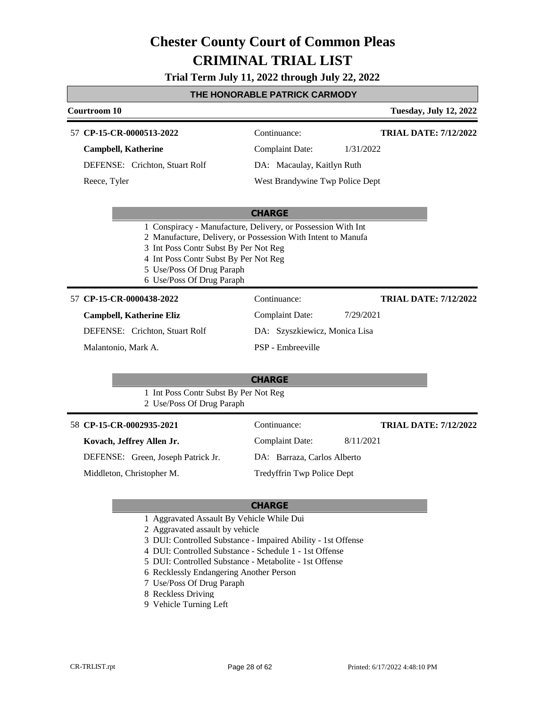### **Trial Term July 11, 2022 through July 22, 2022**

### **THE HONORABLE PATRICK CARMODY**

| Courtroom 10                    |                                                                                                                                                                                                                                                                          |                                 |           | <b>Tuesday, July 12, 2022</b> |
|---------------------------------|--------------------------------------------------------------------------------------------------------------------------------------------------------------------------------------------------------------------------------------------------------------------------|---------------------------------|-----------|-------------------------------|
| 57 CP-15-CR-0000513-2022        |                                                                                                                                                                                                                                                                          | Continuance:                    |           | <b>TRIAL DATE: 7/12/2022</b>  |
| <b>Campbell, Katherine</b>      |                                                                                                                                                                                                                                                                          | <b>Complaint Date:</b>          | 1/31/2022 |                               |
|                                 | DEFENSE: Crichton, Stuart Rolf                                                                                                                                                                                                                                           | DA: Macaulay, Kaitlyn Ruth      |           |                               |
| Reece, Tyler                    |                                                                                                                                                                                                                                                                          | West Brandywine Twp Police Dept |           |                               |
|                                 |                                                                                                                                                                                                                                                                          |                                 |           |                               |
|                                 | 1 Conspiracy - Manufacture, Delivery, or Possession With Int<br>2 Manufacture, Delivery, or Possession With Intent to Manufa<br>3 Int Poss Contr Subst By Per Not Reg<br>4 Int Poss Contr Subst By Per Not Reg<br>5 Use/Poss Of Drug Paraph<br>6 Use/Poss Of Drug Paraph | <b>CHARGE</b>                   |           |                               |
| 57 CP-15-CR-0000438-2022        |                                                                                                                                                                                                                                                                          | Continuance:                    |           | <b>TRIAL DATE: 7/12/2022</b>  |
| <b>Campbell, Katherine Eliz</b> |                                                                                                                                                                                                                                                                          | <b>Complaint Date:</b>          | 7/29/2021 |                               |
|                                 | DEFENSE: Crichton, Stuart Rolf                                                                                                                                                                                                                                           | DA: Szyszkiewicz, Monica Lisa   |           |                               |
| Malantonio, Mark A.             |                                                                                                                                                                                                                                                                          | PSP - Embreeville               |           |                               |
|                                 |                                                                                                                                                                                                                                                                          |                                 |           |                               |
|                                 |                                                                                                                                                                                                                                                                          | <b>CHARGE</b>                   |           |                               |
|                                 | 1 Int Poss Contr Subst By Per Not Reg<br>2 Use/Poss Of Drug Paraph                                                                                                                                                                                                       |                                 |           |                               |
| 58 CP-15-CR-0002935-2021        |                                                                                                                                                                                                                                                                          | Continuance:                    |           | <b>TRIAL DATE: 7/12/2022</b>  |
| Kovach, Jeffrey Allen Jr.       |                                                                                                                                                                                                                                                                          | <b>Complaint Date:</b>          | 8/11/2021 |                               |
|                                 | DEFENSE: Green, Joseph Patrick Jr.                                                                                                                                                                                                                                       | DA: Barraza, Carlos Alberto     |           |                               |
| Middleton, Christopher M.       |                                                                                                                                                                                                                                                                          | Tredyffrin Twp Police Dept      |           |                               |
|                                 |                                                                                                                                                                                                                                                                          |                                 |           |                               |
|                                 |                                                                                                                                                                                                                                                                          |                                 |           |                               |

- 1 Aggravated Assault By Vehicle While Dui
- 2 Aggravated assault by vehicle
- 3 DUI: Controlled Substance Impaired Ability 1st Offense
- 4 DUI: Controlled Substance Schedule 1 1st Offense
- 5 DUI: Controlled Substance Metabolite 1st Offense
- 6 Recklessly Endangering Another Person
- 7 Use/Poss Of Drug Paraph
- 8 Reckless Driving
- 9 Vehicle Turning Left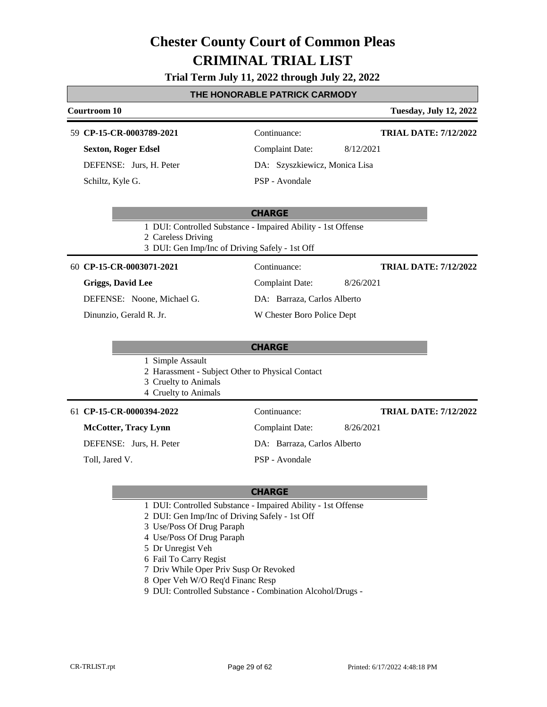#### **Trial Term July 11, 2022 through July 22, 2022**

#### **THE HONORABLE PATRICK CARMODY**

#### **Courtroom 10 Tuesday, July 12, 2022 CP-15-CR-0003789-2021** 59 Continuance: **Sexton, Roger Edsel** DEFENSE: Jurs, H. Peter Complaint Date: 8/12/2021 DA: Szyszkiewicz, Monica Lisa **TRIAL DATE: 7/12/2022**

Schiltz, Kyle G.

PSP - Avondale

#### **CHARGE**

1 DUI: Controlled Substance - Impaired Ability - 1st Offense

2 Careless Driving

3 DUI: Gen Imp/Inc of Driving Safely - 1st Off

**CP-15-CR-0003071-2021** 60 Continuance:

**Griggs, David Lee**

DEFENSE: Noone, Michael G.

Dinunzio, Gerald R. Jr.

#### **CHARGE**

1 Simple Assault

2 Harassment - Subject Other to Physical Contact

- 3 Cruelty to Animals
- 4 Cruelty to Animals

#### **CP-15-CR-0000394-2022** 61 Continuance:

**McCotter, Tracy Lynn**

DEFENSE: Jurs, H. Peter

Toll, Jared V.

**TRIAL DATE: 7/12/2022**

**TRIAL DATE: 7/12/2022**

Complaint Date: 8/26/2021

Complaint Date: 8/26/2021

DA: Barraza, Carlos Alberto W Chester Boro Police Dept

DA: Barraza, Carlos Alberto

PSP - Avondale

- 1 DUI: Controlled Substance Impaired Ability 1st Offense
- 2 DUI: Gen Imp/Inc of Driving Safely 1st Off
- 3 Use/Poss Of Drug Paraph
- 4 Use/Poss Of Drug Paraph
- 5 Dr Unregist Veh
- 6 Fail To Carry Regist
- 7 Driv While Oper Priv Susp Or Revoked
- 8 Oper Veh W/O Req'd Financ Resp
- 9 DUI: Controlled Substance Combination Alcohol/Drugs -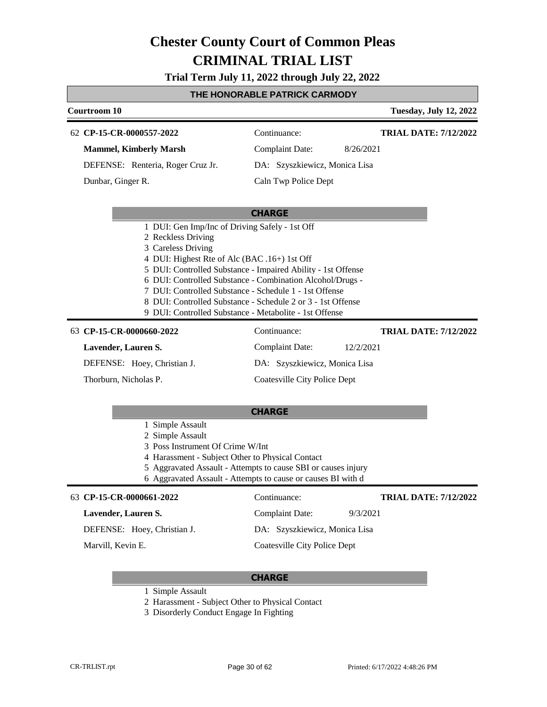**Trial Term July 11, 2022 through July 22, 2022**

### **THE HONORABLE PATRICK CARMODY**

| Courtroom 10                                                                                                                                                                                                                                                                                                                                                                                                                                               |                                                     | <b>Tuesday, July 12, 2022</b> |
|------------------------------------------------------------------------------------------------------------------------------------------------------------------------------------------------------------------------------------------------------------------------------------------------------------------------------------------------------------------------------------------------------------------------------------------------------------|-----------------------------------------------------|-------------------------------|
| 62 CP-15-CR-0000557-2022<br><b>Mammel, Kimberly Marsh</b>                                                                                                                                                                                                                                                                                                                                                                                                  | Continuance:<br><b>Complaint Date:</b><br>8/26/2021 | <b>TRIAL DATE: 7/12/2022</b>  |
|                                                                                                                                                                                                                                                                                                                                                                                                                                                            |                                                     |                               |
| DEFENSE: Renteria, Roger Cruz Jr.                                                                                                                                                                                                                                                                                                                                                                                                                          | DA: Szyszkiewicz, Monica Lisa                       |                               |
| Dunbar, Ginger R.                                                                                                                                                                                                                                                                                                                                                                                                                                          | Caln Twp Police Dept                                |                               |
|                                                                                                                                                                                                                                                                                                                                                                                                                                                            |                                                     |                               |
|                                                                                                                                                                                                                                                                                                                                                                                                                                                            | <b>CHARGE</b>                                       |                               |
| 1 DUI: Gen Imp/Inc of Driving Safely - 1st Off<br>2 Reckless Driving<br>3 Careless Driving<br>4 DUI: Highest Rte of Alc (BAC .16+) 1st Off<br>5 DUI: Controlled Substance - Impaired Ability - 1st Offense<br>6 DUI: Controlled Substance - Combination Alcohol/Drugs -<br>7 DUI: Controlled Substance - Schedule 1 - 1st Offense<br>8 DUI: Controlled Substance - Schedule 2 or 3 - 1st Offense<br>9 DUI: Controlled Substance - Metabolite - 1st Offense |                                                     |                               |
| 63 CP-15-CR-0000660-2022                                                                                                                                                                                                                                                                                                                                                                                                                                   | Continuance:                                        | <b>TRIAL DATE: 7/12/2022</b>  |
| Lavender, Lauren S.                                                                                                                                                                                                                                                                                                                                                                                                                                        | Complaint Date:<br>12/2/2021                        |                               |
| DEFENSE: Hoey, Christian J.                                                                                                                                                                                                                                                                                                                                                                                                                                | DA: Szyszkiewicz, Monica Lisa                       |                               |
| Thorburn, Nicholas P.                                                                                                                                                                                                                                                                                                                                                                                                                                      | <b>Coatesville City Police Dept</b>                 |                               |
|                                                                                                                                                                                                                                                                                                                                                                                                                                                            | <b>CHARGE</b>                                       |                               |
| 1 Simple Assault                                                                                                                                                                                                                                                                                                                                                                                                                                           |                                                     |                               |
| 2 Simple Assault                                                                                                                                                                                                                                                                                                                                                                                                                                           |                                                     |                               |
| 3 Poss Instrument Of Crime W/Int                                                                                                                                                                                                                                                                                                                                                                                                                           |                                                     |                               |

- 4 Harassment Subject Other to Physical Contact
- 5 Aggravated Assault Attempts to cause SBI or causes injury
- 6 Aggravated Assault Attempts to cause or causes BI with d

| 63 CP-15-CR-0000661-2022    | Continuance:                  | <b>TRIAL DATE: 7/12/2022</b> |
|-----------------------------|-------------------------------|------------------------------|
| Lavender, Lauren S.         | Complaint Date:               | 9/3/2021                     |
| DEFENSE: Hoey, Christian J. | DA: Szyszkiewicz, Monica Lisa |                              |
| Marvill, Kevin E.           | Coatesville City Police Dept  |                              |

- 1 Simple Assault
- 2 Harassment Subject Other to Physical Contact
- 3 Disorderly Conduct Engage In Fighting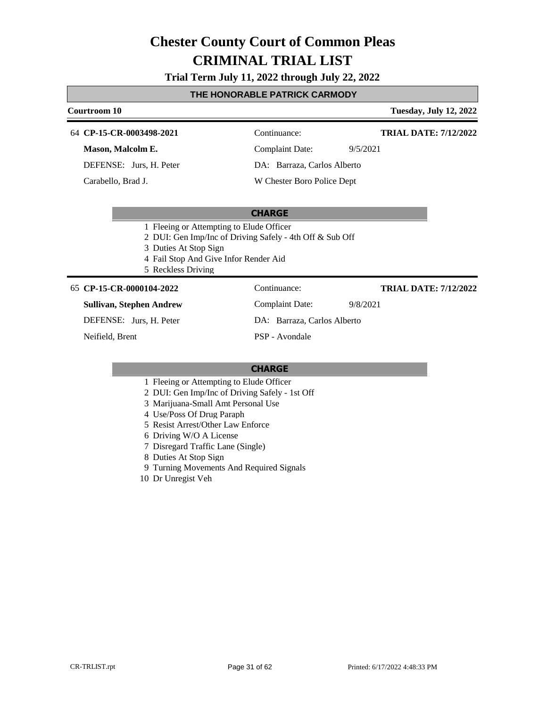#### **Trial Term July 11, 2022 through July 22, 2022**

#### **THE HONORABLE PATRICK CARMODY**

| <b>Courtroom 10</b>      |                                          | <b>Tuesday, July 12, 2022</b> |
|--------------------------|------------------------------------------|-------------------------------|
| 64 CP-15-CR-0003498-2021 | Continuance:                             | <b>TRIAL DATE: 7/12/2022</b>  |
| Mason, Malcolm E.        | Complaint Date:                          | 9/5/2021                      |
| DEFENSE: Jurs, H. Peter  | DA: Barraza, Carlos Alberto              |                               |
| Carabello, Brad J.       | W Chester Boro Police Dept               |                               |
|                          | <b>CHARGE</b>                            |                               |
|                          | 1 Fleeing or Attempting to Elude Officer |                               |

- 2 DUI: Gen Imp/Inc of Driving Safely 4th Off & Sub Off
- 3 Duties At Stop Sign
- 4 Fail Stop And Give Infor Render Aid
- 5 Reckless Driving

#### **CP-15-CR-0000104-2022** 65 Continuance:

**Sullivan, Stephen Andrew**

DEFENSE: Jurs, H. Peter

Neifield, Brent

Complaint Date: 9/8/2021

DA: Barraza, Carlos Alberto

PSP - Avondale

#### **CHARGE**

- 1 Fleeing or Attempting to Elude Officer
- 2 DUI: Gen Imp/Inc of Driving Safely 1st Off
- 3 Marijuana-Small Amt Personal Use
- 4 Use/Poss Of Drug Paraph
- 5 Resist Arrest/Other Law Enforce
- 6 Driving W/O A License
- 7 Disregard Traffic Lane (Single)
- 8 Duties At Stop Sign
- 9 Turning Movements And Required Signals
- 10 Dr Unregist Veh

**TRIAL DATE: 7/12/2022**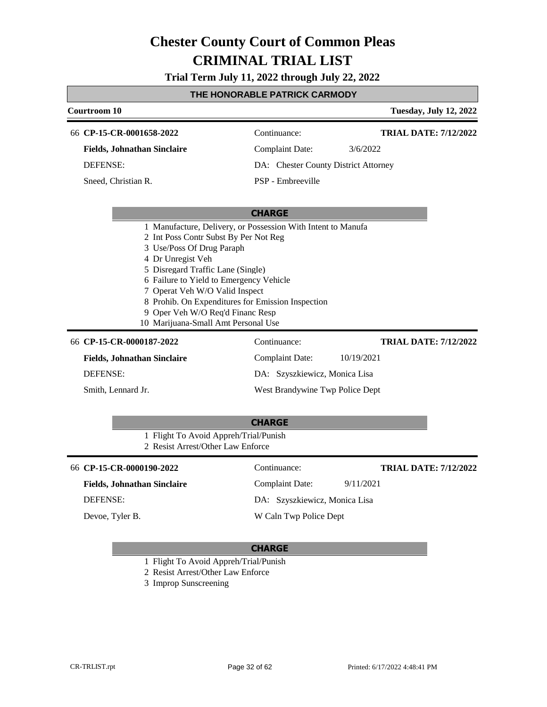**Trial Term July 11, 2022 through July 22, 2022**

### **THE HONORABLE PATRICK CARMODY**

| Courtroom 10                                                                                                                                                                                                                                                                                                                                                                                              |                                      | <b>Tuesday, July 12, 2022</b> |
|-----------------------------------------------------------------------------------------------------------------------------------------------------------------------------------------------------------------------------------------------------------------------------------------------------------------------------------------------------------------------------------------------------------|--------------------------------------|-------------------------------|
| 66 CP-15-CR-0001658-2022                                                                                                                                                                                                                                                                                                                                                                                  | Continuance:                         | <b>TRIAL DATE: 7/12/2022</b>  |
| <b>Fields, Johnathan Sinclaire</b>                                                                                                                                                                                                                                                                                                                                                                        | <b>Complaint Date:</b>               | 3/6/2022                      |
| <b>DEFENSE:</b>                                                                                                                                                                                                                                                                                                                                                                                           | DA: Chester County District Attorney |                               |
| Sneed, Christian R.                                                                                                                                                                                                                                                                                                                                                                                       | PSP - Embreeville                    |                               |
|                                                                                                                                                                                                                                                                                                                                                                                                           | <b>CHARGE</b>                        |                               |
| 1 Manufacture, Delivery, or Possession With Intent to Manufa<br>2 Int Poss Contr Subst By Per Not Reg<br>3 Use/Poss Of Drug Paraph<br>4 Dr Unregist Veh<br>5 Disregard Traffic Lane (Single)<br>6 Failure to Yield to Emergency Vehicle<br>7 Operat Veh W/O Valid Inspect<br>8 Prohib. On Expenditures for Emission Inspection<br>9 Oper Veh W/O Req'd Financ Resp<br>10 Marijuana-Small Amt Personal Use |                                      |                               |
| 66 CP-15-CR-0000187-2022                                                                                                                                                                                                                                                                                                                                                                                  | Continuance:                         | <b>TRIAL DATE: 7/12/2022</b>  |
| <b>Fields, Johnathan Sinclaire</b>                                                                                                                                                                                                                                                                                                                                                                        | <b>Complaint Date:</b>               | 10/19/2021                    |
| <b>DEFENSE:</b>                                                                                                                                                                                                                                                                                                                                                                                           | DA: Szyszkiewicz, Monica Lisa        |                               |
| Smith, Lennard Jr.                                                                                                                                                                                                                                                                                                                                                                                        | West Brandywine Twp Police Dept      |                               |
| 1 Flight To Avoid Appreh/Trial/Punish<br>2 Resist Arrest/Other Law Enforce                                                                                                                                                                                                                                                                                                                                | <b>CHARGE</b>                        |                               |
| 66 CP-15-CR-0000190-2022                                                                                                                                                                                                                                                                                                                                                                                  | Continuance:                         | <b>TRIAL DATE: 7/12/2022</b>  |
| <b>Fields, Johnathan Sinclaire</b>                                                                                                                                                                                                                                                                                                                                                                        | <b>Complaint Date:</b>               | 9/11/2021                     |
| <b>DEFENSE:</b>                                                                                                                                                                                                                                                                                                                                                                                           | DA: Szyszkiewicz, Monica Lisa        |                               |
| Devoe, Tyler B.                                                                                                                                                                                                                                                                                                                                                                                           | W Caln Twp Police Dept               |                               |

- 1 Flight To Avoid Appreh/Trial/Punish
- 2 Resist Arrest/Other Law Enforce
- 3 Improp Sunscreening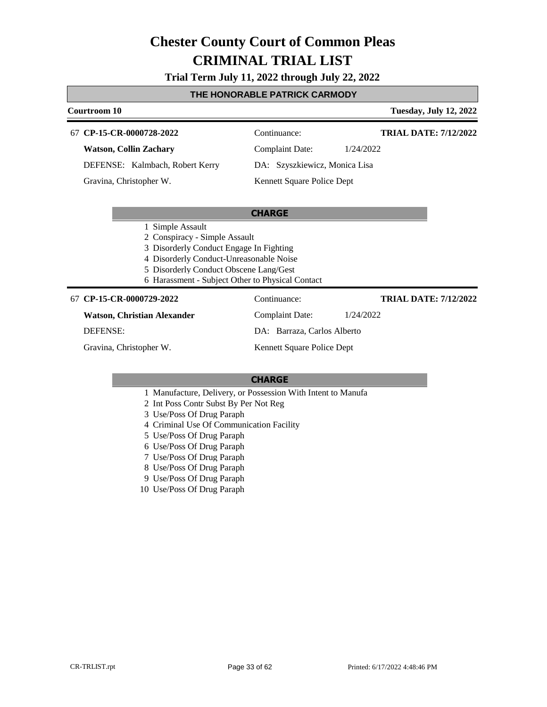#### **Trial Term July 11, 2022 through July 22, 2022**

#### **THE HONORABLE PATRICK CARMODY**

| <b>Courtroom 10</b>             |                               | <b>Tuesday, July 12, 2022</b> |
|---------------------------------|-------------------------------|-------------------------------|
| 67 CP-15-CR-0000728-2022        | Continuance:                  | <b>TRIAL DATE: 7/12/2022</b>  |
| <b>Watson, Collin Zachary</b>   | Complaint Date:               | 1/24/2022                     |
| DEFENSE: Kalmbach, Robert Kerry | DA: Szyszkiewicz, Monica Lisa |                               |
| Gravina, Christopher W.         | Kennett Square Police Dept    |                               |

#### **CHARGE**

- 1 Simple Assault
- 2 Conspiracy Simple Assault
- 3 Disorderly Conduct Engage In Fighting
- 4 Disorderly Conduct-Unreasonable Noise
- 5 Disorderly Conduct Obscene Lang/Gest
- 6 Harassment Subject Other to Physical Contact

#### **CP-15-CR-0000729-2022** 67 Continuance:

#### **Watson, Christian Alexander**

DEFENSE:

Gravina, Christopher W.

DA: Barraza, Carlos Alberto Kennett Square Police Dept

Complaint Date: 1/24/2022

#### **CHARGE**

- 1 Manufacture, Delivery, or Possession With Intent to Manufa
- 2 Int Poss Contr Subst By Per Not Reg
- 3 Use/Poss Of Drug Paraph
- 4 Criminal Use Of Communication Facility
- 5 Use/Poss Of Drug Paraph
- 6 Use/Poss Of Drug Paraph
- 7 Use/Poss Of Drug Paraph
- 8 Use/Poss Of Drug Paraph
- 9 Use/Poss Of Drug Paraph
- 10 Use/Poss Of Drug Paraph

**TRIAL DATE: 7/12/2022**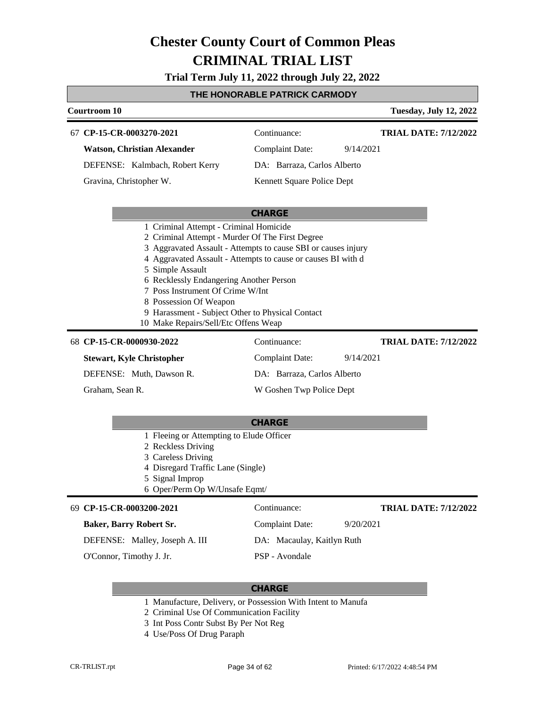**Trial Term July 11, 2022 through July 22, 2022**

### **THE HONORABLE PATRICK CARMODY**

|                                                                                          | <u>INE NUNUNABLE FAINIUN UANWUD I</u>                         |                               |
|------------------------------------------------------------------------------------------|---------------------------------------------------------------|-------------------------------|
| Courtroom 10                                                                             |                                                               | <b>Tuesday, July 12, 2022</b> |
| 67 CP-15-CR-0003270-2021                                                                 | Continuance:                                                  | <b>TRIAL DATE: 7/12/2022</b>  |
| <b>Watson, Christian Alexander</b>                                                       | <b>Complaint Date:</b><br>9/14/2021                           |                               |
| DEFENSE: Kalmbach, Robert Kerry                                                          | DA: Barraza, Carlos Alberto                                   |                               |
| Gravina, Christopher W.                                                                  | Kennett Square Police Dept                                    |                               |
|                                                                                          |                                                               |                               |
|                                                                                          | <b>CHARGE</b>                                                 |                               |
| 1 Criminal Attempt - Criminal Homicide                                                   |                                                               |                               |
| 2 Criminal Attempt - Murder Of The First Degree                                          |                                                               |                               |
|                                                                                          | 3 Aggravated Assault - Attempts to cause SBI or causes injury |                               |
|                                                                                          | 4 Aggravated Assault - Attempts to cause or causes BI with d  |                               |
| 5 Simple Assault                                                                         |                                                               |                               |
| 6 Recklessly Endangering Another Person                                                  |                                                               |                               |
| 7 Poss Instrument Of Crime W/Int                                                         |                                                               |                               |
| 8 Possession Of Weapon                                                                   |                                                               |                               |
| 9 Harassment - Subject Other to Physical Contact<br>10 Make Repairs/Sell/Etc Offens Weap |                                                               |                               |
|                                                                                          |                                                               |                               |
| 68 CP-15-CR-0000930-2022                                                                 | Continuance:                                                  | <b>TRIAL DATE: 7/12/2022</b>  |
| <b>Stewart, Kyle Christopher</b>                                                         | <b>Complaint Date:</b><br>9/14/2021                           |                               |
| DEFENSE: Muth, Dawson R.                                                                 | DA: Barraza, Carlos Alberto                                   |                               |
| Graham, Sean R.                                                                          | W Goshen Twp Police Dept                                      |                               |
|                                                                                          |                                                               |                               |
|                                                                                          | <b>CHARGE</b>                                                 |                               |
| 1 Fleeing or Attempting to Elude Officer                                                 |                                                               |                               |
| 2 Reckless Driving                                                                       |                                                               |                               |
| 3 Careless Driving                                                                       |                                                               |                               |
| 4 Disregard Traffic Lane (Single)<br>5 Signal Improp                                     |                                                               |                               |
| 6 Oper/Perm Op W/Unsafe Eqmt/                                                            |                                                               |                               |
|                                                                                          |                                                               |                               |
| 69 CP-15-CR-0003200-2021                                                                 | Continuance:                                                  | <b>TRIAL DATE: 7/12/2022</b>  |

DEFENSE: Malley, Joseph A. III

O'Connor, Timothy J. Jr.

**Baker, Barry Robert Sr.**

DA: Macaulay, Kaitlyn Ruth PSP - Avondale

Complaint Date: 9/20/2021

- 1 Manufacture, Delivery, or Possession With Intent to Manufa
- 2 Criminal Use Of Communication Facility
- 3 Int Poss Contr Subst By Per Not Reg
- 4 Use/Poss Of Drug Paraph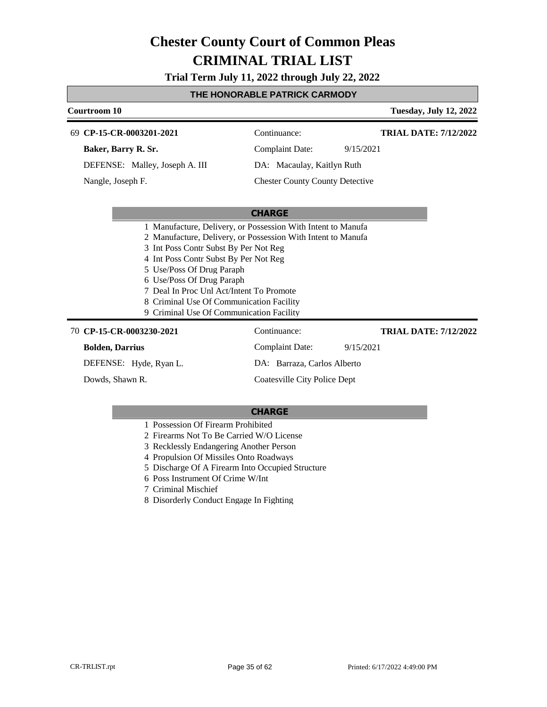**Trial Term July 11, 2022 through July 22, 2022**

#### **THE HONORABLE PATRICK CARMODY**

### **Courtroom 10 Tuesday, July 12, 2022 CHARGE CP-15-CR-0003201-2021** 69 Continuance: **Baker, Barry R. Sr.** DEFENSE: Malley, Joseph A. III Complaint Date: 9/15/2021 DA: Macaulay, Kaitlyn Ruth Chester County County Detective **TRIAL DATE: 7/12/2022** Nangle, Joseph F.

|  |  |  |  |  | 1 Manufacture, Delivery, or Possession With Intent to Manufa |  |
|--|--|--|--|--|--------------------------------------------------------------|--|
|--|--|--|--|--|--------------------------------------------------------------|--|

2 Manufacture, Delivery, or Possession With Intent to Manufa

3 Int Poss Contr Subst By Per Not Reg

4 Int Poss Contr Subst By Per Not Reg

- 5 Use/Poss Of Drug Paraph
- 6 Use/Poss Of Drug Paraph
- 7 Deal In Proc Unl Act/Intent To Promote
- 8 Criminal Use Of Communication Facility
- 9 Criminal Use Of Communication Facility

**CP-15-CR-0003230-2021** 70 Continuance: **Bolden, Darrius** DEFENSE: Hyde, Ryan L. Complaint Date: 9/15/2021 DA: Barraza, Carlos Alberto Coatesville City Police Dept **TRIAL DATE: 7/12/2022** Dowds, Shawn R.

- 1 Possession Of Firearm Prohibited
- 2 Firearms Not To Be Carried W/O License
- 3 Recklessly Endangering Another Person
- 4 Propulsion Of Missiles Onto Roadways
- 5 Discharge Of A Firearm Into Occupied Structure
- 6 Poss Instrument Of Crime W/Int
- 7 Criminal Mischief
- 8 Disorderly Conduct Engage In Fighting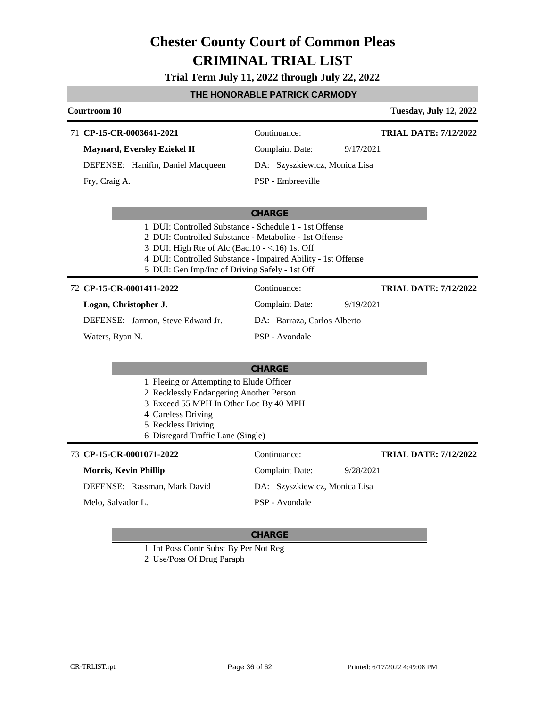#### **Trial Term July 11, 2022 through July 22, 2022**

#### **THE HONORABLE PATRICK CARMODY**

| Courtroom 10                        |                               | <b>Tuesday, July 12, 2022</b> |
|-------------------------------------|-------------------------------|-------------------------------|
| 71 CP-15-CR-0003641-2021            | Continuance:                  | <b>TRIAL DATE: 7/12/2022</b>  |
| <b>Maynard, Eversley Eziekel II</b> | Complaint Date:               | 9/17/2021                     |
| DEFENSE: Hanifin, Daniel Macqueen   | DA: Szyszkiewicz, Monica Lisa |                               |
| Fry, Craig A.                       | PSP - Embreeville             |                               |

#### **CHARGE**

- 1 DUI: Controlled Substance Schedule 1 1st Offense
- 2 DUI: Controlled Substance Metabolite 1st Offense
- 3 DUI: High Rte of Alc (Bac.10 <.16) 1st Off
- 4 DUI: Controlled Substance Impaired Ability 1st Offense
- 5 DUI: Gen Imp/Inc of Driving Safely 1st Off

#### **CP-15-CR-0001411-2022** 72 Continuance:

**Logan, Christopher J.**

DEFENSE: Jarmon, Steve Edward Jr.

DA: Barraza, Carlos Alberto PSP - Avondale

Complaint Date: 9/19/2021

Waters, Ryan N.

### **CHARGE**

- 1 Fleeing or Attempting to Elude Officer
- 2 Recklessly Endangering Another Person
- 3 Exceed 55 MPH In Other Loc By 40 MPH
- 4 Careless Driving
- 5 Reckless Driving
- 6 Disregard Traffic Lane (Single)

| 73 CP-15-CR-0001071-2022     | Continuance:                  | <b>TRIAL DATE: 7/12/2022</b> |
|------------------------------|-------------------------------|------------------------------|
| Morris, Kevin Phillip        | Complaint Date:               | 9/28/2021                    |
| DEFENSE: Rassman, Mark David | DA: Szyszkiewicz, Monica Lisa |                              |
| Melo, Salvador L.            | PSP - Avondale                |                              |

#### **CHARGE**

1 Int Poss Contr Subst By Per Not Reg

2 Use/Poss Of Drug Paraph

**TRIAL DATE: 7/12/2022**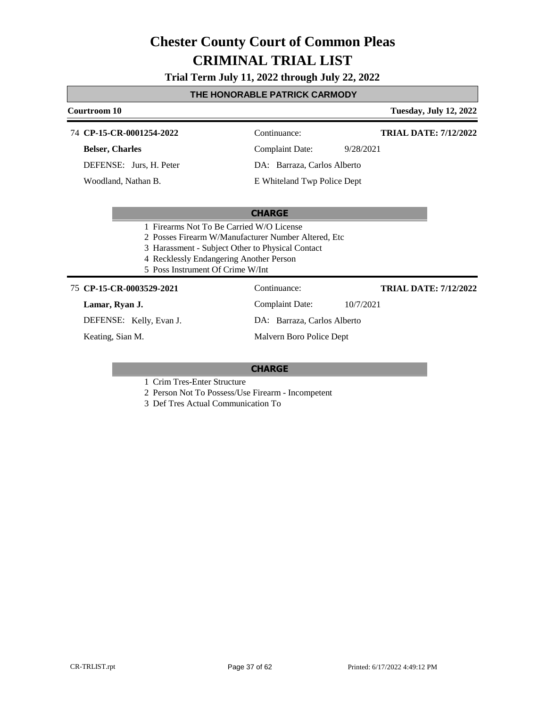### **Trial Term July 11, 2022 through July 22, 2022**

### **THE HONORABLE PATRICK CARMODY**

| Courtroom 10                                         |                             | <b>Tuesday, July 12, 2022</b> |
|------------------------------------------------------|-----------------------------|-------------------------------|
| 74 CP-15-CR-0001254-2022                             | Continuance:                | <b>TRIAL DATE: 7/12/2022</b>  |
| <b>Belser, Charles</b>                               | Complaint Date:             | 9/28/2021                     |
| DEFENSE: Jurs, H. Peter                              | DA: Barraza, Carlos Alberto |                               |
| Woodland, Nathan B.                                  | E Whiteland Twp Police Dept |                               |
|                                                      |                             |                               |
|                                                      | <b>CHARGE</b>               |                               |
| 1 Firearms Not To Be Carried W/O License             |                             |                               |
| 2 Posses Firearm W/Manufacturer Number Altered, Etc. |                             |                               |
| 3 Harassment - Subject Other to Physical Contact     |                             |                               |
| 4 Recklessly Endangering Another Person              |                             |                               |

5 Poss Instrument Of Crime W/Int

#### **CP-15-CR-0003529-2021** 75 Continuance:

#### **Lamar, Ryan J.**

DEFENSE: Kelly, Evan J.

Keating, Sian M.

Complaint Date: 10/7/2021 DA: Barraza, Carlos Alberto

Malvern Boro Police Dept

#### **CHARGE**

1 Crim Tres-Enter Structure

2 Person Not To Possess/Use Firearm - Incompetent

3 Def Tres Actual Communication To

**TRIAL DATE: 7/12/2022**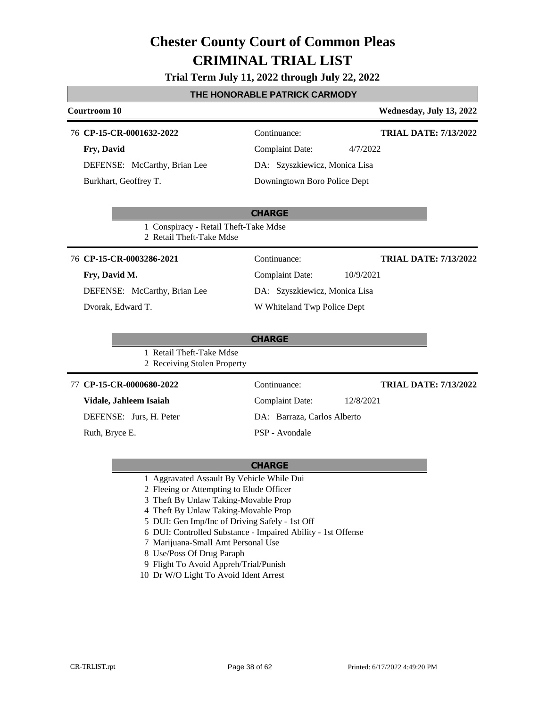### **Trial Term July 11, 2022 through July 22, 2022**

### **THE HONORABLE PATRICK CARMODY**

| Courtroom 10                                                      |                                     | Wednesday, July 13, 2022     |
|-------------------------------------------------------------------|-------------------------------------|------------------------------|
| 76 CP-15-CR-0001632-2022                                          | Continuance:                        | <b>TRIAL DATE: 7/13/2022</b> |
| Fry, David                                                        | <b>Complaint Date:</b><br>4/7/2022  |                              |
| DEFENSE: McCarthy, Brian Lee                                      | DA: Szyszkiewicz, Monica Lisa       |                              |
| Burkhart, Geoffrey T.                                             | Downingtown Boro Police Dept        |                              |
|                                                                   |                                     |                              |
|                                                                   | <b>CHARGE</b>                       |                              |
| 1 Conspiracy - Retail Theft-Take Mdse<br>2 Retail Theft-Take Mdse |                                     |                              |
| 76 CP-15-CR-0003286-2021                                          | Continuance:                        | <b>TRIAL DATE: 7/13/2022</b> |
| Fry, David M.                                                     | <b>Complaint Date:</b><br>10/9/2021 |                              |
| DEFENSE: McCarthy, Brian Lee                                      | DA: Szyszkiewicz, Monica Lisa       |                              |
| Dvorak, Edward T.                                                 | W Whiteland Twp Police Dept         |                              |
|                                                                   |                                     |                              |
| 1 Retail Theft-Take Mdse<br>2 Receiving Stolen Property           | <b>CHARGE</b>                       |                              |
| 77 CP-15-CR-0000680-2022                                          | Continuance:                        | <b>TRIAL DATE: 7/13/2022</b> |
| Vidale, Jahleem Isaiah                                            | <b>Complaint Date:</b><br>12/8/2021 |                              |
| DEFENSE: Jurs, H. Peter                                           | DA: Barraza, Carlos Alberto         |                              |
| Ruth, Bryce E.                                                    | PSP - Avondale                      |                              |

- 1 Aggravated Assault By Vehicle While Dui
- 2 Fleeing or Attempting to Elude Officer
- 3 Theft By Unlaw Taking-Movable Prop
- 4 Theft By Unlaw Taking-Movable Prop
- 5 DUI: Gen Imp/Inc of Driving Safely 1st Off
- 6 DUI: Controlled Substance Impaired Ability 1st Offense
- 7 Marijuana-Small Amt Personal Use
- 8 Use/Poss Of Drug Paraph
- 9 Flight To Avoid Appreh/Trial/Punish
- 10 Dr W/O Light To Avoid Ident Arrest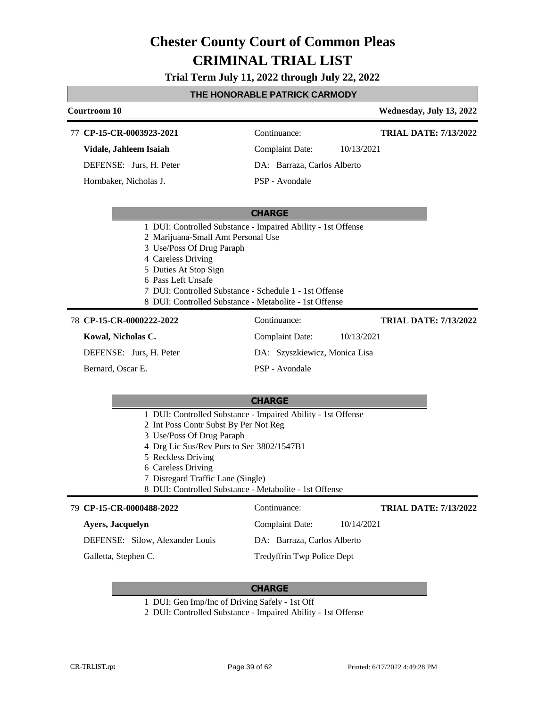**Trial Term July 11, 2022 through July 22, 2022**

#### **THE HONORABLE PATRICK CARMODY**

| Courtroom 10                |                                                              | Wednesday, July 13, 2022     |
|-----------------------------|--------------------------------------------------------------|------------------------------|
| CP-15-CR-0003923-2021<br>77 | Continuance:                                                 | <b>TRIAL DATE: 7/13/2022</b> |
| Vidale, Jahleem Isaiah      | 10/13/2021<br><b>Complaint Date:</b>                         |                              |
| DEFENSE: Jurs, H. Peter     | DA: Barraza, Carlos Alberto                                  |                              |
| Hornbaker, Nicholas J.      | PSP - Avondale                                               |                              |
|                             |                                                              |                              |
|                             | <b>CHARGE</b>                                                |                              |
|                             | 1 DUI: Controlled Substance - Impaired Ability - 1st Offense |                              |
|                             | 2 Marijuana-Small Amt Personal Use                           |                              |
|                             | 3 Use/Poss Of Drug Paraph                                    |                              |
| 4 Careless Driving          |                                                              |                              |
| 5 Duties At Stop Sign       |                                                              |                              |
| 6 Pass Left Unsafe          |                                                              |                              |
|                             | 7 DUI: Controlled Substance - Schedule 1 - 1st Offense       |                              |
|                             | 8 DUI: Controlled Substance - Metabolite - 1st Offense       |                              |
| 78 CP-15-CR-0000222-2022    | Continuance:                                                 | <b>TRIAL DATE: 7/13/2022</b> |

**Kowal, Nicholas C.** DEFENSE: Jurs, H. Peter

Bernard, Oscar E.

Complaint Date: 10/13/2021 DA: Szyszkiewicz, Monica Lisa

#### **CHARGE**

PSP - Avondale

- 1 DUI: Controlled Substance Impaired Ability 1st Offense
- 2 Int Poss Contr Subst By Per Not Reg
- 3 Use/Poss Of Drug Paraph
- 4 Drg Lic Sus/Rev Purs to Sec 3802/1547B1
- 5 Reckless Driving
- 6 Careless Driving
- 7 Disregard Traffic Lane (Single)
- 8 DUI: Controlled Substance Metabolite 1st Offense

#### **CP-15-CR-0000488-2022** 79 Continuance: **Ayers, Jacquelyn** DEFENSE: Silow, Alexander Louis Complaint Date: 10/14/2021 DA: Barraza, Carlos Alberto **TRIAL DATE: 7/13/2022**

Galletta, Stephen C.

Tredyffrin Twp Police Dept

- 1 DUI: Gen Imp/Inc of Driving Safely 1st Off
- 2 DUI: Controlled Substance Impaired Ability 1st Offense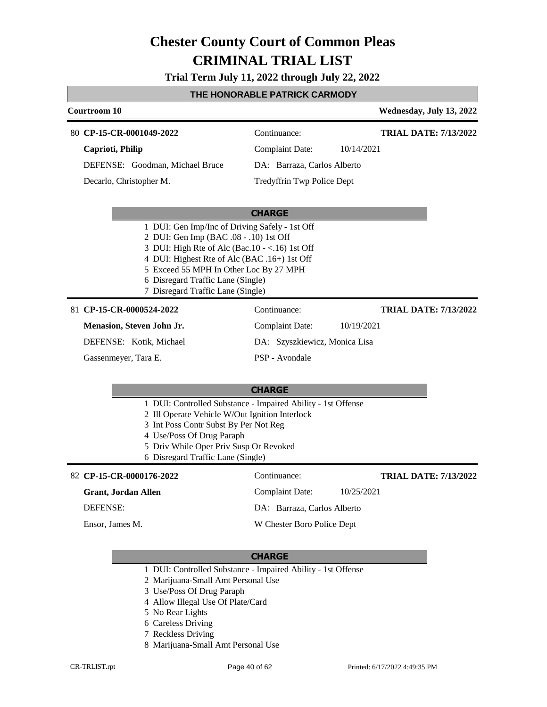**Trial Term July 11, 2022 through July 22, 2022**

### **THE HONORABLE PATRICK CARMODY**

|  | Courtroom 10                                                                                                                                                                                                                                                                                                   |                               |            | Wednesday, July 13, 2022     |
|--|----------------------------------------------------------------------------------------------------------------------------------------------------------------------------------------------------------------------------------------------------------------------------------------------------------------|-------------------------------|------------|------------------------------|
|  | 80 CP-15-CR-0001049-2022                                                                                                                                                                                                                                                                                       | Continuance:                  |            | <b>TRIAL DATE: 7/13/2022</b> |
|  | Caprioti, Philip                                                                                                                                                                                                                                                                                               | <b>Complaint Date:</b>        | 10/14/2021 |                              |
|  | DEFENSE: Goodman, Michael Bruce                                                                                                                                                                                                                                                                                | DA: Barraza, Carlos Alberto   |            |                              |
|  | Decarlo, Christopher M.                                                                                                                                                                                                                                                                                        | Tredyffrin Twp Police Dept    |            |                              |
|  |                                                                                                                                                                                                                                                                                                                | <b>CHARGE</b>                 |            |                              |
|  | 1 DUI: Gen Imp/Inc of Driving Safely - 1st Off<br>2 DUI: Gen Imp (BAC .08 - .10) 1st Off<br>3 DUI: High Rte of Alc (Bac.10 - <.16) 1st Off<br>4 DUI: Highest Rte of Alc (BAC .16+) 1st Off<br>5 Exceed 55 MPH In Other Loc By 27 MPH<br>6 Disregard Traffic Lane (Single)<br>7 Disregard Traffic Lane (Single) |                               |            |                              |
|  | 81 CP-15-CR-0000524-2022                                                                                                                                                                                                                                                                                       | Continuance:                  |            | <b>TRIAL DATE: 7/13/2022</b> |
|  | Menasion, Steven John Jr.                                                                                                                                                                                                                                                                                      | <b>Complaint Date:</b>        | 10/19/2021 |                              |
|  | DEFENSE: Kotik, Michael                                                                                                                                                                                                                                                                                        | DA: Szyszkiewicz, Monica Lisa |            |                              |
|  | Gassenmeyer, Tara E.                                                                                                                                                                                                                                                                                           | PSP - Avondale                |            |                              |
|  |                                                                                                                                                                                                                                                                                                                | <b>CHARGE</b>                 |            |                              |
|  | 1 DUI: Controlled Substance - Impaired Ability - 1st Offense<br>2 Ill Operate Vehicle W/Out Ignition Interlock<br>3 Int Poss Contr Subst By Per Not Reg<br>4 Use/Poss Of Drug Paraph<br>5 Driv While Oper Priv Susp Or Revoked<br>6 Disregard Traffic Lane (Single)                                            |                               |            |                              |
|  | 82 CP-15-CR-0000176-2022                                                                                                                                                                                                                                                                                       | Continuance:                  |            | <b>TRIAL DATE: 7/13/2022</b> |
|  | <b>Grant, Jordan Allen</b>                                                                                                                                                                                                                                                                                     | <b>Complaint Date:</b>        | 10/25/2021 |                              |
|  | <b>DEFENSE:</b>                                                                                                                                                                                                                                                                                                | DA: Barraza, Carlos Alberto   |            |                              |
|  | Ensor, James M.                                                                                                                                                                                                                                                                                                | W Chester Boro Police Dept    |            |                              |
|  |                                                                                                                                                                                                                                                                                                                |                               |            |                              |

- 1 DUI: Controlled Substance Impaired Ability 1st Offense
- 2 Marijuana-Small Amt Personal Use
- 3 Use/Poss Of Drug Paraph
- 4 Allow Illegal Use Of Plate/Card
- 5 No Rear Lights
- 6 Careless Driving
- 7 Reckless Driving
- 8 Marijuana-Small Amt Personal Use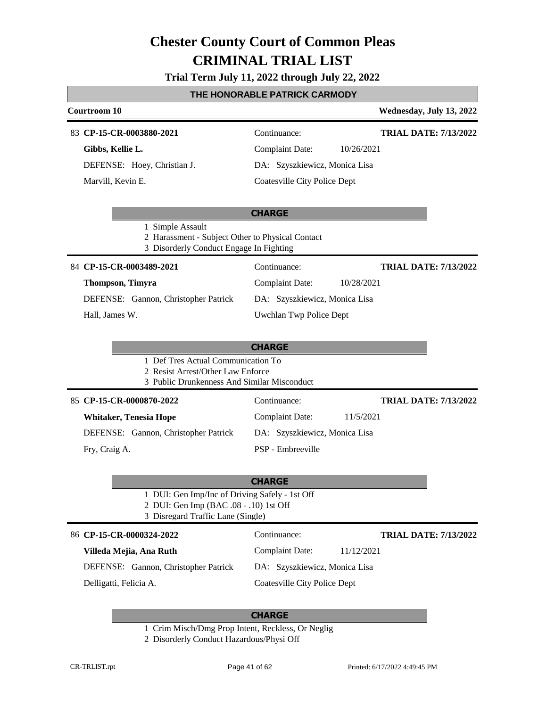### **Trial Term July 11, 2022 through July 22, 2022**

|                                                                                                                               | THE HONORABLE PATRICK CARMODY                |
|-------------------------------------------------------------------------------------------------------------------------------|----------------------------------------------|
| <b>Courtroom 10</b>                                                                                                           | Wednesday, July 13, 2022                     |
| 83 CP-15-CR-0003880-2021                                                                                                      | Continuance:<br><b>TRIAL DATE: 7/13/2022</b> |
| Gibbs, Kellie L.                                                                                                              | <b>Complaint Date:</b><br>10/26/2021         |
| DEFENSE: Hoey, Christian J.                                                                                                   | DA: Szyszkiewicz, Monica Lisa                |
| Marvill, Kevin E.                                                                                                             | <b>Coatesville City Police Dept</b>          |
|                                                                                                                               | <b>CHARGE</b>                                |
| 1 Simple Assault<br>2 Harassment - Subject Other to Physical Contact<br>3 Disorderly Conduct Engage In Fighting               |                                              |
| 84 CP-15-CR-0003489-2021                                                                                                      | Continuance:<br><b>TRIAL DATE: 7/13/2022</b> |
| Thompson, Timyra                                                                                                              | <b>Complaint Date:</b><br>10/28/2021         |
| DEFENSE: Gannon, Christopher Patrick                                                                                          | DA: Szyszkiewicz, Monica Lisa                |
| Hall, James W.                                                                                                                | Uwchlan Twp Police Dept                      |
| 1 Def Tres Actual Communication To<br>2 Resist Arrest/Other Law Enforce<br>3 Public Drunkenness And Similar Misconduct        | <b>CHARGE</b>                                |
| 85 CP-15-CR-0000870-2022                                                                                                      | Continuance:<br><b>TRIAL DATE: 7/13/2022</b> |
| <b>Whitaker, Tenesia Hope</b>                                                                                                 | <b>Complaint Date:</b><br>11/5/2021          |
| DEFENSE: Gannon, Christopher Patrick                                                                                          | DA: Szyszkiewicz, Monica Lisa                |
| Fry, Craig A.                                                                                                                 | PSP - Embreeville                            |
|                                                                                                                               | <b>CHARGE</b>                                |
| 1 DUI: Gen Imp/Inc of Driving Safely - 1st Off<br>2 DUI: Gen Imp (BAC .08 - .10) 1st Off<br>3 Disregard Traffic Lane (Single) |                                              |
| 86 CP-15-CR-0000324-2022                                                                                                      | Continuance:<br><b>TRIAL DATE: 7/13/2022</b> |
| Villeda Mejia, Ana Ruth                                                                                                       | <b>Complaint Date:</b><br>11/12/2021         |
| DEFENSE: Gannon, Christopher Patrick                                                                                          | DA: Szyszkiewicz, Monica Lisa                |
| Delligatti, Felicia A.                                                                                                        | <b>Coatesville City Police Dept</b>          |
|                                                                                                                               |                                              |

#### **CHARGE**

1 Crim Misch/Dmg Prop Intent, Reckless, Or Neglig

2 Disorderly Conduct Hazardous/Physi Off

Г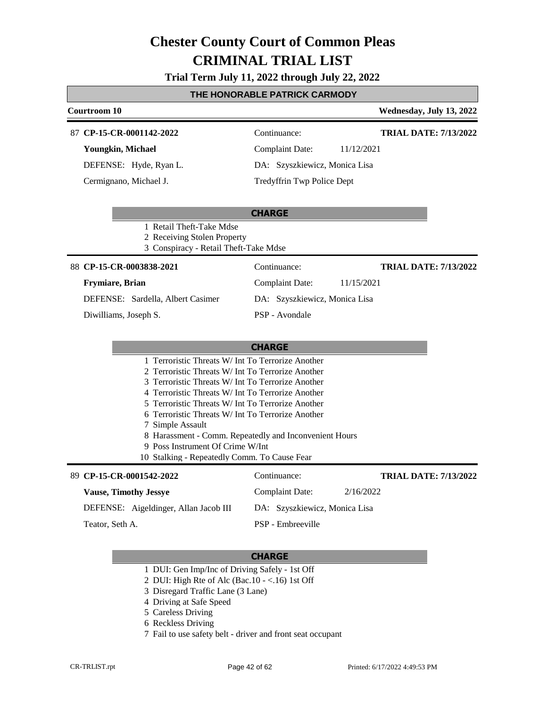### **Trial Term July 11, 2022 through July 22, 2022**

### **THE HONORABLE PATRICK CARMODY**

| Courtroom 10                                                                                           |                                                        | Wednesday, July 13, 2022     |
|--------------------------------------------------------------------------------------------------------|--------------------------------------------------------|------------------------------|
| 87 CP-15-CR-0001142-2022                                                                               | Continuance:                                           | <b>TRIAL DATE: 7/13/2022</b> |
| Youngkin, Michael                                                                                      | <b>Complaint Date:</b>                                 | 11/12/2021                   |
| DEFENSE: Hyde, Ryan L.                                                                                 | DA: Szyszkiewicz, Monica Lisa                          |                              |
| Cermignano, Michael J.                                                                                 | Tredyffrin Twp Police Dept                             |                              |
| 1 Retail Theft-Take Mdse<br>2 Receiving Stolen Property                                                | <b>CHARGE</b>                                          |                              |
| 3 Conspiracy - Retail Theft-Take Mdse                                                                  |                                                        |                              |
| 88 CP-15-CR-0003838-2021                                                                               | Continuance:                                           | <b>TRIAL DATE: 7/13/2022</b> |
| Frymiare, Brian                                                                                        | <b>Complaint Date:</b>                                 | 11/15/2021                   |
| DEFENSE: Sardella, Albert Casimer                                                                      | DA: Szyszkiewicz, Monica Lisa                          |                              |
| Diwilliams, Joseph S.                                                                                  | PSP - Avondale                                         |                              |
|                                                                                                        |                                                        |                              |
|                                                                                                        | <b>CHARGE</b>                                          |                              |
| 1 Terroristic Threats W/ Int To Terrorize Another                                                      |                                                        |                              |
| 2 Terroristic Threats W/ Int To Terrorize Another<br>3 Terroristic Threats W/ Int To Terrorize Another |                                                        |                              |
| 4 Terroristic Threats W/ Int To Terrorize Another                                                      |                                                        |                              |
| 5 Terroristic Threats W/ Int To Terrorize Another                                                      |                                                        |                              |
| 6 Terroristic Threats W/ Int To Terrorize Another                                                      |                                                        |                              |
| 7 Simple Assault<br>9 Poss Instrument Of Crime W/Int                                                   | 8 Harassment - Comm. Repeatedly and Inconvenient Hours |                              |
| 10 Stalking - Repeatedly Comm. To Cause Fear                                                           |                                                        |                              |
| 89 CP-15-CR-0001542-2022                                                                               | Continuance:                                           | <b>TRIAL DATE: 7/13/2022</b> |
| <b>Vause, Timothy Jessye</b>                                                                           | <b>Complaint Date:</b>                                 | 2/16/2022                    |
| DEFENSE: Aigeldinger, Allan Jacob III                                                                  | DA: Szyszkiewicz, Monica Lisa                          |                              |
| Teator, Seth A.                                                                                        | PSP - Embreeville                                      |                              |

- 1 DUI: Gen Imp/Inc of Driving Safely 1st Off
- 2 DUI: High Rte of Alc (Bac.10 <.16) 1st Off
- 3 Disregard Traffic Lane (3 Lane)
- 4 Driving at Safe Speed
- 5 Careless Driving
- 6 Reckless Driving
- 7 Fail to use safety belt driver and front seat occupant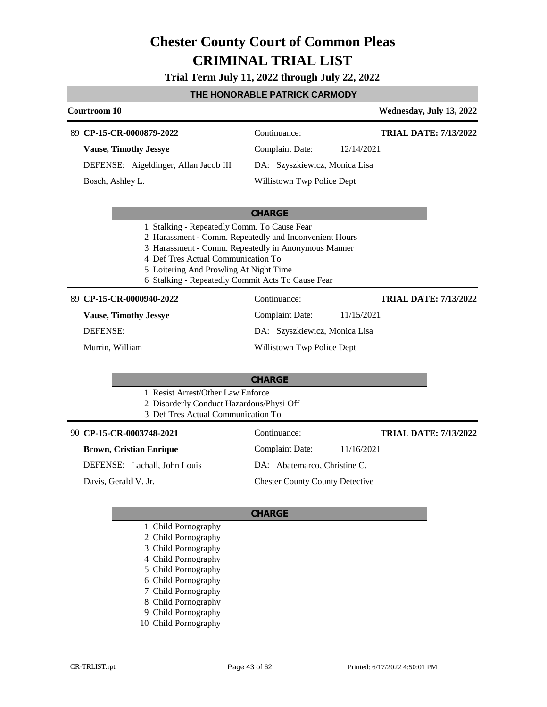### **Trial Term July 11, 2022 through July 22, 2022**

### **THE HONORABLE PATRICK CARMODY**

|                                                                                                                                                                                                                                                    | <b>Courtroom 10</b>          |                                          |                               |            | Wednesday, July 13, 2022     |
|----------------------------------------------------------------------------------------------------------------------------------------------------------------------------------------------------------------------------------------------------|------------------------------|------------------------------------------|-------------------------------|------------|------------------------------|
|                                                                                                                                                                                                                                                    | 89 CP-15-CR-0000879-2022     |                                          | Continuance:                  |            | <b>TRIAL DATE: 7/13/2022</b> |
|                                                                                                                                                                                                                                                    | <b>Vause, Timothy Jessye</b> |                                          | Complaint Date:               | 12/14/2021 |                              |
|                                                                                                                                                                                                                                                    |                              | DEFENSE: Aigeldinger, Allan Jacob III    | DA: Szyszkiewicz, Monica Lisa |            |                              |
|                                                                                                                                                                                                                                                    | Bosch, Ashley L.             |                                          | Willistown Twp Police Dept    |            |                              |
|                                                                                                                                                                                                                                                    |                              |                                          | <b>CHARGE</b>                 |            |                              |
| 2 Harassment - Comm. Repeatedly and Inconvenient Hours<br>3 Harassment - Comm. Repeatedly in Anonymous Manner<br>4 Def Tres Actual Communication To<br>5 Loitering And Prowling At Night Time<br>6 Stalking - Repeatedly Commit Acts To Cause Fear |                              |                                          |                               |            |                              |
|                                                                                                                                                                                                                                                    | 89 CP-15-CR-0000940-2022     |                                          | Continuance:                  |            | <b>TRIAL DATE: 7/13/2022</b> |
|                                                                                                                                                                                                                                                    | <b>Vause, Timothy Jessye</b> |                                          | Complaint Date:               | 11/15/2021 |                              |
|                                                                                                                                                                                                                                                    | <b>DEFENSE:</b>              |                                          | DA: Szyszkiewicz, Monica Lisa |            |                              |
|                                                                                                                                                                                                                                                    | Murrin, William              |                                          | Willistown Twp Police Dept    |            |                              |
|                                                                                                                                                                                                                                                    |                              |                                          | <b>CHARGE</b>                 |            |                              |
|                                                                                                                                                                                                                                                    |                              | 1 Resist Arrest/Other Law Enforce        |                               |            |                              |
|                                                                                                                                                                                                                                                    |                              | 2 Disorderly Conduct Hazardous/Physi Off |                               |            |                              |
|                                                                                                                                                                                                                                                    |                              | 3 Def Tres Actual Communication To       |                               |            |                              |

**CP-15-CR-0003748-2021** 90 Continuance:

### **Brown, Cristian Enrique**

DEFENSE: Lachall, John Louis

Davis, Gerald V. Jr.

Complaint Date: 11/16/2021 DA: Abatemarco, Christine C. Chester County County Detective

#### **CHARGE**

- 1 Child Pornography
- 2 Child Pornography
- 3 Child Pornography
- 4 Child Pornography
- 5 Child Pornography
- 6 Child Pornography
- 7 Child Pornography
- 8 Child Pornography
- 9 Child Pornography
- 10 Child Pornography

**TRIAL DATE: 7/13/2022**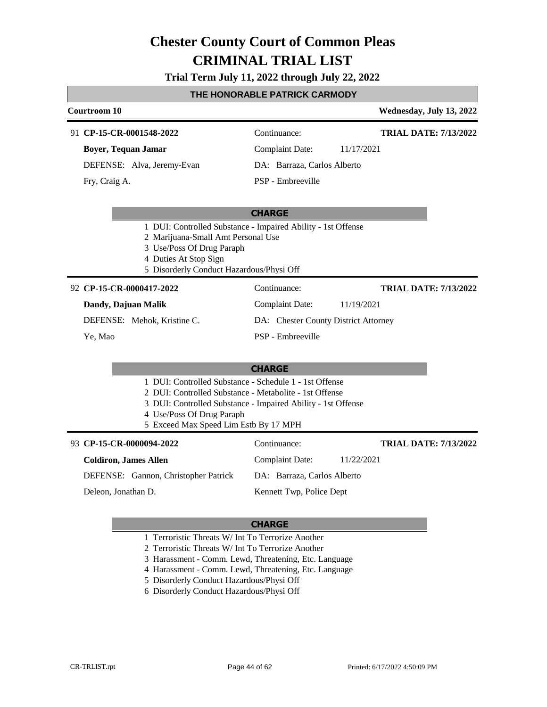#### **Trial Term July 11, 2022 through July 22, 2022**

#### **THE HONORABLE PATRICK CARMODY**

### **Courtroom 10 Wednesday, July 13, 2022 CHARGE CP-15-CR-0001548-2022** 91 Continuance: **Boyer, Tequan Jamar** DEFENSE: Alva, Jeremy-Evan Complaint Date: 11/17/2021 DA: Barraza, Carlos Alberto PSP - Embreeville **TRIAL DATE: 7/13/2022** Fry, Craig A. 1 DUI: Controlled Substance - Impaired Ability - 1st Offense 2 Marijuana-Small Amt Personal Use 3 Use/Poss Of Drug Paraph 4 Duties At Stop Sign 5 Disorderly Conduct Hazardous/Physi Off **CHARGE CP-15-CR-0000417-2022** 92 Continuance: **Dandy, Dajuan Malik** DEFENSE: Mehok, Kristine C. Complaint Date: 11/19/2021 DA: Chester County District Attorney PSP - Embreeville **TRIAL DATE: 7/13/2022** Ye, Mao 1 DUI: Controlled Substance - Schedule 1 - 1st Offense 2 DUI: Controlled Substance - Metabolite - 1st Offense 3 DUI: Controlled Substance - Impaired Ability - 1st Offense 4 Use/Poss Of Drug Paraph 5 Exceed Max Speed Lim Estb By 17 MPH

| 93 CP-15-CR-0000094-2022             | Continuance:                  | <b>TRIAL DATE: 7/13/2022</b> |
|--------------------------------------|-------------------------------|------------------------------|
| <b>Coldiron, James Allen</b>         | Complaint Date:<br>11/22/2021 |                              |
| DEFENSE: Gannon, Christopher Patrick | DA: Barraza, Carlos Alberto   |                              |
| Deleon, Jonathan D.                  | Kennett Twp, Police Dept      |                              |

- 1 Terroristic Threats W/ Int To Terrorize Another
- 2 Terroristic Threats W/ Int To Terrorize Another
- 3 Harassment Comm. Lewd, Threatening, Etc. Language
- 4 Harassment Comm. Lewd, Threatening, Etc. Language
- 5 Disorderly Conduct Hazardous/Physi Off
- 6 Disorderly Conduct Hazardous/Physi Off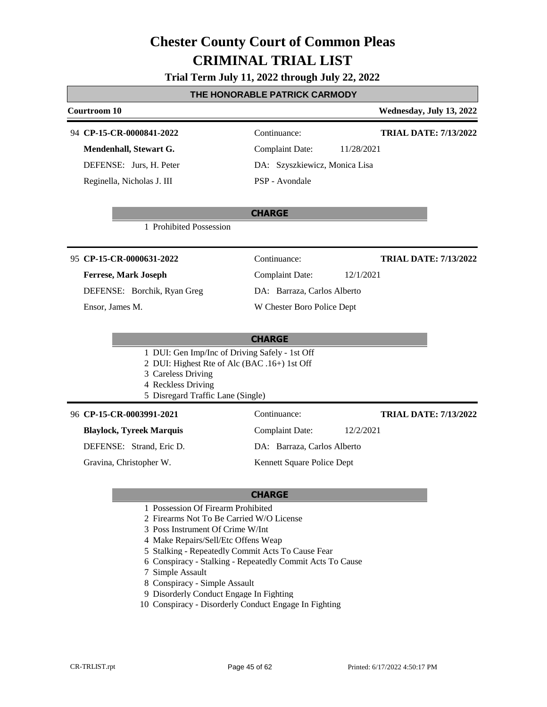### **Trial Term July 11, 2022 through July 22, 2022**

### **THE HONORABLE PATRICK CARMODY**

| Courtroom 10                                                                                                                                                                    |                               | Wednesday, July 13, 2022     |
|---------------------------------------------------------------------------------------------------------------------------------------------------------------------------------|-------------------------------|------------------------------|
| 94 CP-15-CR-0000841-2022                                                                                                                                                        | Continuance:                  | <b>TRIAL DATE: 7/13/2022</b> |
| Mendenhall, Stewart G.                                                                                                                                                          | <b>Complaint Date:</b>        | 11/28/2021                   |
| DEFENSE: Jurs, H. Peter                                                                                                                                                         | DA: Szyszkiewicz, Monica Lisa |                              |
| Reginella, Nicholas J. III                                                                                                                                                      | PSP - Avondale                |                              |
| 1 Prohibited Possession                                                                                                                                                         | <b>CHARGE</b>                 |                              |
| 95 CP-15-CR-0000631-2022                                                                                                                                                        | Continuance:                  | <b>TRIAL DATE: 7/13/2022</b> |
| <b>Ferrese, Mark Joseph</b>                                                                                                                                                     | <b>Complaint Date:</b>        | 12/1/2021                    |
| DEFENSE: Borchik, Ryan Greg                                                                                                                                                     | DA: Barraza, Carlos Alberto   |                              |
| Ensor, James M.                                                                                                                                                                 | W Chester Boro Police Dept    |                              |
|                                                                                                                                                                                 |                               |                              |
|                                                                                                                                                                                 | <b>CHARGE</b>                 |                              |
| 1 DUI: Gen Imp/Inc of Driving Safely - 1st Off<br>2 DUI: Highest Rte of Alc (BAC .16+) 1st Off<br>3 Careless Driving<br>4 Reckless Driving<br>5 Disregard Traffic Lane (Single) |                               |                              |
| 96 CP-15-CR-0003991-2021                                                                                                                                                        | Continuance:                  | <b>TRIAL DATE: 7/13/2022</b> |
| <b>Blaylock, Tyreek Marquis</b>                                                                                                                                                 | <b>Complaint Date:</b>        | 12/2/2021                    |
| DEFENSE: Strand, Eric D.                                                                                                                                                        | DA: Barraza, Carlos Alberto   |                              |
| Gravina, Christopher W.                                                                                                                                                         | Kennett Square Police Dept    |                              |
|                                                                                                                                                                                 | <b>CHARGE</b>                 |                              |
| 1 Possession Of Firearm Prohibited<br>2 Firearms Not To Be Carried W/O License                                                                                                  |                               |                              |

- 3 Poss Instrument Of Crime W/Int
- 4 Make Repairs/Sell/Etc Offens Weap
- 5 Stalking Repeatedly Commit Acts To Cause Fear
- 6 Conspiracy Stalking Repeatedly Commit Acts To Cause
- 7 Simple Assault
- 8 Conspiracy Simple Assault
- 9 Disorderly Conduct Engage In Fighting
- 10 Conspiracy Disorderly Conduct Engage In Fighting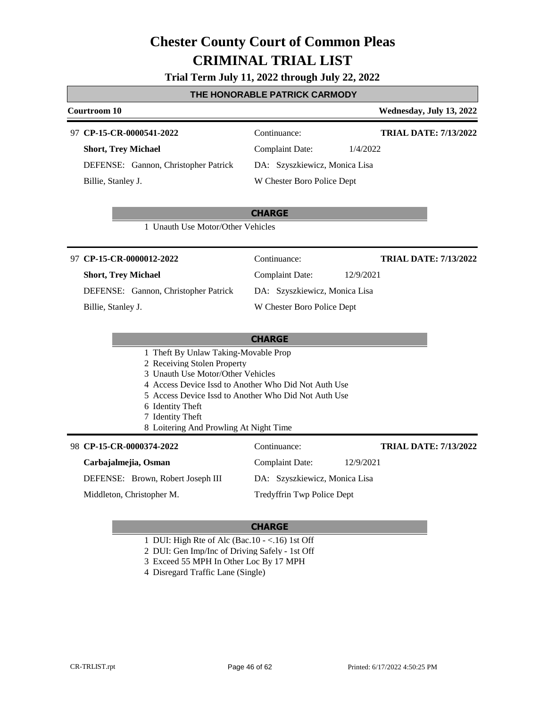#### **Trial Term July 11, 2022 through July 22, 2022**

#### **THE HONORABLE PATRICK CARMODY**

### **Courtroom 10 Wednesday, July 13, 2022 CHARGE CP-15-CR-0000541-2022** 97 Continuance: **Short, Trey Michael** DEFENSE: Gannon, Christopher Patrick Complaint Date: 1/4/2022 DA: Szyszkiewicz, Monica Lisa W Chester Boro Police Dept **TRIAL DATE: 7/13/2022** Billie, Stanley J. 1 Unauth Use Motor/Other Vehicles **CHARGE CP-15-CR-0000012-2022** 97 Continuance: **Short, Trey Michael** DEFENSE: Gannon, Christopher Patrick Complaint Date: 12/9/2021 DA: Szyszkiewicz, Monica Lisa W Chester Boro Police Dept **TRIAL DATE: 7/13/2022** Billie, Stanley J. 1 Theft By Unlaw Taking-Movable Prop 2 Receiving Stolen Property 3 Unauth Use Motor/Other Vehicles 4 Access Device Issd to Another Who Did Not Auth Use 5 Access Device Issd to Another Who Did Not Auth Use 6 Identity Theft 7 Identity Theft 8 Loitering And Prowling At Night Time **CP-15-CR-0000374-2022** 98 Continuance: **TRIAL DATE: 7/13/2022**

#### **Carbajalmejia, Osman**

DEFENSE: Brown, Robert Joseph III

Middleton, Christopher M.

Complaint Date: 12/9/2021 DA: Szyszkiewicz, Monica Lisa Tredyffrin Twp Police Dept

#### **CHARGE**

1 DUI: High Rte of Alc (Bac.10 - <.16) 1st Off

2 DUI: Gen Imp/Inc of Driving Safely - 1st Off

- 3 Exceed 55 MPH In Other Loc By 17 MPH
- 4 Disregard Traffic Lane (Single)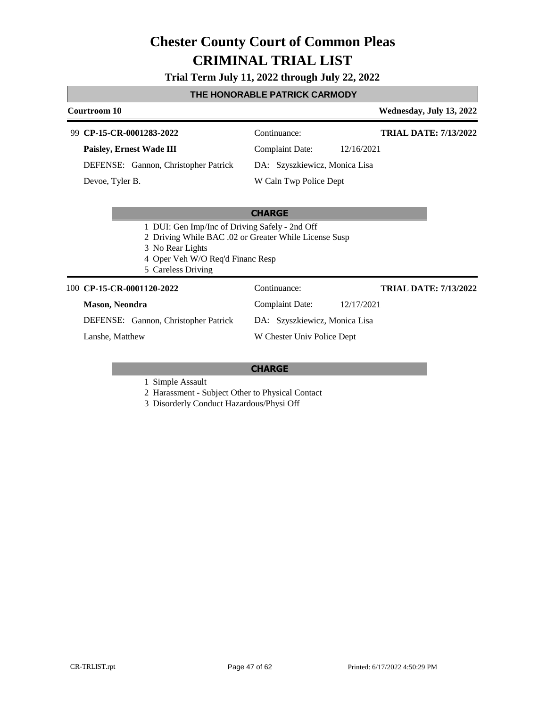### **Trial Term July 11, 2022 through July 22, 2022**

### **THE HONORABLE PATRICK CARMODY**

| Courtroom 10 |                       |                                                                                                                                                                                       |                               |            | Wednesday, July 13, 2022     |
|--------------|-----------------------|---------------------------------------------------------------------------------------------------------------------------------------------------------------------------------------|-------------------------------|------------|------------------------------|
| 99           |                       | CP-15-CR-0001283-2022                                                                                                                                                                 | Continuance:                  |            | <b>TRIAL DATE: 7/13/2022</b> |
|              |                       | Paisley, Ernest Wade III                                                                                                                                                              | <b>Complaint Date:</b>        | 12/16/2021 |                              |
|              |                       | DEFENSE: Gannon, Christopher Patrick                                                                                                                                                  | DA: Szyszkiewicz, Monica Lisa |            |                              |
|              | Devoe, Tyler B.       |                                                                                                                                                                                       | W Caln Twp Police Dept        |            |                              |
|              |                       |                                                                                                                                                                                       |                               |            |                              |
|              |                       |                                                                                                                                                                                       | <b>CHARGE</b>                 |            |                              |
|              |                       | 1 DUI: Gen Imp/Inc of Driving Safely - 2nd Off<br>2 Driving While BAC .02 or Greater While License Susp<br>3 No Rear Lights<br>4 Oper Veh W/O Req'd Financ Resp<br>5 Careless Driving |                               |            |                              |
|              |                       | 100 CP-15-CR-0001120-2022                                                                                                                                                             | Continuance:                  |            | <b>TRIAL DATE: 7/13/2022</b> |
|              | <b>Mason, Neondra</b> |                                                                                                                                                                                       | <b>Complaint Date:</b>        | 12/17/2021 |                              |
|              |                       | DEFENSE: Gannon, Christopher Patrick                                                                                                                                                  | DA: Szyszkiewicz, Monica Lisa |            |                              |
|              | Lanshe, Matthew       |                                                                                                                                                                                       | W Chester Univ Police Dept    |            |                              |

#### **CHARGE**

1 Simple Assault

2 Harassment - Subject Other to Physical Contact

3 Disorderly Conduct Hazardous/Physi Off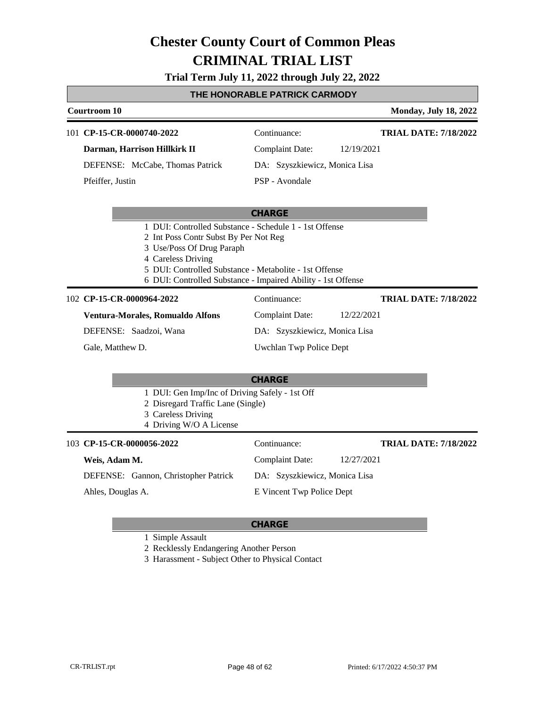#### **Trial Term July 11, 2022 through July 22, 2022**

#### **THE HONORABLE PATRICK CARMODY**

| Courtroom 10                    |                  |                               |                        | <b>Monday, July 18, 2022</b> |
|---------------------------------|------------------|-------------------------------|------------------------|------------------------------|
|                                 |                  | 101 CP-15-CR-0000740-2022     | Continuance:           | <b>TRIAL DATE: 7/18/2022</b> |
|                                 |                  | Darman, Harrison Hillkirk II  | <b>Complaint Date:</b> | 12/19/2021                   |
| DEFENSE: McCabe, Thomas Patrick |                  | DA: Szyszkiewicz, Monica Lisa |                        |                              |
|                                 | Pfeiffer, Justin |                               | PSP - Avondale         |                              |
|                                 |                  |                               |                        |                              |
|                                 |                  |                               | <b>CHARGE</b>          |                              |

- 1 DUI: Controlled Substance Schedule 1 1st Offense
- 2 Int Poss Contr Subst By Per Not Reg
- 3 Use/Poss Of Drug Paraph
- 4 Careless Driving
- 5 DUI: Controlled Substance Metabolite 1st Offense
- 6 DUI: Controlled Substance Impaired Ability 1st Offense

#### **CP-15-CR-0000964-2022** 102 Continuance:

**TRIAL DATE: 7/18/2022**

**Ventura-Morales, Romualdo Alfons** DEFENSE: Saadzoi, Wana

Gale, Matthew D.

Uwchlan Twp Police Dept

Complaint Date: 12/22/2021 DA: Szyszkiewicz, Monica Lisa

#### **CHARGE**

- 1 DUI: Gen Imp/Inc of Driving Safely 1st Off
- 2 Disregard Traffic Lane (Single)
- 3 Careless Driving
- 4 Driving W/O A License

| 103 CP-15-CR-0000056-2022            | Continuance:                  | <b>TRIAL DATE: 7/18/2022</b> |
|--------------------------------------|-------------------------------|------------------------------|
| Weis, Adam M.                        | Complaint Date:               | 12/27/2021                   |
| DEFENSE: Gannon, Christopher Patrick | DA: Szyszkiewicz, Monica Lisa |                              |
| Ahles, Douglas A.                    | E Vincent Twp Police Dept     |                              |

#### **CHARGE**

1 Simple Assault

2 Recklessly Endangering Another Person

3 Harassment - Subject Other to Physical Contact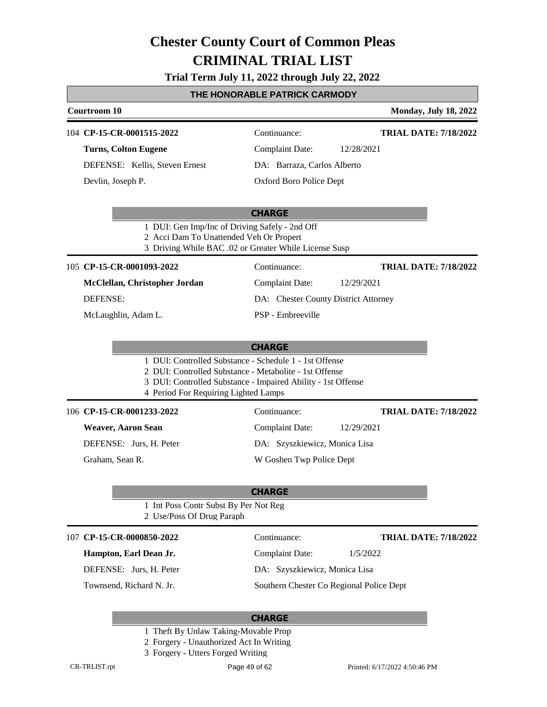### **Trial Term July 11, 2022 through July 22, 2022**

### **THE HONORABLE PATRICK CARMODY**

|                                                                                           | THE HONORABLE PATRICK CARMODT                                                                                                                                                    |                              |
|-------------------------------------------------------------------------------------------|----------------------------------------------------------------------------------------------------------------------------------------------------------------------------------|------------------------------|
| Courtroom 10                                                                              |                                                                                                                                                                                  | <b>Monday, July 18, 2022</b> |
| 104 CP-15-CR-0001515-2022                                                                 | Continuance:                                                                                                                                                                     | <b>TRIAL DATE: 7/18/2022</b> |
| <b>Turns, Colton Eugene</b>                                                               | <b>Complaint Date:</b><br>12/28/2021                                                                                                                                             |                              |
| DEFENSE: Kellis, Steven Ernest                                                            | DA: Barraza, Carlos Alberto                                                                                                                                                      |                              |
| Devlin, Joseph P.                                                                         | Oxford Boro Police Dept                                                                                                                                                          |                              |
|                                                                                           |                                                                                                                                                                                  |                              |
|                                                                                           | <b>CHARGE</b>                                                                                                                                                                    |                              |
| 1 DUI: Gen Imp/Inc of Driving Safely - 2nd Off<br>2 Acci Dam To Unattended Veh Or Propert | 3 Driving While BAC .02 or Greater While License Susp                                                                                                                            |                              |
| 105 CP-15-CR-0001093-2022                                                                 | Continuance:                                                                                                                                                                     | <b>TRIAL DATE: 7/18/2022</b> |
| McClellan, Christopher Jordan                                                             | <b>Complaint Date:</b><br>12/29/2021                                                                                                                                             |                              |
| <b>DEFENSE:</b>                                                                           | DA: Chester County District Attorney                                                                                                                                             |                              |
| McLaughlin, Adam L.                                                                       | PSP - Embreeville                                                                                                                                                                |                              |
|                                                                                           |                                                                                                                                                                                  |                              |
|                                                                                           | <b>CHARGE</b>                                                                                                                                                                    |                              |
| 4 Period For Requiring Lighted Lamps                                                      | 1 DUI: Controlled Substance - Schedule 1 - 1st Offense<br>2 DUI: Controlled Substance - Metabolite - 1st Offense<br>3 DUI: Controlled Substance - Impaired Ability - 1st Offense |                              |
| 106 CP-15-CR-0001233-2022                                                                 | Continuance:                                                                                                                                                                     | <b>TRIAL DATE: 7/18/2022</b> |
| <b>Weaver, Aaron Sean</b>                                                                 | <b>Complaint Date:</b><br>12/29/2021                                                                                                                                             |                              |
| DEFENSE: Jurs, H. Peter                                                                   | DA: Szyszkiewicz, Monica Lisa                                                                                                                                                    |                              |
| Graham, Sean R.                                                                           | W Goshen Twp Police Dept                                                                                                                                                         |                              |
|                                                                                           |                                                                                                                                                                                  |                              |
|                                                                                           | <b>CHARGE</b>                                                                                                                                                                    |                              |
| 1 Int Poss Contr Subst By Per Not Reg<br>2 Use/Poss Of Drug Paraph                        |                                                                                                                                                                                  |                              |
| 107 CP-15-CR-0000850-2022                                                                 | Continuance:                                                                                                                                                                     | <b>TRIAL DATE: 7/18/2022</b> |
| Hampton, Earl Dean Jr.                                                                    | <b>Complaint Date:</b>                                                                                                                                                           | 1/5/2022                     |
| DEFENSE: Jurs, H. Peter                                                                   | DA: Szyszkiewicz, Monica Lisa                                                                                                                                                    |                              |
| Townsend, Richard N. Jr.                                                                  | Southern Chester Co Regional Police Dept                                                                                                                                         |                              |
|                                                                                           |                                                                                                                                                                                  |                              |
|                                                                                           | <b>CHARGE</b>                                                                                                                                                                    |                              |

- 1 Theft By Unlaw Taking-Movable Prop
- 2 Forgery Unauthorized Act In Writing
- 3 Forgery Utters Forged Writing

Г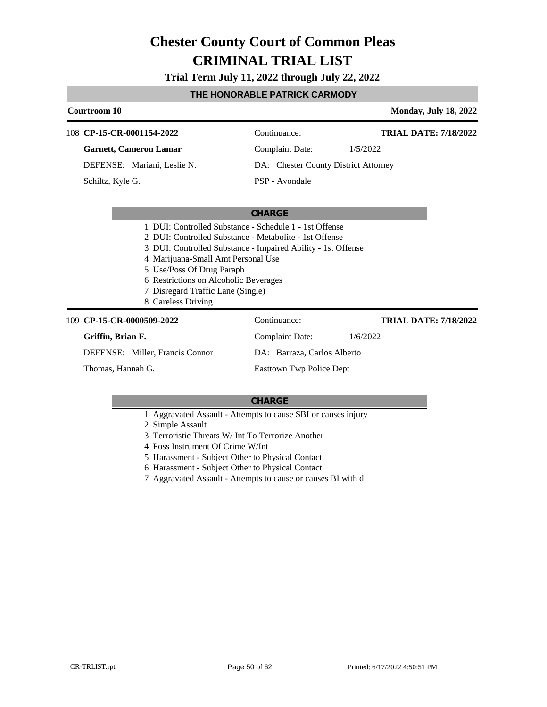**Trial Term July 11, 2022 through July 22, 2022**

### **THE HONORABLE PATRICK CARMODY**

| Courtroom 10      |                   |                                                              |                                      | <b>Monday, July 18, 2022</b> |
|-------------------|-------------------|--------------------------------------------------------------|--------------------------------------|------------------------------|
|                   |                   | 108 CP-15-CR-0001154-2022                                    | Continuance:                         | <b>TRIAL DATE: 7/18/2022</b> |
|                   |                   | <b>Garnett, Cameron Lamar</b>                                | <b>Complaint Date:</b>               | 1/5/2022                     |
|                   |                   | DEFENSE: Mariani, Leslie N.                                  | DA: Chester County District Attorney |                              |
|                   | Schiltz, Kyle G.  |                                                              | PSP - Avondale                       |                              |
|                   |                   |                                                              |                                      |                              |
|                   |                   |                                                              | <b>CHARGE</b>                        |                              |
|                   |                   | 1 DUI: Controlled Substance - Schedule 1 - 1st Offense       |                                      |                              |
|                   |                   | 2 DUI: Controlled Substance - Metabolite - 1st Offense       |                                      |                              |
|                   |                   | 3 DUI: Controlled Substance - Impaired Ability - 1st Offense |                                      |                              |
|                   |                   | 4 Marijuana-Small Amt Personal Use                           |                                      |                              |
|                   |                   | 5 Use/Poss Of Drug Paraph                                    |                                      |                              |
|                   |                   | 6 Restrictions on Alcoholic Beverages                        |                                      |                              |
|                   |                   | 7 Disregard Traffic Lane (Single)                            |                                      |                              |
|                   |                   | 8 Careless Driving                                           |                                      |                              |
| 109               |                   | CP-15-CR-0000509-2022                                        | Continuance:                         | <b>TRIAL DATE: 7/18/2022</b> |
|                   | Griffin, Brian F. |                                                              | <b>Complaint Date:</b>               | 1/6/2022                     |
|                   |                   | DEFENSE: Miller, Francis Connor                              | DA: Barraza, Carlos Alberto          |                              |
| Thomas, Hannah G. |                   | <b>Easttown Twp Police Dept</b>                              |                                      |                              |

- 1 Aggravated Assault Attempts to cause SBI or causes injury
- 2 Simple Assault
- 3 Terroristic Threats W/ Int To Terrorize Another
- 4 Poss Instrument Of Crime W/Int
- 5 Harassment Subject Other to Physical Contact
- 6 Harassment Subject Other to Physical Contact
- 7 Aggravated Assault Attempts to cause or causes BI with d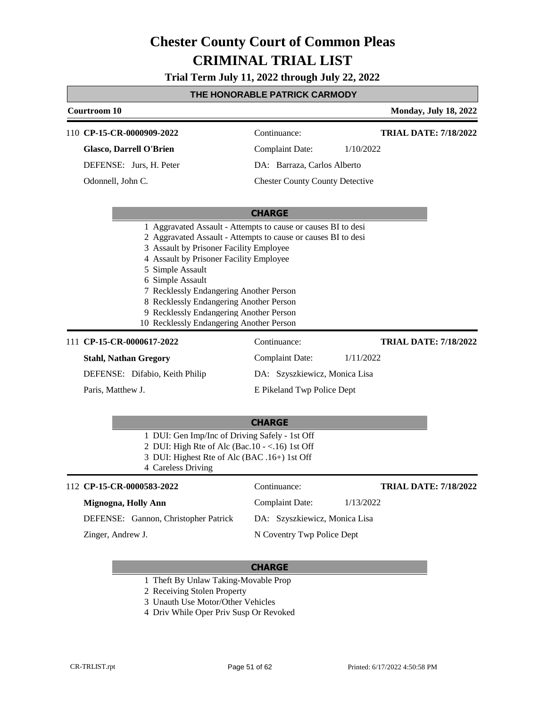**Trial Term July 11, 2022 through July 22, 2022**

#### **THE HONORABLE PATRICK CARMODY**

| Courtroom 10                                                  |                                        |           | <b>Monday, July 18, 2022</b> |
|---------------------------------------------------------------|----------------------------------------|-----------|------------------------------|
| 110 CP-15-CR-0000909-2022                                     | Continuance:                           |           | <b>TRIAL DATE: 7/18/2022</b> |
| <b>Glasco, Darrell O'Brien</b>                                | <b>Complaint Date:</b>                 | 1/10/2022 |                              |
| DEFENSE: Jurs, H. Peter                                       | DA: Barraza, Carlos Alberto            |           |                              |
| Odonnell, John C.                                             | <b>Chester County County Detective</b> |           |                              |
|                                                               |                                        |           |                              |
|                                                               | <b>CHARGE</b>                          |           |                              |
| 1 Aggravated Assault - Attempts to cause or causes BI to desi |                                        |           |                              |
| 2 Aggravated Assault - Attempts to cause or causes BI to desi |                                        |           |                              |
| 3 Assault by Prisoner Facility Employee                       |                                        |           |                              |
| 4 Assault by Prisoner Facility Employee                       |                                        |           |                              |
| 5 Simple Assault                                              |                                        |           |                              |
| 6 Simple Assault                                              |                                        |           |                              |
| 7 Recklessly Endangering Another Person                       |                                        |           |                              |
| 8 Recklessly Endangering Another Person                       |                                        |           |                              |
| 9 Recklessly Endangering Another Person                       |                                        |           |                              |
| 10 Recklessly Endangering Another Person                      |                                        |           |                              |
| 111 CP-15-CR-0000617-2022                                     | Continuance:                           |           | <b>TRIAL DATE: 7/18/2022</b> |
| <b>Stahl, Nathan Gregory</b>                                  | Complaint Date:                        | 1/11/2022 |                              |
| DEFENSE: Difabio, Keith Philip                                | DA: Szyszkiewicz, Monica Lisa          |           |                              |
| Paris, Matthew J.                                             | E Pikeland Twp Police Dept             |           |                              |

#### **CHARGE**

- 1 DUI: Gen Imp/Inc of Driving Safely 1st Off
- 2 DUI: High Rte of Alc (Bac.10 <.16) 1st Off
- 3 DUI: Highest Rte of Alc (BAC .16+) 1st Off

4 Careless Driving

#### **CP-15-CR-0000583-2022**

| 112 CP-15-CR-0000583-2022            | Continuance:                  | <b>TRIAL DATE: 7/18/2022</b> |
|--------------------------------------|-------------------------------|------------------------------|
| Mignogna, Holly Ann                  | Complaint Date:               | 1/13/2022                    |
| DEFENSE: Gannon, Christopher Patrick | DA: Szyszkiewicz, Monica Lisa |                              |
| Zinger, Andrew J.                    | N Coventry Twp Police Dept    |                              |

- 1 Theft By Unlaw Taking-Movable Prop
- 2 Receiving Stolen Property
- 3 Unauth Use Motor/Other Vehicles
- 4 Driv While Oper Priv Susp Or Revoked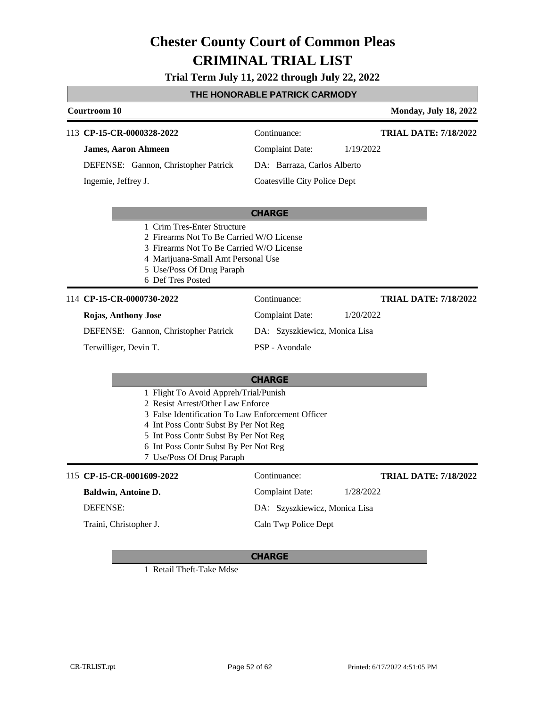### **Trial Term July 11, 2022 through July 22, 2022**

### **THE HONORABLE PATRICK CARMODY**

| Courtroom 10                                                                                                                                                                                                                                                                            |                                     | <b>Monday, July 18, 2022</b> |
|-----------------------------------------------------------------------------------------------------------------------------------------------------------------------------------------------------------------------------------------------------------------------------------------|-------------------------------------|------------------------------|
| 113 CP-15-CR-0000328-2022                                                                                                                                                                                                                                                               | Continuance:                        | <b>TRIAL DATE: 7/18/2022</b> |
| <b>James, Aaron Ahmeen</b>                                                                                                                                                                                                                                                              | <b>Complaint Date:</b>              | 1/19/2022                    |
| DEFENSE: Gannon, Christopher Patrick                                                                                                                                                                                                                                                    | DA: Barraza, Carlos Alberto         |                              |
| Ingemie, Jeffrey J.                                                                                                                                                                                                                                                                     | <b>Coatesville City Police Dept</b> |                              |
|                                                                                                                                                                                                                                                                                         | <b>CHARGE</b>                       |                              |
| 1 Crim Tres-Enter Structure<br>2 Firearms Not To Be Carried W/O License<br>3 Firearms Not To Be Carried W/O License<br>4 Marijuana-Small Amt Personal Use<br>5 Use/Poss Of Drug Paraph<br>6 Def Tres Posted                                                                             |                                     |                              |
| 114 CP-15-CR-0000730-2022                                                                                                                                                                                                                                                               | Continuance:                        | <b>TRIAL DATE: 7/18/2022</b> |
| Rojas, Anthony Jose                                                                                                                                                                                                                                                                     | <b>Complaint Date:</b>              | 1/20/2022                    |
| DEFENSE: Gannon, Christopher Patrick                                                                                                                                                                                                                                                    | DA: Szyszkiewicz, Monica Lisa       |                              |
| Terwilliger, Devin T.                                                                                                                                                                                                                                                                   | PSP - Avondale                      |                              |
|                                                                                                                                                                                                                                                                                         | <b>CHARGE</b>                       |                              |
| 1 Flight To Avoid Appreh/Trial/Punish<br>2 Resist Arrest/Other Law Enforce<br>3 False Identification To Law Enforcement Officer<br>4 Int Poss Contr Subst By Per Not Reg<br>5 Int Poss Contr Subst By Per Not Reg<br>6 Int Poss Contr Subst By Per Not Reg<br>7 Use/Poss Of Drug Paraph |                                     |                              |
| 115 CP-15-CR-0001609-2022                                                                                                                                                                                                                                                               | Continuance:                        | <b>TRIAL DATE: 7/18/2022</b> |
| <b>Baldwin, Antoine D.</b>                                                                                                                                                                                                                                                              | <b>Complaint Date:</b>              | 1/28/2022                    |
| <b>DEFENSE:</b>                                                                                                                                                                                                                                                                         | DA: Szyszkiewicz, Monica Lisa       |                              |
| Traini, Christopher J.                                                                                                                                                                                                                                                                  | Caln Twp Police Dept                |                              |

#### **CHARGE**

1 Retail Theft-Take Mdse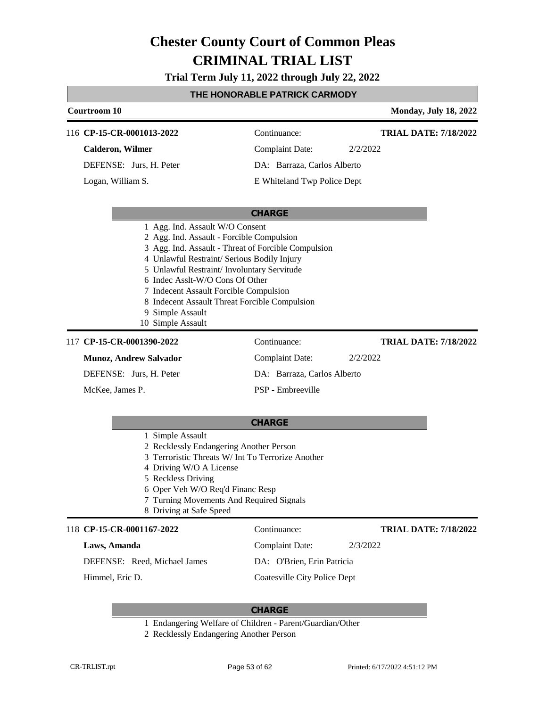**Trial Term July 11, 2022 through July 22, 2022**

### **THE HONORABLE PATRICK CARMODY**

|                                                                                                                                                                                                                                                                                                                                                                                                          | <u>I ME MUNUKABLE PATKIUN UAKWUDT</u> |                              |
|----------------------------------------------------------------------------------------------------------------------------------------------------------------------------------------------------------------------------------------------------------------------------------------------------------------------------------------------------------------------------------------------------------|---------------------------------------|------------------------------|
| <b>Courtroom 10</b>                                                                                                                                                                                                                                                                                                                                                                                      |                                       | <b>Monday, July 18, 2022</b> |
| 116 CP-15-CR-0001013-2022                                                                                                                                                                                                                                                                                                                                                                                | Continuance:                          | <b>TRIAL DATE: 7/18/2022</b> |
| <b>Calderon, Wilmer</b>                                                                                                                                                                                                                                                                                                                                                                                  | <b>Complaint Date:</b>                | 2/2/2022                     |
| DEFENSE: Jurs, H. Peter                                                                                                                                                                                                                                                                                                                                                                                  | DA: Barraza, Carlos Alberto           |                              |
| Logan, William S.                                                                                                                                                                                                                                                                                                                                                                                        | E Whiteland Twp Police Dept           |                              |
|                                                                                                                                                                                                                                                                                                                                                                                                          | <b>CHARGE</b>                         |                              |
| 1 Agg. Ind. Assault W/O Consent<br>2 Agg. Ind. Assault - Forcible Compulsion<br>3 Agg. Ind. Assault - Threat of Forcible Compulsion<br>4 Unlawful Restraint/ Serious Bodily Injury<br>5 Unlawful Restraint/ Involuntary Servitude<br>6 Indec Asslt-W/O Cons Of Other<br>7 Indecent Assault Forcible Compulsion<br>8 Indecent Assault Threat Forcible Compulsion<br>9 Simple Assault<br>10 Simple Assault |                                       |                              |
| 117 CP-15-CR-0001390-2022                                                                                                                                                                                                                                                                                                                                                                                | Continuance:                          | <b>TRIAL DATE: 7/18/2022</b> |
| <b>Munoz, Andrew Salvador</b>                                                                                                                                                                                                                                                                                                                                                                            | <b>Complaint Date:</b>                | 2/2/2022                     |
| DEFENSE: Jurs, H. Peter                                                                                                                                                                                                                                                                                                                                                                                  | DA: Barraza, Carlos Alberto           |                              |
| McKee, James P.                                                                                                                                                                                                                                                                                                                                                                                          | PSP - Embreeville                     |                              |
|                                                                                                                                                                                                                                                                                                                                                                                                          | <b>CHARGE</b>                         |                              |
| 1 Simple Assault<br>2 Recklessly Endangering Another Person<br>3 Terroristic Threats W/ Int To Terrorize Another<br>4 Driving W/O A License<br>5 Reckless Driving<br>6 Oper Veh W/O Req'd Financ Resp<br>7 Turning Movements And Required Signals<br>8 Driving at Safe Speed                                                                                                                             |                                       |                              |
| 118 CP-15-CR-0001167-2022                                                                                                                                                                                                                                                                                                                                                                                | Continuance:                          | <b>TRIAL DATE: 7/18/2022</b> |

**Laws, Amanda**

Г

DEFENSE: Reed, Michael James

Himmel, Eric D.

Complaint Date: 2/3/2022

DA: O'Brien, Erin Patricia Coatesville City Police Dept

- 1 Endangering Welfare of Children Parent/Guardian/Other
- 2 Recklessly Endangering Another Person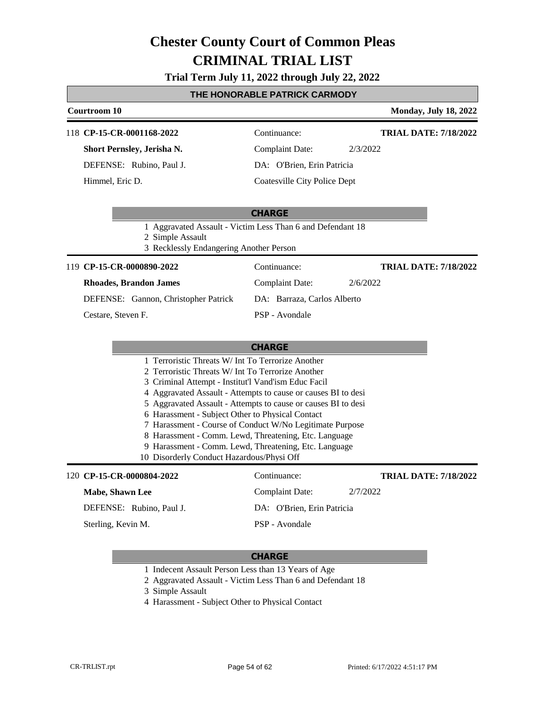### **Trial Term July 11, 2022 through July 22, 2022**

### **THE HONORABLE PATRICK CARMODY**

| <u>IME MUNUKABLE PATKIUN UAKWUDT</u>                                                                                                                                                                                                                                                                                                                                                                                                                                                                                                                                                            |                                                             |                                                            |                              |
|-------------------------------------------------------------------------------------------------------------------------------------------------------------------------------------------------------------------------------------------------------------------------------------------------------------------------------------------------------------------------------------------------------------------------------------------------------------------------------------------------------------------------------------------------------------------------------------------------|-------------------------------------------------------------|------------------------------------------------------------|------------------------------|
| Courtroom 10                                                                                                                                                                                                                                                                                                                                                                                                                                                                                                                                                                                    |                                                             |                                                            | <b>Monday, July 18, 2022</b> |
| 118 CP-15-CR-0001168-2022                                                                                                                                                                                                                                                                                                                                                                                                                                                                                                                                                                       |                                                             | Continuance:                                               | <b>TRIAL DATE: 7/18/2022</b> |
| Short Pernsley, Jerisha N.                                                                                                                                                                                                                                                                                                                                                                                                                                                                                                                                                                      |                                                             | <b>Complaint Date:</b>                                     | 2/3/2022                     |
| DEFENSE: Rubino, Paul J.                                                                                                                                                                                                                                                                                                                                                                                                                                                                                                                                                                        |                                                             | DA: O'Brien, Erin Patricia                                 |                              |
| Himmel, Eric D.                                                                                                                                                                                                                                                                                                                                                                                                                                                                                                                                                                                 |                                                             | Coatesville City Police Dept                               |                              |
|                                                                                                                                                                                                                                                                                                                                                                                                                                                                                                                                                                                                 |                                                             | <b>CHARGE</b>                                              |                              |
|                                                                                                                                                                                                                                                                                                                                                                                                                                                                                                                                                                                                 | 2 Simple Assault<br>3 Recklessly Endangering Another Person | 1 Aggravated Assault - Victim Less Than 6 and Defendant 18 |                              |
| 119 CP-15-CR-0000890-2022                                                                                                                                                                                                                                                                                                                                                                                                                                                                                                                                                                       |                                                             | Continuance:                                               | <b>TRIAL DATE: 7/18/2022</b> |
| <b>Rhoades, Brandon James</b>                                                                                                                                                                                                                                                                                                                                                                                                                                                                                                                                                                   |                                                             | <b>Complaint Date:</b>                                     | 2/6/2022                     |
| DEFENSE: Gannon, Christopher Patrick                                                                                                                                                                                                                                                                                                                                                                                                                                                                                                                                                            |                                                             | DA: Barraza, Carlos Alberto                                |                              |
| Cestare, Steven F.                                                                                                                                                                                                                                                                                                                                                                                                                                                                                                                                                                              |                                                             | PSP - Avondale                                             |                              |
| <b>CHARGE</b><br>1 Terroristic Threats W/ Int To Terrorize Another<br>2 Terroristic Threats W/ Int To Terrorize Another<br>3 Criminal Attempt - Institut'l Vand'ism Educ Facil<br>4 Aggravated Assault - Attempts to cause or causes BI to desi<br>5 Aggravated Assault - Attempts to cause or causes BI to desi<br>6 Harassment - Subject Other to Physical Contact<br>7 Harassment - Course of Conduct W/No Legitimate Purpose<br>8 Harassment - Comm. Lewd, Threatening, Etc. Language<br>9 Harassment - Comm. Lewd, Threatening, Etc. Language<br>10 Disorderly Conduct Hazardous/Physi Off |                                                             |                                                            |                              |
| 120 CP-15-CR-0000804-2022                                                                                                                                                                                                                                                                                                                                                                                                                                                                                                                                                                       |                                                             | Continuance:                                               | <b>TRIAL DATE: 7/18/2022</b> |
| Mabe, Shawn Lee                                                                                                                                                                                                                                                                                                                                                                                                                                                                                                                                                                                 |                                                             | <b>Complaint Date:</b>                                     | 2/7/2022                     |
| DEFENSE: Rubino, Paul J.                                                                                                                                                                                                                                                                                                                                                                                                                                                                                                                                                                        |                                                             | DA: O'Brien, Erin Patricia                                 |                              |
| Sterling, Kevin M.                                                                                                                                                                                                                                                                                                                                                                                                                                                                                                                                                                              |                                                             | PSP - Avondale                                             |                              |

- 1 Indecent Assault Person Less than 13 Years of Age
- 2 Aggravated Assault Victim Less Than 6 and Defendant 18
- 3 Simple Assault
- 4 Harassment Subject Other to Physical Contact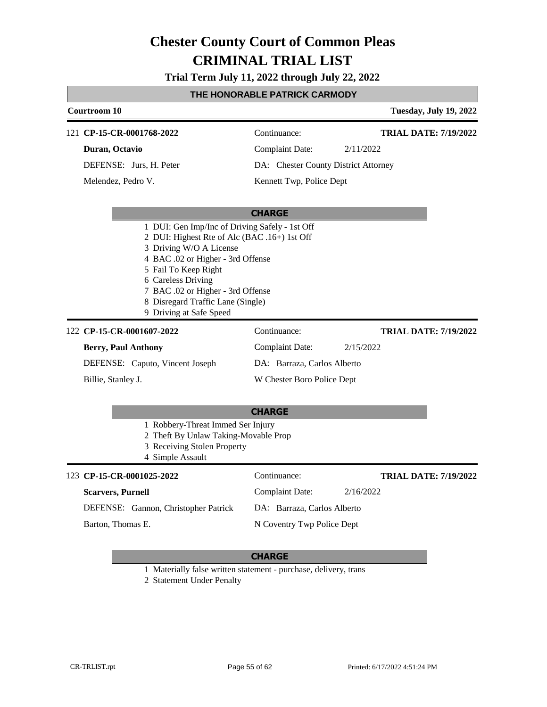**Trial Term July 11, 2022 through July 22, 2022**

### **THE HONORABLE PATRICK CARMODY**

|  | Courtroom 10                                                                                                                                                                                                                                                    |                                      | <b>Tuesday, July 19, 2022</b> |
|--|-----------------------------------------------------------------------------------------------------------------------------------------------------------------------------------------------------------------------------------------------------------------|--------------------------------------|-------------------------------|
|  | 121 CP-15-CR-0001768-2022                                                                                                                                                                                                                                       | Continuance:                         | <b>TRIAL DATE: 7/19/2022</b>  |
|  | Duran, Octavio                                                                                                                                                                                                                                                  | <b>Complaint Date:</b>               | 2/11/2022                     |
|  | DEFENSE: Jurs, H. Peter                                                                                                                                                                                                                                         | DA: Chester County District Attorney |                               |
|  | Melendez, Pedro V.                                                                                                                                                                                                                                              | Kennett Twp, Police Dept             |                               |
|  |                                                                                                                                                                                                                                                                 | <b>CHARGE</b>                        |                               |
|  | 2 DUI: Highest Rte of Alc (BAC .16+) 1st Off<br>3 Driving W/O A License<br>4 BAC .02 or Higher - 3rd Offense<br>5 Fail To Keep Right<br>6 Careless Driving<br>7 BAC .02 or Higher - 3rd Offense<br>8 Disregard Traffic Lane (Single)<br>9 Driving at Safe Speed |                                      |                               |
|  | 122 CP-15-CR-0001607-2022                                                                                                                                                                                                                                       | Continuance:                         | <b>TRIAL DATE: 7/19/2022</b>  |
|  | <b>Berry, Paul Anthony</b>                                                                                                                                                                                                                                      | <b>Complaint Date:</b>               | 2/15/2022                     |
|  | DEFENSE: Caputo, Vincent Joseph                                                                                                                                                                                                                                 | DA: Barraza, Carlos Alberto          |                               |
|  | Billie, Stanley J.                                                                                                                                                                                                                                              | W Chester Boro Police Dept           |                               |
|  |                                                                                                                                                                                                                                                                 | <b>CHARGE</b>                        |                               |
|  | 1 Robbery-Threat Immed Ser Injury<br>2 Theft By Unlaw Taking-Movable Prop<br>3 Receiving Stolen Property<br>4 Simple Assault                                                                                                                                    |                                      |                               |
|  | 123 CP-15-CR-0001025-2022                                                                                                                                                                                                                                       | Continuance:                         | <b>TRIAL DATE: 7/19/2022</b>  |
|  | <b>Scarvers, Purnell</b>                                                                                                                                                                                                                                        | <b>Complaint Date:</b>               | 2/16/2022                     |

DEFENSE: Gannon, Christopher Patrick Barton, Thomas E.

### **CHARGE**

DA: Barraza, Carlos Alberto N Coventry Twp Police Dept

1 Materially false written statement - purchase, delivery, trans

2 Statement Under Penalty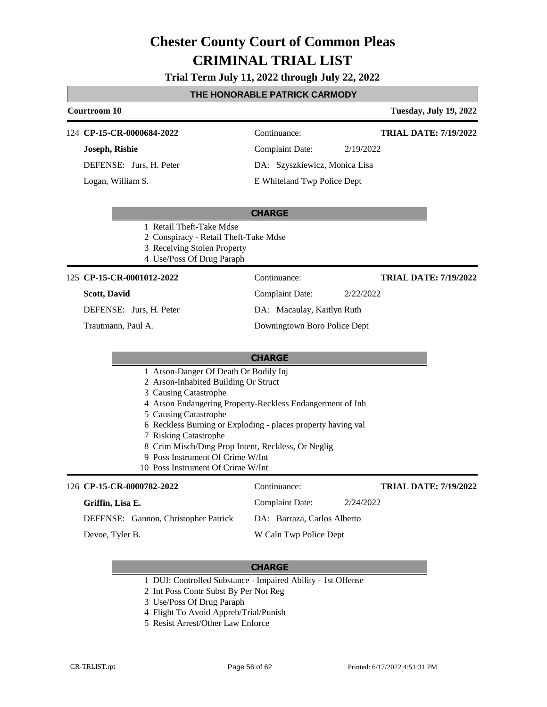#### **Trial Term July 11, 2022 through July 22, 2022**

#### **THE HONORABLE PATRICK CARMODY**

| <b>Courtroom 10</b>       |                                                                                                                               | <b>Tuesday, July 19, 2022</b> |  |
|---------------------------|-------------------------------------------------------------------------------------------------------------------------------|-------------------------------|--|
| 124 CP-15-CR-0000684-2022 | Continuance:                                                                                                                  | <b>TRIAL DATE: 7/19/2022</b>  |  |
| Joseph, Rishie            | <b>Complaint Date:</b>                                                                                                        | 2/19/2022                     |  |
| DEFENSE: Jurs, H. Peter   | DA: Szyszkiewicz, Monica Lisa                                                                                                 |                               |  |
| Logan, William S.         | E Whiteland Twp Police Dept                                                                                                   |                               |  |
|                           | <b>CHARGE</b>                                                                                                                 |                               |  |
|                           | 1 Retail Theft-Take Mdse<br>2 Conspiracy - Retail Theft-Take Mdse<br>3 Receiving Stolen Property<br>4 Use/Poss Of Drug Paraph |                               |  |
| 125 CP-15-CR-0001012-2022 | Continuance:                                                                                                                  | <b>TRIAL DATE: 7/19/2022</b>  |  |
| <b>Scott, David</b>       | Complaint Date:                                                                                                               | 2/22/2022                     |  |
| DEFENSE: Jurs, H. Peter   | DA: Macaulay, Kaitlyn Ruth                                                                                                    |                               |  |
| Trautmann, Paul A.        | Downingtown Boro Police Dept                                                                                                  |                               |  |
|                           | -------                                                                                                                       |                               |  |

#### **CHARGE**

- 1 Arson-Danger Of Death Or Bodily Inj
- 2 Arson-Inhabited Building Or Struct
- 3 Causing Catastrophe
- 4 Arson Endangering Property-Reckless Endangerment of Inh
- 5 Causing Catastrophe
- 6 Reckless Burning or Exploding places property having val
- 7 Risking Catastrophe
- 8 Crim Misch/Dmg Prop Intent, Reckless, Or Neglig
- 9 Poss Instrument Of Crime W/Int
- 10 Poss Instrument Of Crime W/Int

#### **CP-15-CR-0000782-2022** 126 Continuance: **Griffin, Lisa E.** DEFENSE: Gannon, Christopher Patrick Complaint Date: 2/24/2022 DA: Barraza, Carlos Alberto W Caln Twp Police Dept **TRIAL DATE: 7/19/2022** Devoe, Tyler B.

- 1 DUI: Controlled Substance Impaired Ability 1st Offense
- 2 Int Poss Contr Subst By Per Not Reg
- 3 Use/Poss Of Drug Paraph
- 4 Flight To Avoid Appreh/Trial/Punish
- 5 Resist Arrest/Other Law Enforce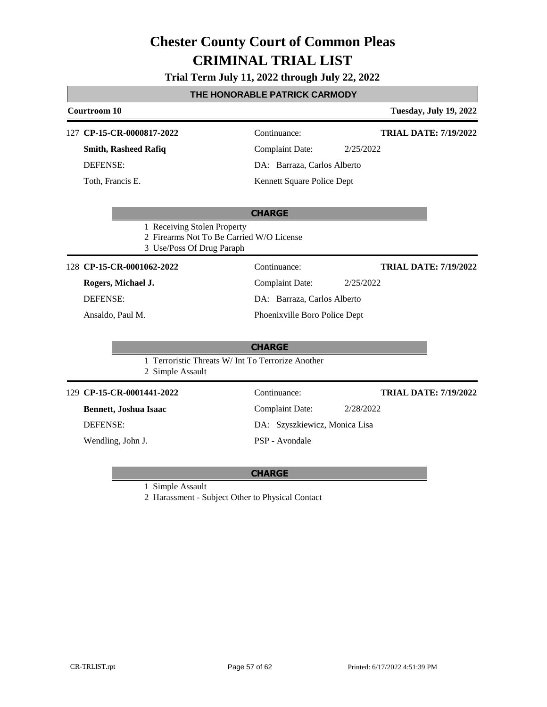### **Trial Term July 11, 2022 through July 22, 2022**

### **THE HONORABLE PATRICK CARMODY**

| <b>Courtroom 10</b>                                      |                                                   | <b>Tuesday, July 19, 2022</b> |
|----------------------------------------------------------|---------------------------------------------------|-------------------------------|
| 127 CP-15-CR-0000817-2022                                | Continuance:                                      | <b>TRIAL DATE: 7/19/2022</b>  |
| <b>Smith, Rasheed Rafiq</b>                              | <b>Complaint Date:</b>                            | 2/25/2022                     |
| <b>DEFENSE:</b>                                          | DA: Barraza, Carlos Alberto                       |                               |
| Toth, Francis E.                                         | Kennett Square Police Dept                        |                               |
|                                                          | <b>CHARGE</b>                                     |                               |
| 1 Receiving Stolen Property<br>3 Use/Poss Of Drug Paraph | 2 Firearms Not To Be Carried W/O License          |                               |
| 128 CP-15-CR-0001062-2022                                | Continuance:                                      | <b>TRIAL DATE: 7/19/2022</b>  |
| Rogers, Michael J.                                       | <b>Complaint Date:</b>                            | 2/25/2022                     |
| <b>DEFENSE:</b>                                          | DA: Barraza, Carlos Alberto                       |                               |
| Ansaldo, Paul M.                                         | Phoenixville Boro Police Dept                     |                               |
|                                                          | <b>CHARGE</b>                                     |                               |
| 2 Simple Assault                                         | 1 Terroristic Threats W/ Int To Terrorize Another |                               |
| 129 CP-15-CR-0001441-2022                                | Continuance:                                      | <b>TRIAL DATE: 7/19/2022</b>  |
| Bennett, Joshua Isaac                                    | <b>Complaint Date:</b>                            | 2/28/2022                     |
| <b>DEFENSE:</b>                                          | DA: Szyszkiewicz, Monica Lisa                     |                               |
| Wendling, John J.                                        | PSP - Avondale                                    |                               |
|                                                          |                                                   |                               |

#### **CHARGE**

1 Simple Assault

2 Harassment - Subject Other to Physical Contact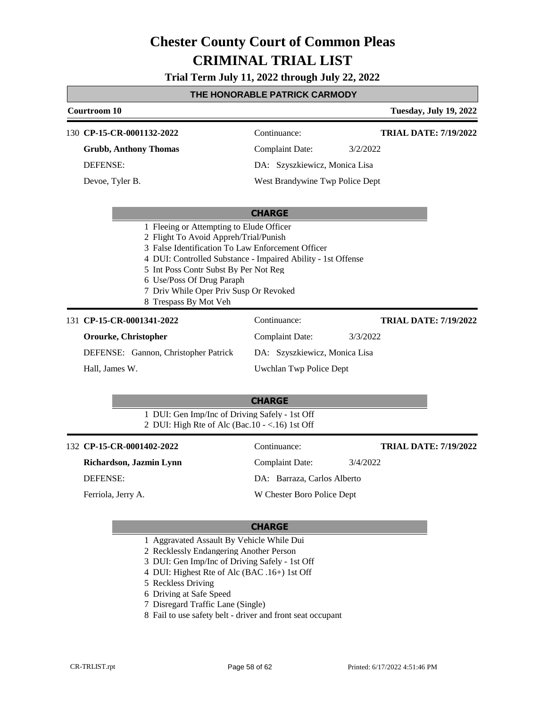**Trial Term July 11, 2022 through July 22, 2022**

#### **THE HONORABLE PATRICK CARMODY**

| Courtroom 10                                                                                                                                                                                                                                                                                        |                               |                                 | <b>Tuesday, July 19, 2022</b> |
|-----------------------------------------------------------------------------------------------------------------------------------------------------------------------------------------------------------------------------------------------------------------------------------------------------|-------------------------------|---------------------------------|-------------------------------|
| 130 CP-15-CR-0001132-2022                                                                                                                                                                                                                                                                           | Continuance:                  |                                 | <b>TRIAL DATE: 7/19/2022</b>  |
| <b>Grubb, Anthony Thomas</b>                                                                                                                                                                                                                                                                        | Complaint Date:               | 3/2/2022                        |                               |
| <b>DEFENSE:</b>                                                                                                                                                                                                                                                                                     | DA: Szyszkiewicz, Monica Lisa |                                 |                               |
| Devoe, Tyler B.                                                                                                                                                                                                                                                                                     |                               | West Brandywine Twp Police Dept |                               |
|                                                                                                                                                                                                                                                                                                     | <b>CHARGE</b>                 |                                 |                               |
| 2 Flight To Avoid Appreh/Trial/Punish<br>3 False Identification To Law Enforcement Officer<br>4 DUI: Controlled Substance - Impaired Ability - 1st Offense<br>5 Int Poss Contr Subst By Per Not Reg<br>6 Use/Poss Of Drug Paraph<br>7 Driv While Oper Priv Susp Or Revoked<br>8 Trespass By Mot Veh |                               |                                 |                               |
| 131 CP-15-CR-0001341-2022                                                                                                                                                                                                                                                                           | Continuance:                  |                                 | <b>TRIAL DATE: 7/19/2022</b>  |
| Orourke, Christopher                                                                                                                                                                                                                                                                                | <b>Complaint Date:</b>        | 3/3/2022                        |                               |
| DEFENSE: Gannon, Christopher Patrick                                                                                                                                                                                                                                                                | DA: Szyszkiewicz, Monica Lisa |                                 |                               |
| Hall, James W.                                                                                                                                                                                                                                                                                      | Uwchlan Twp Police Dept       |                                 |                               |
|                                                                                                                                                                                                                                                                                                     | <b>CHARGE</b>                 |                                 |                               |

1 DUI: Gen Imp/Inc of Driving Safely - 1st Off 2 DUI: High Rte of Alc (Bac.10 - <.16) 1st Off

#### **CP-15-CR-0001402-2022** 132 Continuance:

**Richardson, Jazmin Lynn** DEFENSE:

Ferriola, Jerry A.

Complaint Date: 3/4/2022 DA: Barraza, Carlos Alberto W Chester Boro Police Dept **TRIAL DATE: 7/19/2022**

- 1 Aggravated Assault By Vehicle While Dui
- 2 Recklessly Endangering Another Person
- 3 DUI: Gen Imp/Inc of Driving Safely 1st Off
- 4 DUI: Highest Rte of Alc (BAC .16+) 1st Off
- 5 Reckless Driving
- 6 Driving at Safe Speed
- 7 Disregard Traffic Lane (Single)
- 8 Fail to use safety belt driver and front seat occupant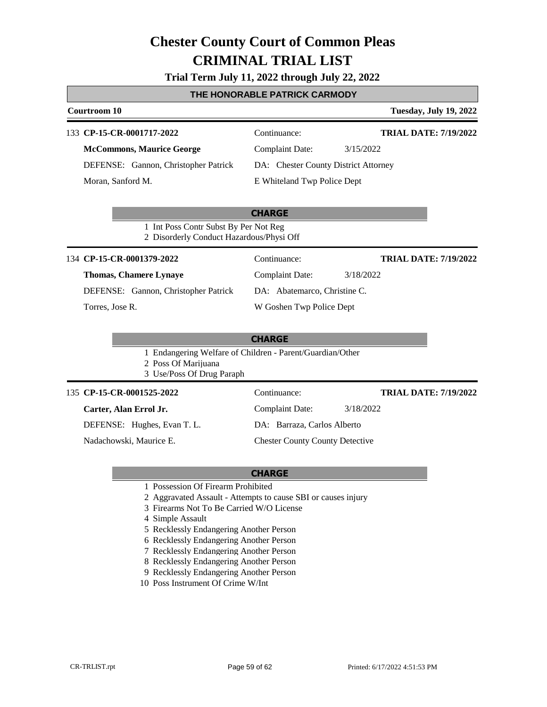### **Trial Term July 11, 2022 through July 22, 2022**

### **THE HONORABLE PATRICK CARMODY**

| Courtroom 10                                                                      |                                                           | <b>Tuesday, July 19, 2022</b> |
|-----------------------------------------------------------------------------------|-----------------------------------------------------------|-------------------------------|
| 133 CP-15-CR-0001717-2022                                                         | Continuance:                                              | <b>TRIAL DATE: 7/19/2022</b>  |
| <b>McCommons, Maurice George</b>                                                  | <b>Complaint Date:</b>                                    | 3/15/2022                     |
| DEFENSE: Gannon, Christopher Patrick                                              | DA: Chester County District Attorney                      |                               |
| Moran, Sanford M.                                                                 | E Whiteland Twp Police Dept                               |                               |
|                                                                                   | <b>CHARGE</b>                                             |                               |
| 1 Int Poss Contr Subst By Per Not Reg<br>2 Disorderly Conduct Hazardous/Physi Off |                                                           |                               |
| 134 CP-15-CR-0001379-2022                                                         | Continuance:                                              | <b>TRIAL DATE: 7/19/2022</b>  |
| <b>Thomas, Chamere Lynaye</b>                                                     | <b>Complaint Date:</b>                                    | 3/18/2022                     |
| DEFENSE: Gannon, Christopher Patrick                                              | DA: Abatemarco, Christine C.                              |                               |
| Torres, Jose R.                                                                   | W Goshen Twp Police Dept                                  |                               |
|                                                                                   | <b>CHARGE</b>                                             |                               |
| 2 Poss Of Marijuana<br>3 Use/Poss Of Drug Paraph                                  | 1 Endangering Welfare of Children - Parent/Guardian/Other |                               |
| 135 CP-15-CR-0001525-2022                                                         | Continuance:                                              | <b>TRIAL DATE: 7/19/2022</b>  |
| Carter, Alan Errol Jr.                                                            | <b>Complaint Date:</b>                                    | 3/18/2022                     |
| DEFENSE: Hughes, Evan T. L.                                                       | DA: Barraza, Carlos Alberto                               |                               |
| Nadachowski, Maurice E.                                                           | <b>Chester County County Detective</b>                    |                               |

- 1 Possession Of Firearm Prohibited
- 2 Aggravated Assault Attempts to cause SBI or causes injury
- 3 Firearms Not To Be Carried W/O License
- 4 Simple Assault
- 5 Recklessly Endangering Another Person
- 6 Recklessly Endangering Another Person
- 7 Recklessly Endangering Another Person
- 8 Recklessly Endangering Another Person
- 9 Recklessly Endangering Another Person
- 10 Poss Instrument Of Crime W/Int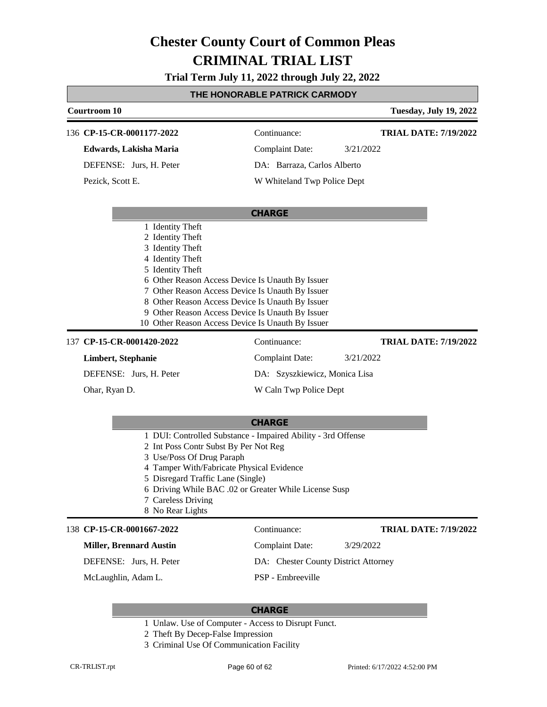### **Trial Term July 11, 2022 through July 22, 2022**

### **THE HONORABLE PATRICK CARMODY**

|                           |                                                                                                                                                                                                | <u>I HE HUNURABLE PATRICK CARMUD I</u>                                                                                                                                                                                                                            |                               |
|---------------------------|------------------------------------------------------------------------------------------------------------------------------------------------------------------------------------------------|-------------------------------------------------------------------------------------------------------------------------------------------------------------------------------------------------------------------------------------------------------------------|-------------------------------|
|                           | Courtroom 10                                                                                                                                                                                   |                                                                                                                                                                                                                                                                   | <b>Tuesday, July 19, 2022</b> |
|                           | 136 CP-15-CR-0001177-2022                                                                                                                                                                      | Continuance:                                                                                                                                                                                                                                                      | <b>TRIAL DATE: 7/19/2022</b>  |
|                           | Edwards, Lakisha Maria                                                                                                                                                                         | <b>Complaint Date:</b>                                                                                                                                                                                                                                            | 3/21/2022                     |
|                           | DEFENSE: Jurs, H. Peter                                                                                                                                                                        | DA: Barraza, Carlos Alberto                                                                                                                                                                                                                                       |                               |
|                           | Pezick, Scott E.                                                                                                                                                                               | W Whiteland Twp Police Dept                                                                                                                                                                                                                                       |                               |
|                           |                                                                                                                                                                                                | <b>CHARGE</b>                                                                                                                                                                                                                                                     |                               |
|                           | 1 Identity Theft<br>2 Identity Theft<br>3 Identity Theft<br>4 Identity Theft<br>5 Identity Theft                                                                                               | 6 Other Reason Access Device Is Unauth By Issuer<br>7 Other Reason Access Device Is Unauth By Issuer<br>8 Other Reason Access Device Is Unauth By Issuer<br>9 Other Reason Access Device Is Unauth By Issuer<br>10 Other Reason Access Device Is Unauth By Issuer |                               |
| 137 CP-15-CR-0001420-2022 |                                                                                                                                                                                                | Continuance:                                                                                                                                                                                                                                                      | <b>TRIAL DATE: 7/19/2022</b>  |
|                           | Limbert, Stephanie                                                                                                                                                                             | <b>Complaint Date:</b>                                                                                                                                                                                                                                            | 3/21/2022                     |
|                           | DEFENSE: Jurs, H. Peter                                                                                                                                                                        | DA: Szyszkiewicz, Monica Lisa                                                                                                                                                                                                                                     |                               |
|                           | Ohar, Ryan D.                                                                                                                                                                                  | W Caln Twp Police Dept                                                                                                                                                                                                                                            |                               |
|                           |                                                                                                                                                                                                |                                                                                                                                                                                                                                                                   |                               |
|                           | 2 Int Poss Contr Subst By Per Not Reg<br>3 Use/Poss Of Drug Paraph<br>4 Tamper With/Fabricate Physical Evidence<br>5 Disregard Traffic Lane (Single)<br>7 Careless Driving<br>8 No Rear Lights | <b>CHARGE</b><br>1 DUI: Controlled Substance - Impaired Ability - 3rd Offense<br>6 Driving While BAC .02 or Greater While License Susp                                                                                                                            |                               |
|                           | 138 CP-15-CR-0001667-2022                                                                                                                                                                      | Continuance:                                                                                                                                                                                                                                                      | <b>TRIAL DATE: 7/19/2022</b>  |
|                           | <b>Miller, Brennard Austin</b>                                                                                                                                                                 | <b>Complaint Date:</b>                                                                                                                                                                                                                                            | 3/29/2022                     |
|                           | DEFENSE: Jurs, H. Peter                                                                                                                                                                        | DA: Chester County District Attorney                                                                                                                                                                                                                              |                               |

McLaughlin, Adam L.

PSP - Embreeville

- 1 Unlaw. Use of Computer Access to Disrupt Funct.
- 2 Theft By Decep-False Impression
- 3 Criminal Use Of Communication Facility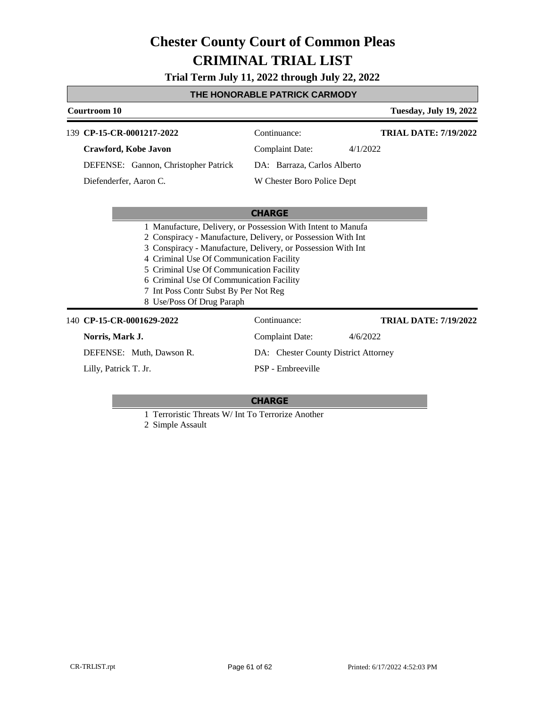**Trial Term July 11, 2022 through July 22, 2022**

### **THE HONORABLE PATRICK CARMODY**

| Courtroom 10                         |                                                                                                                                                                                                                                                                                                                                                                                                        | <b>Tuesday, July 19, 2022</b> |  |
|--------------------------------------|--------------------------------------------------------------------------------------------------------------------------------------------------------------------------------------------------------------------------------------------------------------------------------------------------------------------------------------------------------------------------------------------------------|-------------------------------|--|
| CP-15-CR-0001217-2022<br>139         | Continuance:                                                                                                                                                                                                                                                                                                                                                                                           | <b>TRIAL DATE: 7/19/2022</b>  |  |
| Crawford, Kobe Javon                 | <b>Complaint Date:</b>                                                                                                                                                                                                                                                                                                                                                                                 | 4/1/2022                      |  |
| DEFENSE: Gannon, Christopher Patrick | DA: Barraza, Carlos Alberto                                                                                                                                                                                                                                                                                                                                                                            |                               |  |
| Diefenderfer, Aaron C.               | W Chester Boro Police Dept                                                                                                                                                                                                                                                                                                                                                                             |                               |  |
|                                      |                                                                                                                                                                                                                                                                                                                                                                                                        |                               |  |
|                                      | <b>CHARGE</b>                                                                                                                                                                                                                                                                                                                                                                                          |                               |  |
|                                      | 1 Manufacture, Delivery, or Possession With Intent to Manufa<br>2 Conspiracy - Manufacture, Delivery, or Possession With Int<br>3 Conspiracy - Manufacture, Delivery, or Possession With Int<br>4 Criminal Use Of Communication Facility<br>5 Criminal Use Of Communication Facility<br>6 Criminal Use Of Communication Facility<br>7 Int Poss Contr Subst By Per Not Reg<br>8 Use/Poss Of Drug Paraph |                               |  |
| 140 CP-15-CR-0001629-2022            | Continuance:                                                                                                                                                                                                                                                                                                                                                                                           | <b>TRIAL DATE: 7/19/2022</b>  |  |
| Norris, Mark J.                      | Complaint Date:                                                                                                                                                                                                                                                                                                                                                                                        | 4/6/2022                      |  |

DEFENSE: Muth, Dawson R.

Lilly, Patrick T. Jr.

DA: Chester County District Attorney PSP - Embreeville

- 1 Terroristic Threats W/ Int To Terrorize Another
- 2 Simple Assault